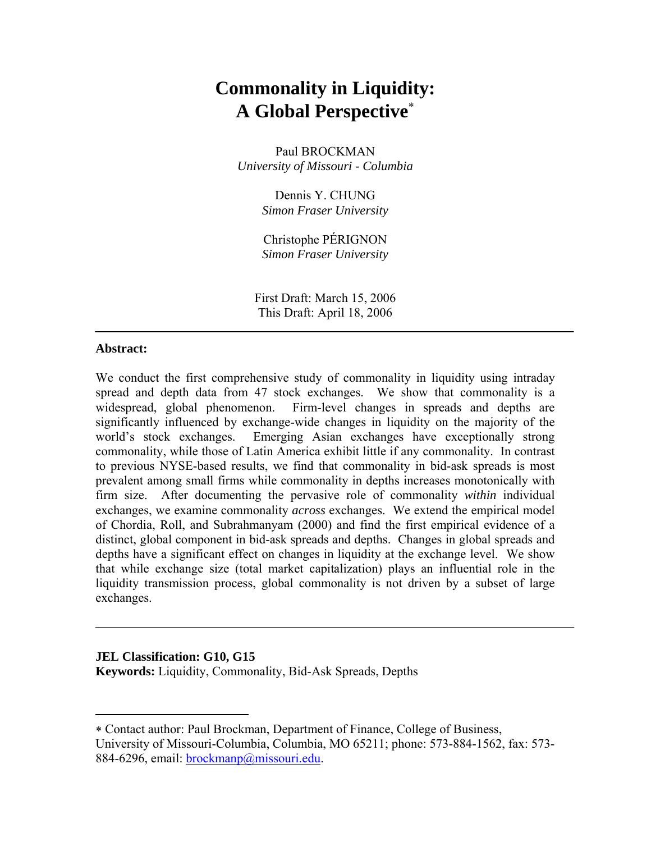# **Commonality in Liquidity: A Global Perspective**<sup>∗</sup>

Paul BROCKMAN *University of Missouri - Columbia* 

> Dennis Y. CHUNG *Simon Fraser University*

> Christophe PÉRIGNON *Simon Fraser University*

First Draft: March 15, 2006 This Draft: April 18, 2006

# **Abstract:**

 $\overline{a}$ 

We conduct the first comprehensive study of commonality in liquidity using intraday spread and depth data from 47 stock exchanges. We show that commonality is a widespread, global phenomenon. Firm-level changes in spreads and depths are significantly influenced by exchange-wide changes in liquidity on the majority of the world's stock exchanges. Emerging Asian exchanges have exceptionally strong commonality, while those of Latin America exhibit little if any commonality. In contrast to previous NYSE-based results, we find that commonality in bid-ask spreads is most prevalent among small firms while commonality in depths increases monotonically with firm size. After documenting the pervasive role of commonality *within* individual exchanges, we examine commonality *across* exchanges. We extend the empirical model of Chordia, Roll, and Subrahmanyam (2000) and find the first empirical evidence of a distinct, global component in bid-ask spreads and depths. Changes in global spreads and depths have a significant effect on changes in liquidity at the exchange level. We show that while exchange size (total market capitalization) plays an influential role in the liquidity transmission process, global commonality is not driven by a subset of large exchanges.

# **JEL Classification: G10, G15 Keywords:** Liquidity, Commonality, Bid-Ask Spreads, Depths

<sup>∗</sup> Contact author: Paul Brockman, Department of Finance, College of Business, University of Missouri-Columbia, Columbia, MO 65211; phone: 573-884-1562, fax: 573- 884-6296, email: brockmanp@missouri.edu.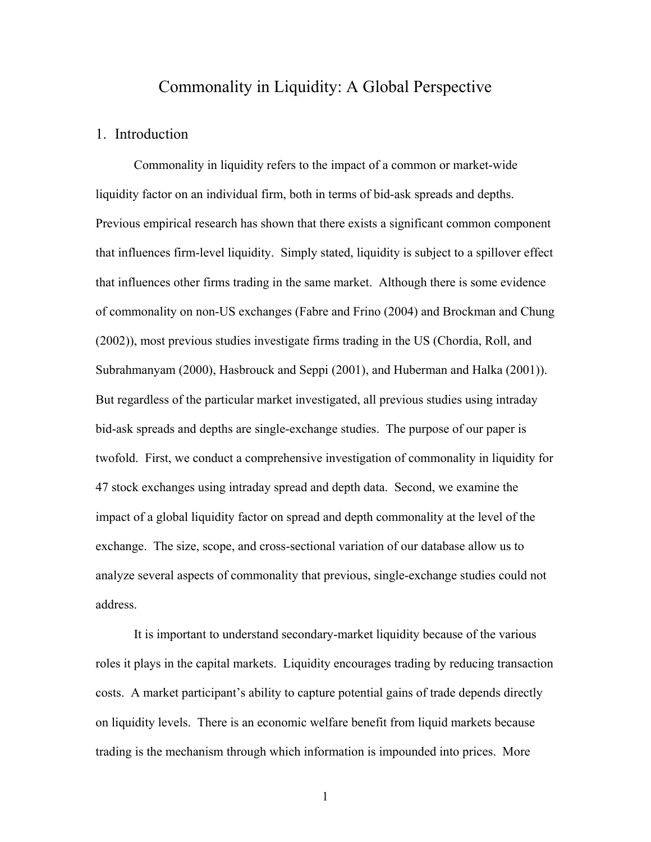# Commonality in Liquidity: A Global Perspective

#### 1. Introduction

Commonality in liquidity refers to the impact of a common or market-wide liquidity factor on an individual firm, both in terms of bid-ask spreads and depths. Previous empirical research has shown that there exists a significant common component that influences firm-level liquidity. Simply stated, liquidity is subject to a spillover effect that influences other firms trading in the same market. Although there is some evidence of commonality on non-US exchanges (Fabre and Frino (2004) and Brockman and Chung (2002)), most previous studies investigate firms trading in the US (Chordia, Roll, and Subrahmanyam (2000), Hasbrouck and Seppi (2001), and Huberman and Halka (2001)). But regardless of the particular market investigated, all previous studies using intraday bid-ask spreads and depths are single-exchange studies. The purpose of our paper is twofold. First, we conduct a comprehensive investigation of commonality in liquidity for 47 stock exchanges using intraday spread and depth data. Second, we examine the impact of a global liquidity factor on spread and depth commonality at the level of the exchange. The size, scope, and cross-sectional variation of our database allow us to analyze several aspects of commonality that previous, single-exchange studies could not address.

It is important to understand secondary-market liquidity because of the various roles it plays in the capital markets. Liquidity encourages trading by reducing transaction costs. A market participant's ability to capture potential gains of trade depends directly on liquidity levels. There is an economic welfare benefit from liquid markets because trading is the mechanism through which information is impounded into prices. More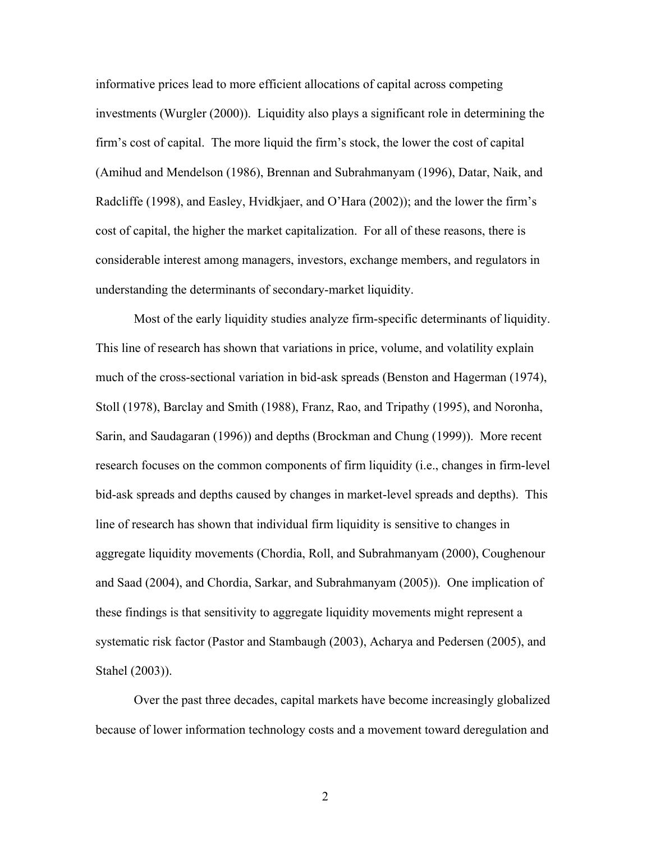informative prices lead to more efficient allocations of capital across competing investments (Wurgler (2000)). Liquidity also plays a significant role in determining the firm's cost of capital. The more liquid the firm's stock, the lower the cost of capital (Amihud and Mendelson (1986), Brennan and Subrahmanyam (1996), Datar, Naik, and Radcliffe (1998), and Easley, Hvidkjaer, and O'Hara (2002)); and the lower the firm's cost of capital, the higher the market capitalization. For all of these reasons, there is considerable interest among managers, investors, exchange members, and regulators in understanding the determinants of secondary-market liquidity.

Most of the early liquidity studies analyze firm-specific determinants of liquidity. This line of research has shown that variations in price, volume, and volatility explain much of the cross-sectional variation in bid-ask spreads (Benston and Hagerman (1974), Stoll (1978), Barclay and Smith (1988), Franz, Rao, and Tripathy (1995), and Noronha, Sarin, and Saudagaran (1996)) and depths (Brockman and Chung (1999)). More recent research focuses on the common components of firm liquidity (i.e., changes in firm-level bid-ask spreads and depths caused by changes in market-level spreads and depths). This line of research has shown that individual firm liquidity is sensitive to changes in aggregate liquidity movements (Chordia, Roll, and Subrahmanyam (2000), Coughenour and Saad (2004), and Chordia, Sarkar, and Subrahmanyam (2005)). One implication of these findings is that sensitivity to aggregate liquidity movements might represent a systematic risk factor (Pastor and Stambaugh (2003), Acharya and Pedersen (2005), and Stahel (2003)).

Over the past three decades, capital markets have become increasingly globalized because of lower information technology costs and a movement toward deregulation and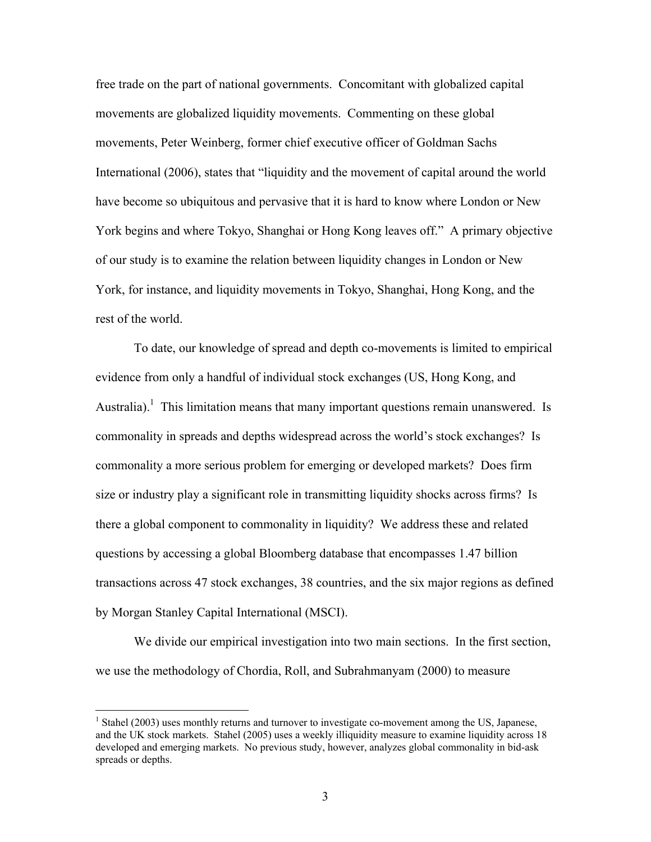free trade on the part of national governments. Concomitant with globalized capital movements are globalized liquidity movements. Commenting on these global movements, Peter Weinberg, former chief executive officer of Goldman Sachs International (2006), states that "liquidity and the movement of capital around the world have become so ubiquitous and pervasive that it is hard to know where London or New York begins and where Tokyo, Shanghai or Hong Kong leaves off." A primary objective of our study is to examine the relation between liquidity changes in London or New York, for instance, and liquidity movements in Tokyo, Shanghai, Hong Kong, and the rest of the world.

To date, our knowledge of spread and depth co-movements is limited to empirical evidence from only a handful of individual stock exchanges (US, Hong Kong, and Australia).<sup>1</sup> This limitation means that many important questions remain unanswered. Is commonality in spreads and depths widespread across the world's stock exchanges? Is commonality a more serious problem for emerging or developed markets? Does firm size or industry play a significant role in transmitting liquidity shocks across firms? Is there a global component to commonality in liquidity? We address these and related questions by accessing a global Bloomberg database that encompasses 1.47 billion transactions across 47 stock exchanges, 38 countries, and the six major regions as defined by Morgan Stanley Capital International (MSCI).

We divide our empirical investigation into two main sections. In the first section, we use the methodology of Chordia, Roll, and Subrahmanyam (2000) to measure

<sup>&</sup>lt;sup>1</sup> Stahel (2003) uses monthly returns and turnover to investigate co-movement among the US, Japanese, and the UK stock markets. Stahel (2005) uses a weekly illiquidity measure to examine liquidity across 18 developed and emerging markets. No previous study, however, analyzes global commonality in bid-ask spreads or depths.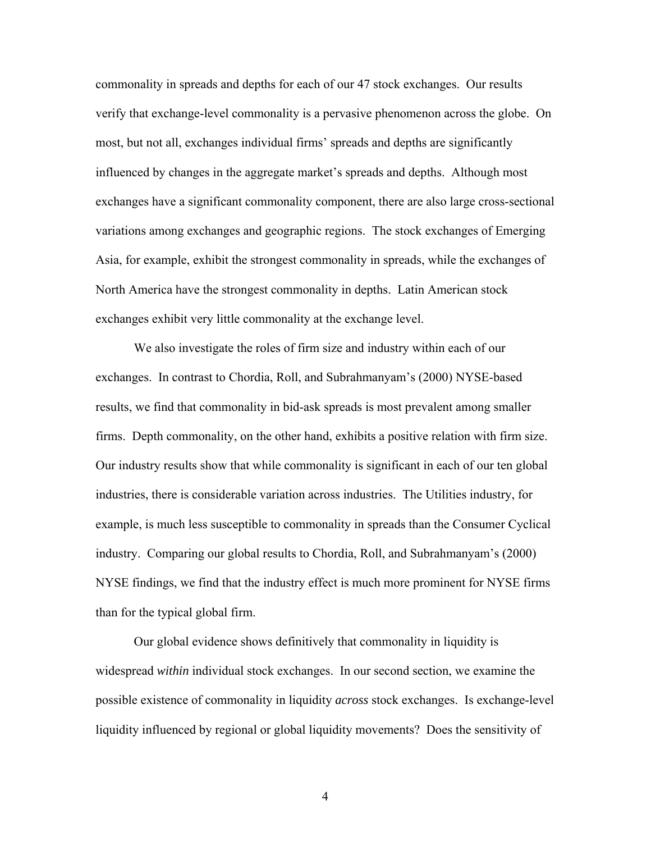commonality in spreads and depths for each of our 47 stock exchanges. Our results verify that exchange-level commonality is a pervasive phenomenon across the globe. On most, but not all, exchanges individual firms' spreads and depths are significantly influenced by changes in the aggregate market's spreads and depths. Although most exchanges have a significant commonality component, there are also large cross-sectional variations among exchanges and geographic regions. The stock exchanges of Emerging Asia, for example, exhibit the strongest commonality in spreads, while the exchanges of North America have the strongest commonality in depths. Latin American stock exchanges exhibit very little commonality at the exchange level.

We also investigate the roles of firm size and industry within each of our exchanges. In contrast to Chordia, Roll, and Subrahmanyam's (2000) NYSE-based results, we find that commonality in bid-ask spreads is most prevalent among smaller firms. Depth commonality, on the other hand, exhibits a positive relation with firm size. Our industry results show that while commonality is significant in each of our ten global industries, there is considerable variation across industries. The Utilities industry, for example, is much less susceptible to commonality in spreads than the Consumer Cyclical industry. Comparing our global results to Chordia, Roll, and Subrahmanyam's (2000) NYSE findings, we find that the industry effect is much more prominent for NYSE firms than for the typical global firm.

Our global evidence shows definitively that commonality in liquidity is widespread *within* individual stock exchanges. In our second section, we examine the possible existence of commonality in liquidity *across* stock exchanges. Is exchange-level liquidity influenced by regional or global liquidity movements? Does the sensitivity of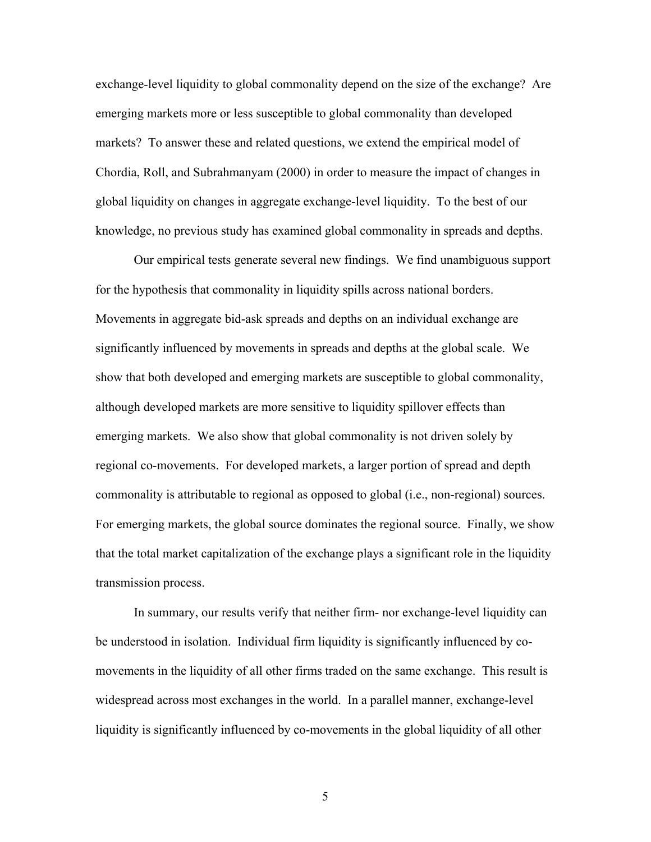exchange-level liquidity to global commonality depend on the size of the exchange? Are emerging markets more or less susceptible to global commonality than developed markets? To answer these and related questions, we extend the empirical model of Chordia, Roll, and Subrahmanyam (2000) in order to measure the impact of changes in global liquidity on changes in aggregate exchange-level liquidity. To the best of our knowledge, no previous study has examined global commonality in spreads and depths.

Our empirical tests generate several new findings. We find unambiguous support for the hypothesis that commonality in liquidity spills across national borders. Movements in aggregate bid-ask spreads and depths on an individual exchange are significantly influenced by movements in spreads and depths at the global scale. We show that both developed and emerging markets are susceptible to global commonality, although developed markets are more sensitive to liquidity spillover effects than emerging markets. We also show that global commonality is not driven solely by regional co-movements. For developed markets, a larger portion of spread and depth commonality is attributable to regional as opposed to global (i.e., non-regional) sources. For emerging markets, the global source dominates the regional source. Finally, we show that the total market capitalization of the exchange plays a significant role in the liquidity transmission process.

In summary, our results verify that neither firm- nor exchange-level liquidity can be understood in isolation. Individual firm liquidity is significantly influenced by comovements in the liquidity of all other firms traded on the same exchange. This result is widespread across most exchanges in the world. In a parallel manner, exchange-level liquidity is significantly influenced by co-movements in the global liquidity of all other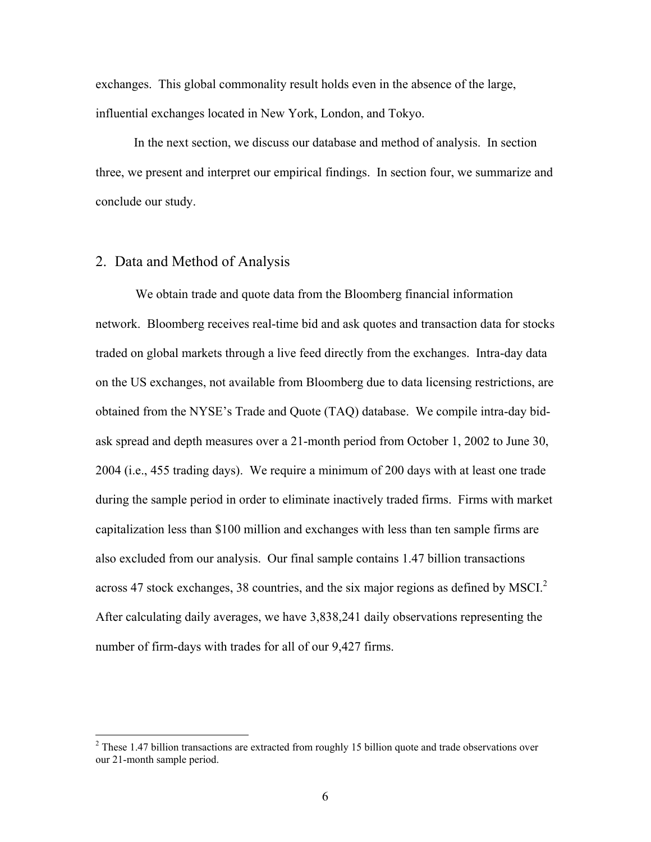exchanges. This global commonality result holds even in the absence of the large, influential exchanges located in New York, London, and Tokyo.

In the next section, we discuss our database and method of analysis. In section three, we present and interpret our empirical findings. In section four, we summarize and conclude our study.

# 2. Data and Method of Analysis

1

 We obtain trade and quote data from the Bloomberg financial information network. Bloomberg receives real-time bid and ask quotes and transaction data for stocks traded on global markets through a live feed directly from the exchanges. Intra-day data on the US exchanges, not available from Bloomberg due to data licensing restrictions, are obtained from the NYSE's Trade and Quote (TAQ) database. We compile intra-day bidask spread and depth measures over a 21-month period from October 1, 2002 to June 30, 2004 (i.e., 455 trading days). We require a minimum of 200 days with at least one trade during the sample period in order to eliminate inactively traded firms. Firms with market capitalization less than \$100 million and exchanges with less than ten sample firms are also excluded from our analysis. Our final sample contains 1.47 billion transactions across 47 stock exchanges, 38 countries, and the six major regions as defined by MSCI. $2$ After calculating daily averages, we have 3,838,241 daily observations representing the number of firm-days with trades for all of our 9,427 firms.

 $2$  These 1.47 billion transactions are extracted from roughly 15 billion quote and trade observations over our 21-month sample period.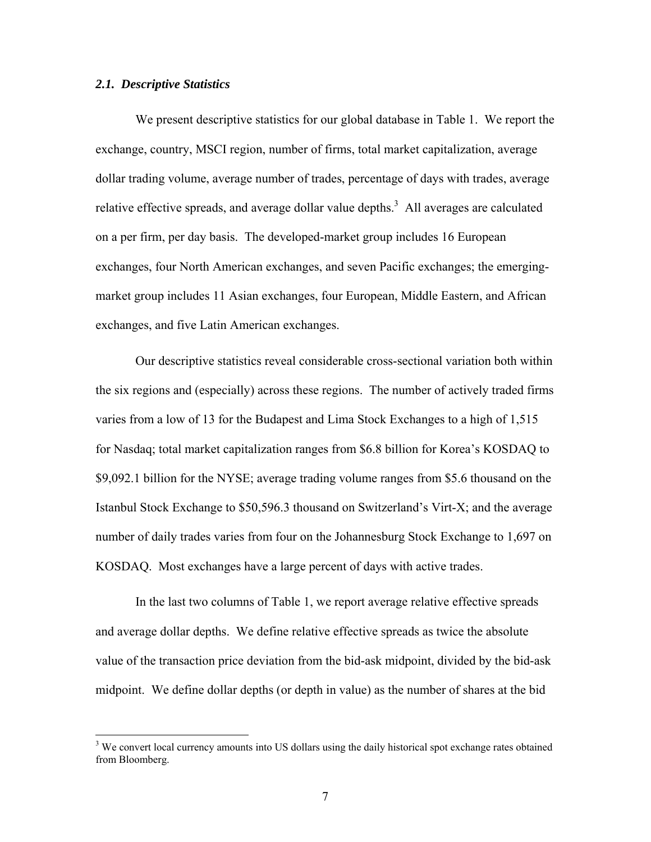#### *2.1. Descriptive Statistics*

1

 We present descriptive statistics for our global database in Table 1. We report the exchange, country, MSCI region, number of firms, total market capitalization, average dollar trading volume, average number of trades, percentage of days with trades, average relative effective spreads, and average dollar value depths.<sup>3</sup> All averages are calculated on a per firm, per day basis. The developed-market group includes 16 European exchanges, four North American exchanges, and seven Pacific exchanges; the emergingmarket group includes 11 Asian exchanges, four European, Middle Eastern, and African exchanges, and five Latin American exchanges.

 Our descriptive statistics reveal considerable cross-sectional variation both within the six regions and (especially) across these regions. The number of actively traded firms varies from a low of 13 for the Budapest and Lima Stock Exchanges to a high of 1,515 for Nasdaq; total market capitalization ranges from \$6.8 billion for Korea's KOSDAQ to \$9,092.1 billion for the NYSE; average trading volume ranges from \$5.6 thousand on the Istanbul Stock Exchange to \$50,596.3 thousand on Switzerland's Virt-X; and the average number of daily trades varies from four on the Johannesburg Stock Exchange to 1,697 on KOSDAQ. Most exchanges have a large percent of days with active trades.

 In the last two columns of Table 1, we report average relative effective spreads and average dollar depths. We define relative effective spreads as twice the absolute value of the transaction price deviation from the bid-ask midpoint, divided by the bid-ask midpoint. We define dollar depths (or depth in value) as the number of shares at the bid

<sup>&</sup>lt;sup>3</sup> We convert local currency amounts into US dollars using the daily historical spot exchange rates obtained from Bloomberg.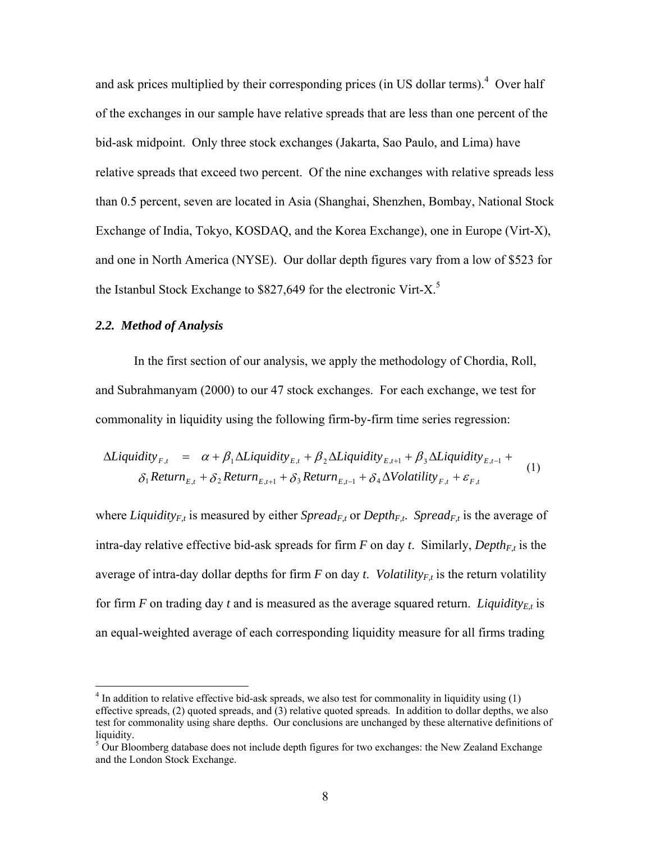and ask prices multiplied by their corresponding prices (in US dollar terms). $4$  Over half of the exchanges in our sample have relative spreads that are less than one percent of the bid-ask midpoint. Only three stock exchanges (Jakarta, Sao Paulo, and Lima) have relative spreads that exceed two percent. Of the nine exchanges with relative spreads less than 0.5 percent, seven are located in Asia (Shanghai, Shenzhen, Bombay, National Stock Exchange of India, Tokyo, KOSDAQ, and the Korea Exchange), one in Europe (Virt-X), and one in North America (NYSE). Our dollar depth figures vary from a low of \$523 for the Istanbul Stock Exchange to  $$827,649$  for the electronic Virt-X.<sup>5</sup>

# *2.2. Method of Analysis*

1

In the first section of our analysis, we apply the methodology of Chordia, Roll, and Subrahmanyam (2000) to our 47 stock exchanges. For each exchange, we test for commonality in liquidity using the following firm-by-firm time series regression:

$$
\Delta Liquidity_{F,t} = \alpha + \beta_1 \Delta Liquidity_{E,t} + \beta_2 \Delta Liquidity_{E,t+1} + \beta_3 \Delta Liquidity_{E,t-1} + \delta_1 Return_{E,t} + \delta_2 Return_{E,t+1} + \delta_3 Return_{E,t-1} + \delta_4 \Delta Volatility_{F,t} + \varepsilon_{F,t}
$$
\n(1)

where *Liquidity<sub>F,t</sub>* is measured by either *Spread<sub>F,t</sub>* or *Depth<sub>F,t</sub>*. *Spread<sub>F,t</sub>* is the average of intra-day relative effective bid-ask spreads for firm  $F$  on day  $t$ . Similarly, *Depth<sub>Ft</sub>* is the average of intra-day dollar depths for firm  $F$  on day  $t$ . *Volatility<sub>Ft</sub>* is the return volatility for firm *F* on trading day *t* and is measured as the average squared return. *Liquidity<sub>Et</sub>* is an equal-weighted average of each corresponding liquidity measure for all firms trading

 $4$  In addition to relative effective bid-ask spreads, we also test for commonality in liquidity using (1) effective spreads, (2) quoted spreads, and (3) relative quoted spreads. In addition to dollar depths, we also test for commonality using share depths. Our conclusions are unchanged by these alternative definitions of liquidity.

 $5$  Our Bloomberg database does not include depth figures for two exchanges: the New Zealand Exchange and the London Stock Exchange.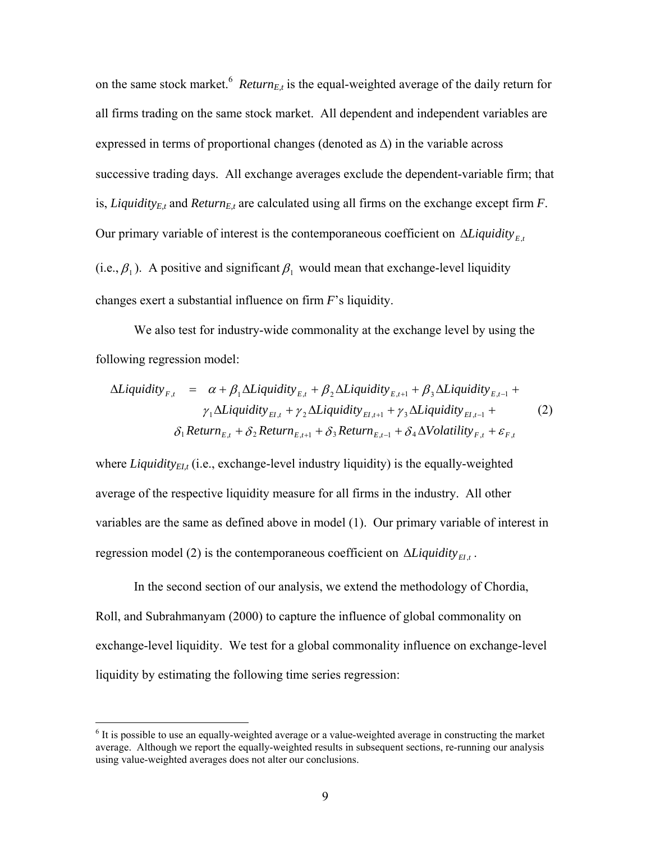on the same stock market.<sup>6</sup> *Return<sub>E,t</sub>* is the equal-weighted average of the daily return for all firms trading on the same stock market. All dependent and independent variables are expressed in terms of proportional changes (denoted as  $\Delta$ ) in the variable across successive trading days. All exchange averages exclude the dependent-variable firm; that is, *Liquidity<sub>E,t</sub>* and *Return<sub>E,t</sub>* are calculated using all firms on the exchange except firm  $F$ . Our primary variable of interest is the contemporaneous coefficient on ∆*Liquidity<sub>Ft</sub>* (i.e.,  $\beta_1$ ). A positive and significant  $\beta_1$  would mean that exchange-level liquidity changes exert a substantial influence on firm *F*'s liquidity.

We also test for industry-wide commonality at the exchange level by using the following regression model:

$$
\Delta Liquidity_{F,t} = \alpha + \beta_1 \Delta Liquidity_{E,t} + \beta_2 \Delta Liquidity_{E,t+1} + \beta_3 \Delta Liquidity_{E,t-1} + \gamma_1 \Delta Liquidity_{E,t} + \gamma_2 \Delta Liquidity_{E,t+1} + \gamma_3 \Delta Liquidity_{E,t-1} + \delta_1 Return_{E,t} + \delta_2 Return_{E,t+1} + \delta_3 Return_{E,t-1} + \delta_4 \Delta Volatility_{F,t} + \varepsilon_{F,t}
$$
\n(2)

where *Liquidity<sub>ELt</sub>* (i.e., exchange-level industry liquidity) is the equally-weighted average of the respective liquidity measure for all firms in the industry. All other variables are the same as defined above in model (1). Our primary variable of interest in regression model (2) is the contemporaneous coefficient on  $\Delta$ *Liquidity*<sub>EI<sup>t</sub></sup>.</sub>

In the second section of our analysis, we extend the methodology of Chordia, Roll, and Subrahmanyam (2000) to capture the influence of global commonality on exchange-level liquidity. We test for a global commonality influence on exchange-level liquidity by estimating the following time series regression:

 $\overline{a}$ 

<sup>&</sup>lt;sup>6</sup> It is possible to use an equally-weighted average or a value-weighted average in constructing the market average. Although we report the equally-weighted results in subsequent sections, re-running our analysis using value-weighted averages does not alter our conclusions.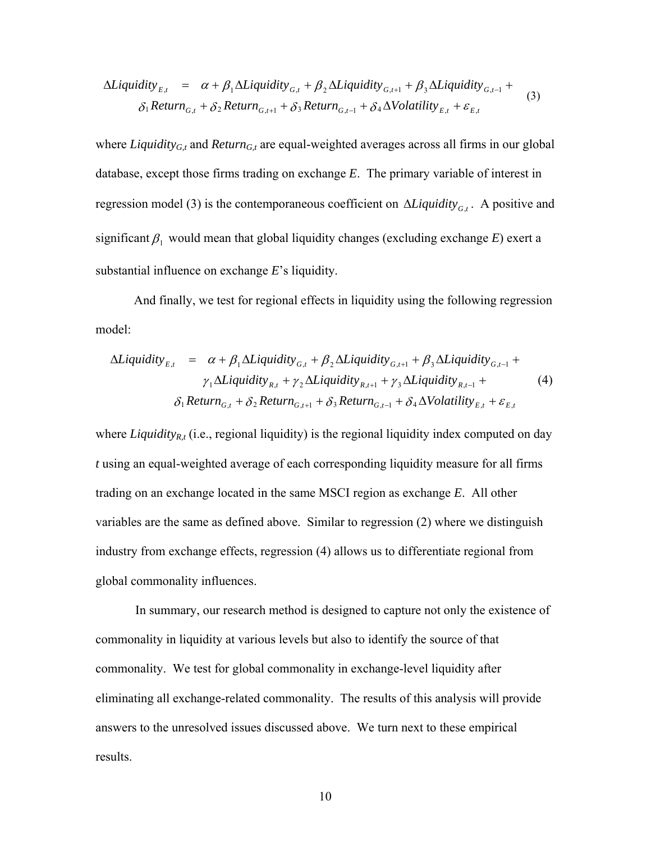$$
\Delta Liquidity_{E,t} = \alpha + \beta_1 \Delta Liquidity_{G,t} + \beta_2 \Delta Liquidity_{G,t+1} + \beta_3 \Delta Liquidity_{G,t-1} + \delta_1 Return_{G,t} + \delta_2 Return_{G,t+1} + \delta_3 Return_{G,t-1} + \delta_4 \Delta Volatility_{E,t} + \varepsilon_{E,t}
$$
\n(3)

where *Liquidity<sub>G,t</sub>* and *Return<sub>G,t</sub>* are equal-weighted averages across all firms in our global database, except those firms trading on exchange *E*. The primary variable of interest in regression model (3) is the contemporaneous coefficient on Δ*Liquidity<sub>Gt</sub>*. A positive and significant  $\beta_1$  would mean that global liquidity changes (excluding exchange *E*) exert a substantial influence on exchange *E*'s liquidity.

And finally, we test for regional effects in liquidity using the following regression model:

$$
\Delta Liquidity_{E,t} = \alpha + \beta_1 \Delta Liquidity_{G,t} + \beta_2 \Delta Liquidity_{G,t+1} + \beta_3 \Delta Liquidity_{G,t-1} + \gamma_1 \Delta Liquidity_{R,t} + \gamma_2 \Delta Liquidity_{R,t+1} + \gamma_3 \Delta Liquidity_{R,t-1} + \delta_1 Return_{G,t} + \delta_2 Return_{G,t+1} + \delta_3 Return_{G,t-1} + \delta_4 \Delta Volatility_{E,t} + \varepsilon_{E,t}
$$
\n(4)

where *Liquidity<sub>R,t</sub>* (i.e., regional liquidity) is the regional liquidity index computed on day *t* using an equal-weighted average of each corresponding liquidity measure for all firms trading on an exchange located in the same MSCI region as exchange *E*. All other variables are the same as defined above. Similar to regression (2) where we distinguish industry from exchange effects, regression (4) allows us to differentiate regional from global commonality influences.

In summary, our research method is designed to capture not only the existence of commonality in liquidity at various levels but also to identify the source of that commonality. We test for global commonality in exchange-level liquidity after eliminating all exchange-related commonality. The results of this analysis will provide answers to the unresolved issues discussed above. We turn next to these empirical results.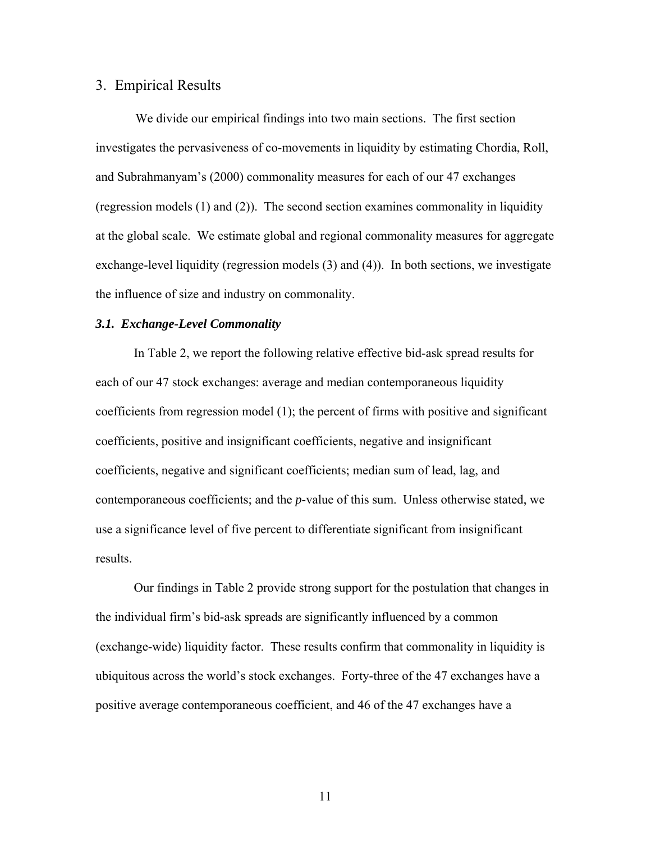#### 3. Empirical Results

We divide our empirical findings into two main sections. The first section investigates the pervasiveness of co-movements in liquidity by estimating Chordia, Roll, and Subrahmanyam's (2000) commonality measures for each of our 47 exchanges (regression models (1) and (2)). The second section examines commonality in liquidity at the global scale. We estimate global and regional commonality measures for aggregate exchange-level liquidity (regression models (3) and (4)). In both sections, we investigate the influence of size and industry on commonality.

#### *3.1. Exchange-Level Commonality*

 In Table 2, we report the following relative effective bid-ask spread results for each of our 47 stock exchanges: average and median contemporaneous liquidity coefficients from regression model (1); the percent of firms with positive and significant coefficients, positive and insignificant coefficients, negative and insignificant coefficients, negative and significant coefficients; median sum of lead, lag, and contemporaneous coefficients; and the *p*-value of this sum. Unless otherwise stated, we use a significance level of five percent to differentiate significant from insignificant results.

 Our findings in Table 2 provide strong support for the postulation that changes in the individual firm's bid-ask spreads are significantly influenced by a common (exchange-wide) liquidity factor. These results confirm that commonality in liquidity is ubiquitous across the world's stock exchanges. Forty-three of the 47 exchanges have a positive average contemporaneous coefficient, and 46 of the 47 exchanges have a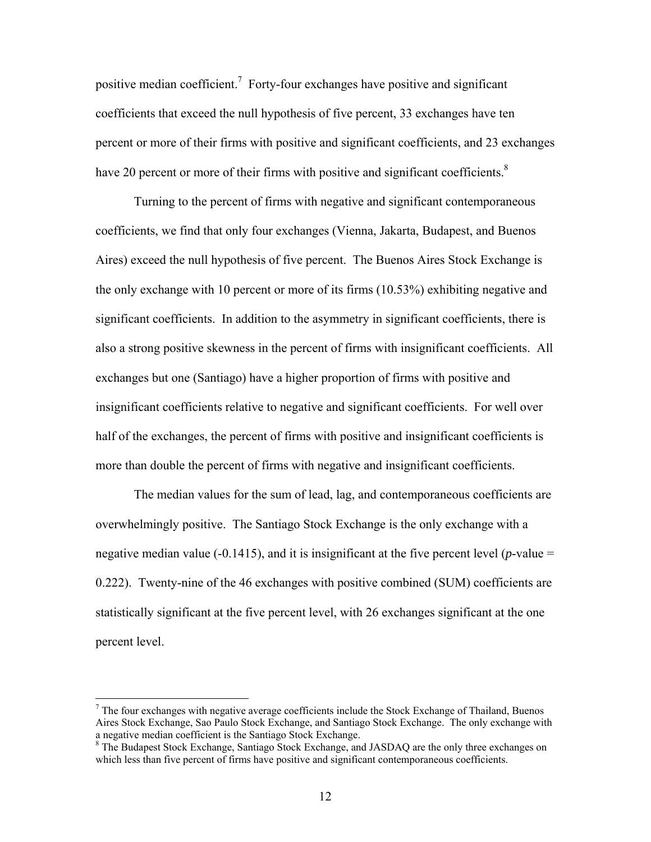positive median coefficient.<sup>7</sup> Forty-four exchanges have positive and significant coefficients that exceed the null hypothesis of five percent, 33 exchanges have ten percent or more of their firms with positive and significant coefficients, and 23 exchanges have 20 percent or more of their firms with positive and significant coefficients. $8$ 

 Turning to the percent of firms with negative and significant contemporaneous coefficients, we find that only four exchanges (Vienna, Jakarta, Budapest, and Buenos Aires) exceed the null hypothesis of five percent. The Buenos Aires Stock Exchange is the only exchange with 10 percent or more of its firms (10.53%) exhibiting negative and significant coefficients. In addition to the asymmetry in significant coefficients, there is also a strong positive skewness in the percent of firms with insignificant coefficients. All exchanges but one (Santiago) have a higher proportion of firms with positive and insignificant coefficients relative to negative and significant coefficients. For well over half of the exchanges, the percent of firms with positive and insignificant coefficients is more than double the percent of firms with negative and insignificant coefficients.

 The median values for the sum of lead, lag, and contemporaneous coefficients are overwhelmingly positive. The Santiago Stock Exchange is the only exchange with a negative median value (-0.1415), and it is insignificant at the five percent level ( $p$ -value = 0.222). Twenty-nine of the 46 exchanges with positive combined (SUM) coefficients are statistically significant at the five percent level, with 26 exchanges significant at the one percent level.

 $\overline{a}$ 

 $<sup>7</sup>$  The four exchanges with negative average coefficients include the Stock Exchange of Thailand, Buenos</sup> Aires Stock Exchange, Sao Paulo Stock Exchange, and Santiago Stock Exchange. The only exchange with a negative median coefficient is the Santiago Stock Exchange.

<sup>&</sup>lt;sup>8</sup> The Budapest Stock Exchange, Santiago Stock Exchange, and JASDAQ are the only three exchanges on which less than five percent of firms have positive and significant contemporaneous coefficients.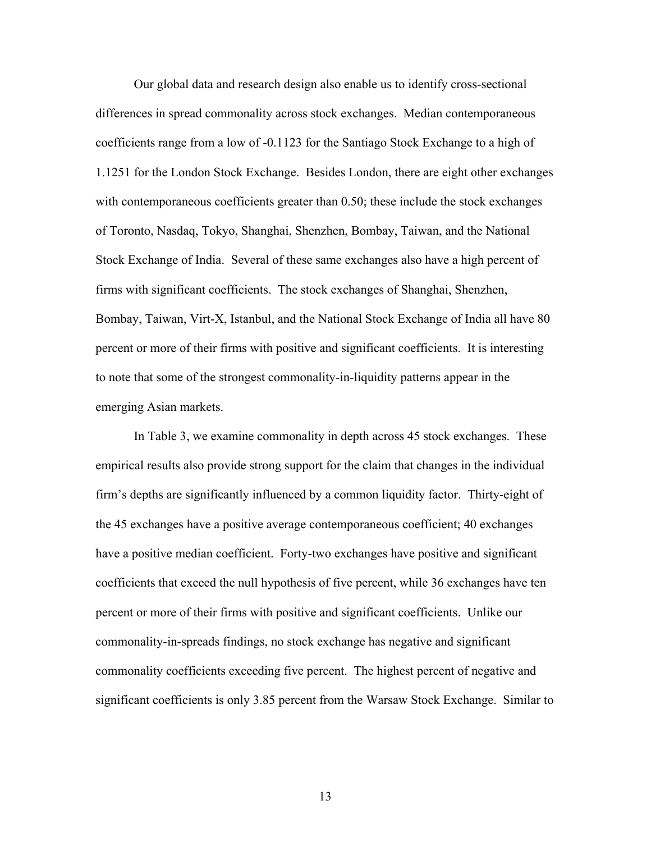Our global data and research design also enable us to identify cross-sectional differences in spread commonality across stock exchanges. Median contemporaneous coefficients range from a low of -0.1123 for the Santiago Stock Exchange to a high of 1.1251 for the London Stock Exchange. Besides London, there are eight other exchanges with contemporaneous coefficients greater than 0.50; these include the stock exchanges of Toronto, Nasdaq, Tokyo, Shanghai, Shenzhen, Bombay, Taiwan, and the National Stock Exchange of India. Several of these same exchanges also have a high percent of firms with significant coefficients. The stock exchanges of Shanghai, Shenzhen, Bombay, Taiwan, Virt-X, Istanbul, and the National Stock Exchange of India all have 80 percent or more of their firms with positive and significant coefficients. It is interesting to note that some of the strongest commonality-in-liquidity patterns appear in the emerging Asian markets.

 In Table 3, we examine commonality in depth across 45 stock exchanges. These empirical results also provide strong support for the claim that changes in the individual firm's depths are significantly influenced by a common liquidity factor. Thirty-eight of the 45 exchanges have a positive average contemporaneous coefficient; 40 exchanges have a positive median coefficient. Forty-two exchanges have positive and significant coefficients that exceed the null hypothesis of five percent, while 36 exchanges have ten percent or more of their firms with positive and significant coefficients. Unlike our commonality-in-spreads findings, no stock exchange has negative and significant commonality coefficients exceeding five percent. The highest percent of negative and significant coefficients is only 3.85 percent from the Warsaw Stock Exchange. Similar to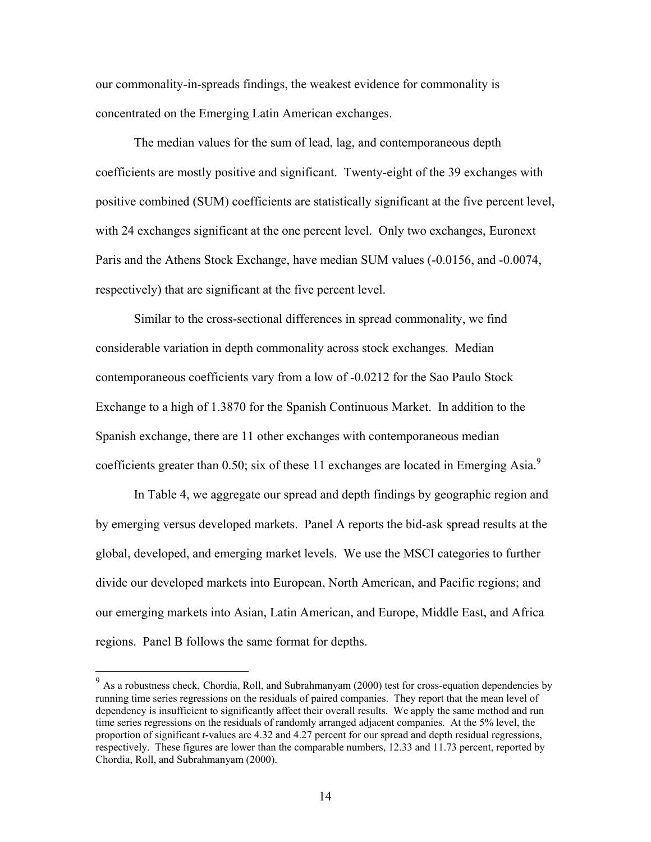our commonality-in-spreads findings, the weakest evidence for commonality is concentrated on the Emerging Latin American exchanges.

 The median values for the sum of lead, lag, and contemporaneous depth coefficients are mostly positive and significant. Twenty-eight of the 39 exchanges with positive combined (SUM) coefficients are statistically significant at the five percent level, with 24 exchanges significant at the one percent level. Only two exchanges, Euronext Paris and the Athens Stock Exchange, have median SUM values (-0.0156, and -0.0074, respectively) that are significant at the five percent level.

 Similar to the cross-sectional differences in spread commonality, we find considerable variation in depth commonality across stock exchanges. Median contemporaneous coefficients vary from a low of -0.0212 for the Sao Paulo Stock Exchange to a high of 1.3870 for the Spanish Continuous Market. In addition to the Spanish exchange, there are 11 other exchanges with contemporaneous median coefficients greater than 0.50; six of these 11 exchanges are located in Emerging Asia. $\degree$ 

 In Table 4, we aggregate our spread and depth findings by geographic region and by emerging versus developed markets. Panel A reports the bid-ask spread results at the global, developed, and emerging market levels. We use the MSCI categories to further divide our developed markets into European, North American, and Pacific regions; and our emerging markets into Asian, Latin American, and Europe, Middle East, and Africa regions. Panel B follows the same format for depths.

<u>.</u>

<sup>&</sup>lt;sup>9</sup> As a robustness check, Chordia, Roll, and Subrahmanyam (2000) test for cross-equation dependencies by running time series regressions on the residuals of paired companies. They report that the mean level of dependency is insufficient to significantly affect their overall results. We apply the same method and run time series regressions on the residuals of randomly arranged adjacent companies. At the 5% level, the proportion of significant *t*-values are 4.32 and 4.27 percent for our spread and depth residual regressions, respectively. These figures are lower than the comparable numbers, 12.33 and 11.73 percent, reported by Chordia, Roll, and Subrahmanyam (2000).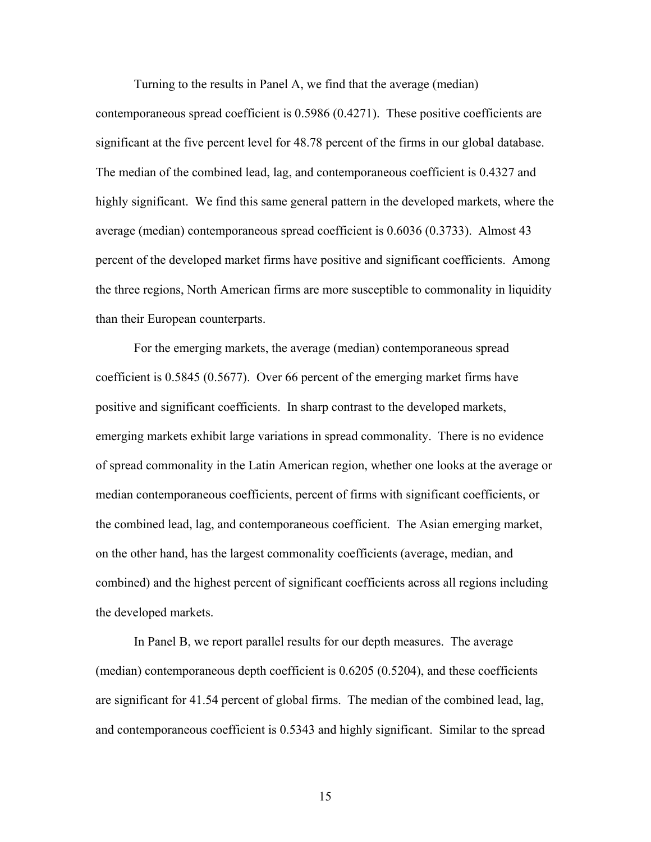Turning to the results in Panel A, we find that the average (median)

contemporaneous spread coefficient is 0.5986 (0.4271). These positive coefficients are significant at the five percent level for 48.78 percent of the firms in our global database. The median of the combined lead, lag, and contemporaneous coefficient is 0.4327 and highly significant. We find this same general pattern in the developed markets, where the average (median) contemporaneous spread coefficient is 0.6036 (0.3733). Almost 43 percent of the developed market firms have positive and significant coefficients. Among the three regions, North American firms are more susceptible to commonality in liquidity than their European counterparts.

For the emerging markets, the average (median) contemporaneous spread coefficient is 0.5845 (0.5677). Over 66 percent of the emerging market firms have positive and significant coefficients. In sharp contrast to the developed markets, emerging markets exhibit large variations in spread commonality. There is no evidence of spread commonality in the Latin American region, whether one looks at the average or median contemporaneous coefficients, percent of firms with significant coefficients, or the combined lead, lag, and contemporaneous coefficient. The Asian emerging market, on the other hand, has the largest commonality coefficients (average, median, and combined) and the highest percent of significant coefficients across all regions including the developed markets.

In Panel B, we report parallel results for our depth measures. The average (median) contemporaneous depth coefficient is 0.6205 (0.5204), and these coefficients are significant for 41.54 percent of global firms. The median of the combined lead, lag, and contemporaneous coefficient is 0.5343 and highly significant. Similar to the spread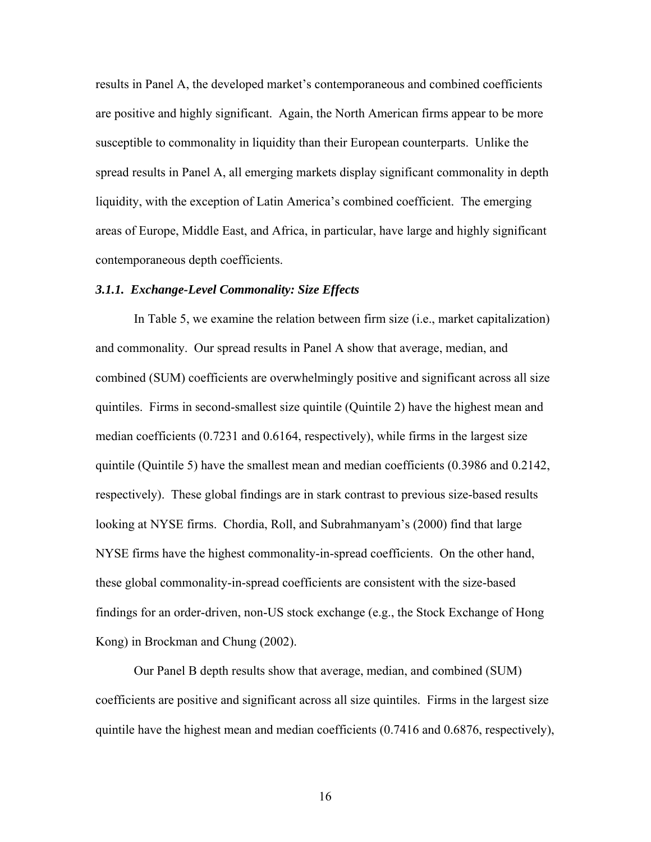results in Panel A, the developed market's contemporaneous and combined coefficients are positive and highly significant. Again, the North American firms appear to be more susceptible to commonality in liquidity than their European counterparts. Unlike the spread results in Panel A, all emerging markets display significant commonality in depth liquidity, with the exception of Latin America's combined coefficient. The emerging areas of Europe, Middle East, and Africa, in particular, have large and highly significant contemporaneous depth coefficients.

#### *3.1.1. Exchange-Level Commonality: Size Effects*

 In Table 5, we examine the relation between firm size (i.e., market capitalization) and commonality. Our spread results in Panel A show that average, median, and combined (SUM) coefficients are overwhelmingly positive and significant across all size quintiles. Firms in second-smallest size quintile (Quintile 2) have the highest mean and median coefficients (0.7231 and 0.6164, respectively), while firms in the largest size quintile (Quintile 5) have the smallest mean and median coefficients (0.3986 and 0.2142, respectively). These global findings are in stark contrast to previous size-based results looking at NYSE firms. Chordia, Roll, and Subrahmanyam's (2000) find that large NYSE firms have the highest commonality-in-spread coefficients. On the other hand, these global commonality-in-spread coefficients are consistent with the size-based findings for an order-driven, non-US stock exchange (e.g., the Stock Exchange of Hong Kong) in Brockman and Chung (2002).

 Our Panel B depth results show that average, median, and combined (SUM) coefficients are positive and significant across all size quintiles. Firms in the largest size quintile have the highest mean and median coefficients (0.7416 and 0.6876, respectively),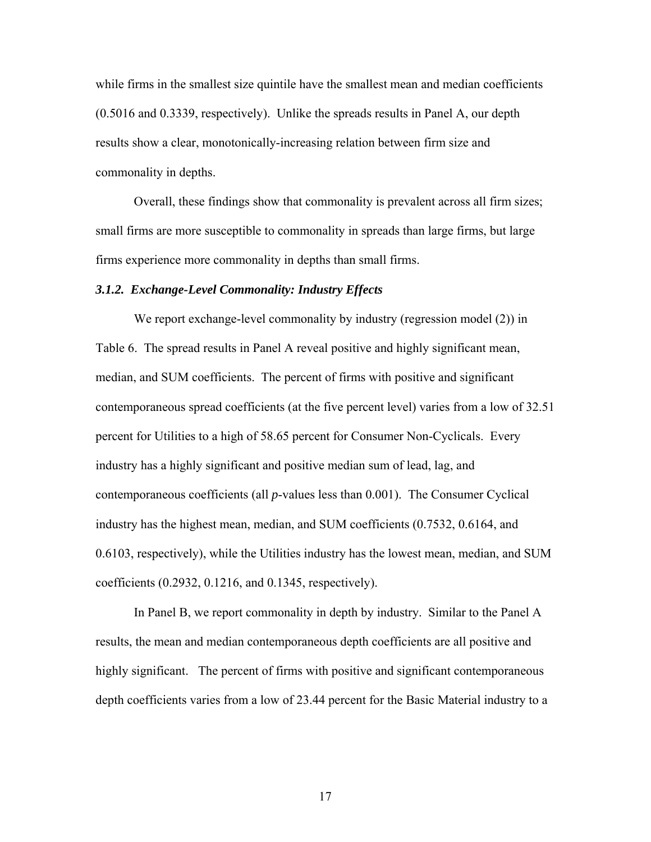while firms in the smallest size quintile have the smallest mean and median coefficients (0.5016 and 0.3339, respectively). Unlike the spreads results in Panel A, our depth results show a clear, monotonically-increasing relation between firm size and commonality in depths.

Overall, these findings show that commonality is prevalent across all firm sizes; small firms are more susceptible to commonality in spreads than large firms, but large firms experience more commonality in depths than small firms.

#### *3.1.2. Exchange-Level Commonality: Industry Effects*

We report exchange-level commonality by industry (regression model (2)) in Table 6. The spread results in Panel A reveal positive and highly significant mean, median, and SUM coefficients. The percent of firms with positive and significant contemporaneous spread coefficients (at the five percent level) varies from a low of 32.51 percent for Utilities to a high of 58.65 percent for Consumer Non-Cyclicals. Every industry has a highly significant and positive median sum of lead, lag, and contemporaneous coefficients (all *p*-values less than 0.001). The Consumer Cyclical industry has the highest mean, median, and SUM coefficients (0.7532, 0.6164, and 0.6103, respectively), while the Utilities industry has the lowest mean, median, and SUM coefficients (0.2932, 0.1216, and 0.1345, respectively).

In Panel B, we report commonality in depth by industry. Similar to the Panel A results, the mean and median contemporaneous depth coefficients are all positive and highly significant. The percent of firms with positive and significant contemporaneous depth coefficients varies from a low of 23.44 percent for the Basic Material industry to a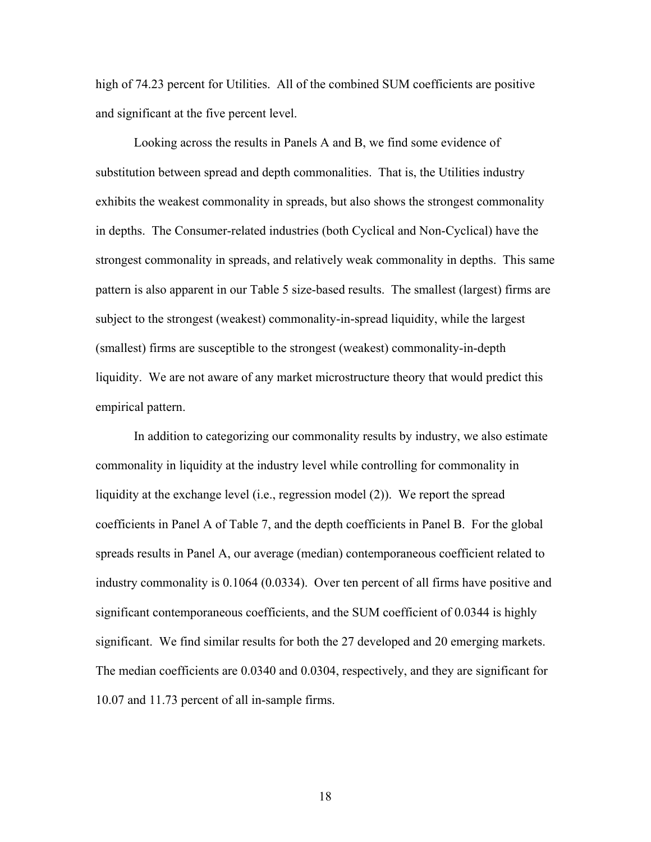high of 74.23 percent for Utilities. All of the combined SUM coefficients are positive and significant at the five percent level.

Looking across the results in Panels A and B, we find some evidence of substitution between spread and depth commonalities. That is, the Utilities industry exhibits the weakest commonality in spreads, but also shows the strongest commonality in depths. The Consumer-related industries (both Cyclical and Non-Cyclical) have the strongest commonality in spreads, and relatively weak commonality in depths. This same pattern is also apparent in our Table 5 size-based results. The smallest (largest) firms are subject to the strongest (weakest) commonality-in-spread liquidity, while the largest (smallest) firms are susceptible to the strongest (weakest) commonality-in-depth liquidity. We are not aware of any market microstructure theory that would predict this empirical pattern.

In addition to categorizing our commonality results by industry, we also estimate commonality in liquidity at the industry level while controlling for commonality in liquidity at the exchange level (i.e., regression model (2)). We report the spread coefficients in Panel A of Table 7, and the depth coefficients in Panel B. For the global spreads results in Panel A, our average (median) contemporaneous coefficient related to industry commonality is 0.1064 (0.0334). Over ten percent of all firms have positive and significant contemporaneous coefficients, and the SUM coefficient of 0.0344 is highly significant. We find similar results for both the 27 developed and 20 emerging markets. The median coefficients are 0.0340 and 0.0304, respectively, and they are significant for 10.07 and 11.73 percent of all in-sample firms.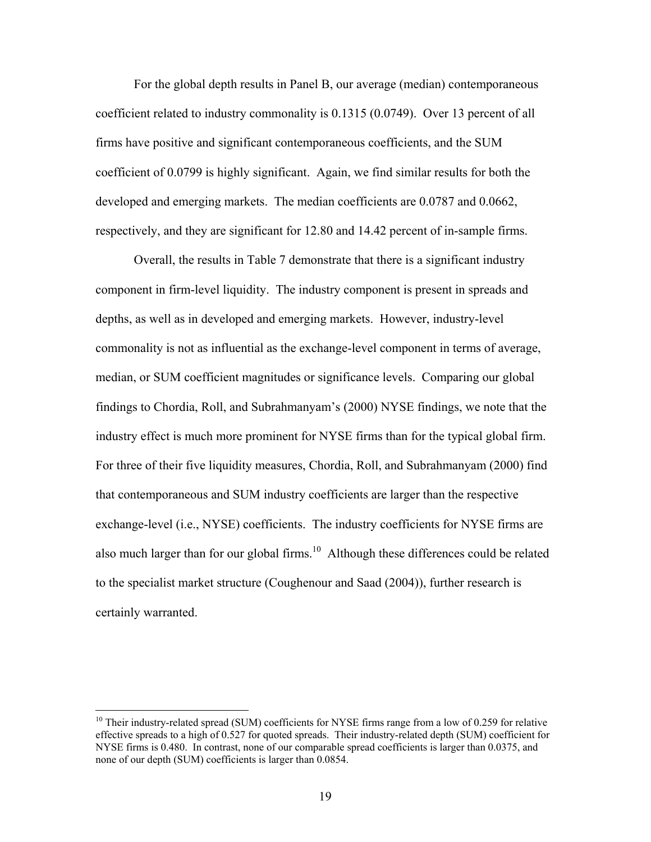For the global depth results in Panel B, our average (median) contemporaneous coefficient related to industry commonality is 0.1315 (0.0749). Over 13 percent of all firms have positive and significant contemporaneous coefficients, and the SUM coefficient of 0.0799 is highly significant. Again, we find similar results for both the developed and emerging markets. The median coefficients are 0.0787 and 0.0662, respectively, and they are significant for 12.80 and 14.42 percent of in-sample firms.

Overall, the results in Table 7 demonstrate that there is a significant industry component in firm-level liquidity. The industry component is present in spreads and depths, as well as in developed and emerging markets. However, industry-level commonality is not as influential as the exchange-level component in terms of average, median, or SUM coefficient magnitudes or significance levels. Comparing our global findings to Chordia, Roll, and Subrahmanyam's (2000) NYSE findings, we note that the industry effect is much more prominent for NYSE firms than for the typical global firm. For three of their five liquidity measures, Chordia, Roll, and Subrahmanyam (2000) find that contemporaneous and SUM industry coefficients are larger than the respective exchange-level (i.e., NYSE) coefficients. The industry coefficients for NYSE firms are also much larger than for our global firms.<sup>10</sup> Although these differences could be related to the specialist market structure (Coughenour and Saad (2004)), further research is certainly warranted.

 $\overline{a}$ 

 $10$  Their industry-related spread (SUM) coefficients for NYSE firms range from a low of 0.259 for relative effective spreads to a high of 0.527 for quoted spreads. Their industry-related depth (SUM) coefficient for NYSE firms is 0.480. In contrast, none of our comparable spread coefficients is larger than 0.0375, and none of our depth (SUM) coefficients is larger than 0.0854.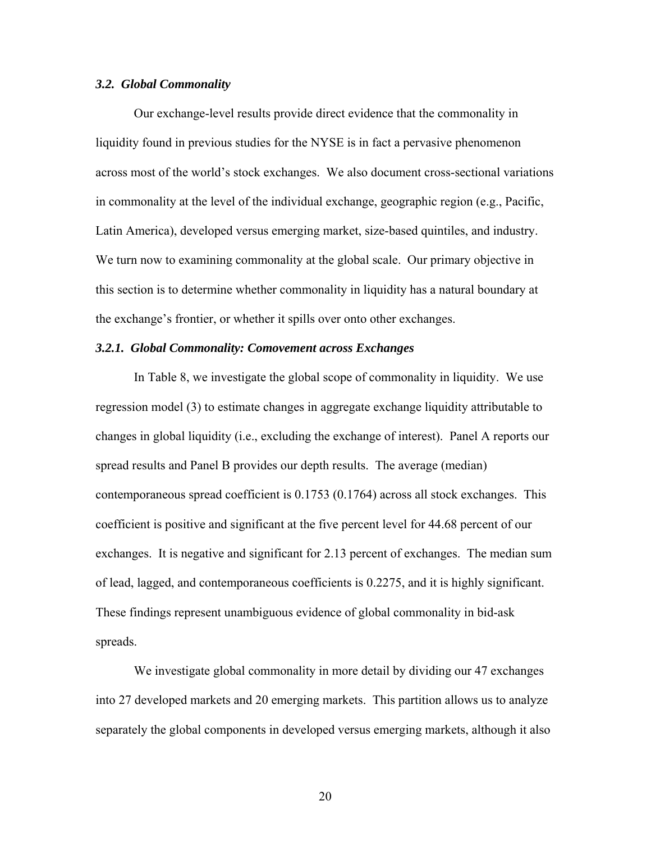#### *3.2. Global Commonality*

 Our exchange-level results provide direct evidence that the commonality in liquidity found in previous studies for the NYSE is in fact a pervasive phenomenon across most of the world's stock exchanges. We also document cross-sectional variations in commonality at the level of the individual exchange, geographic region (e.g., Pacific, Latin America), developed versus emerging market, size-based quintiles, and industry. We turn now to examining commonality at the global scale. Our primary objective in this section is to determine whether commonality in liquidity has a natural boundary at the exchange's frontier, or whether it spills over onto other exchanges.

#### *3.2.1. Global Commonality: Comovement across Exchanges*

 In Table 8, we investigate the global scope of commonality in liquidity. We use regression model (3) to estimate changes in aggregate exchange liquidity attributable to changes in global liquidity (i.e., excluding the exchange of interest). Panel A reports our spread results and Panel B provides our depth results. The average (median) contemporaneous spread coefficient is 0.1753 (0.1764) across all stock exchanges. This coefficient is positive and significant at the five percent level for 44.68 percent of our exchanges. It is negative and significant for 2.13 percent of exchanges. The median sum of lead, lagged, and contemporaneous coefficients is 0.2275, and it is highly significant. These findings represent unambiguous evidence of global commonality in bid-ask spreads.

We investigate global commonality in more detail by dividing our 47 exchanges into 27 developed markets and 20 emerging markets. This partition allows us to analyze separately the global components in developed versus emerging markets, although it also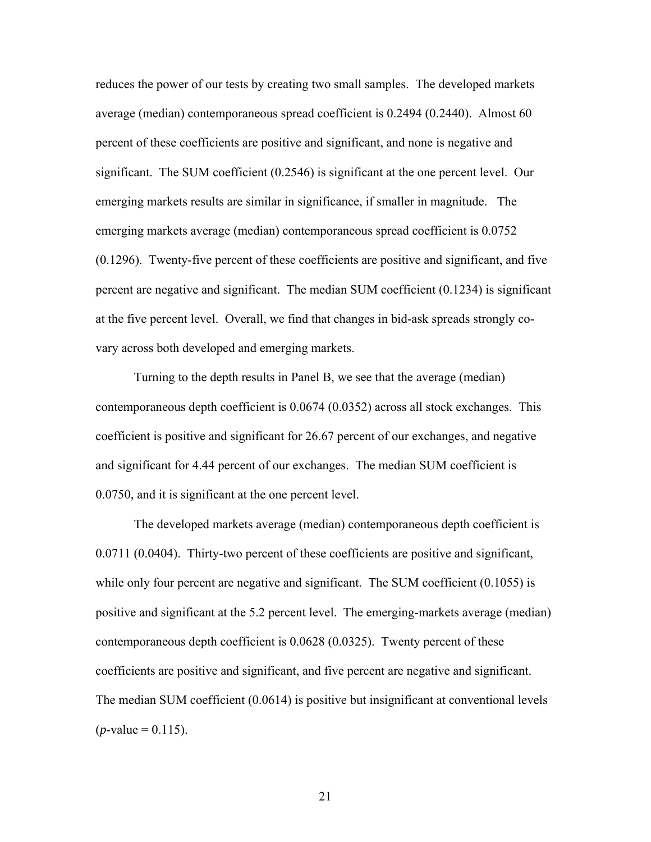reduces the power of our tests by creating two small samples. The developed markets average (median) contemporaneous spread coefficient is 0.2494 (0.2440). Almost 60 percent of these coefficients are positive and significant, and none is negative and significant. The SUM coefficient (0.2546) is significant at the one percent level. Our emerging markets results are similar in significance, if smaller in magnitude. The emerging markets average (median) contemporaneous spread coefficient is 0.0752 (0.1296). Twenty-five percent of these coefficients are positive and significant, and five percent are negative and significant. The median SUM coefficient (0.1234) is significant at the five percent level. Overall, we find that changes in bid-ask spreads strongly covary across both developed and emerging markets.

 Turning to the depth results in Panel B, we see that the average (median) contemporaneous depth coefficient is 0.0674 (0.0352) across all stock exchanges. This coefficient is positive and significant for 26.67 percent of our exchanges, and negative and significant for 4.44 percent of our exchanges. The median SUM coefficient is 0.0750, and it is significant at the one percent level.

The developed markets average (median) contemporaneous depth coefficient is 0.0711 (0.0404). Thirty-two percent of these coefficients are positive and significant, while only four percent are negative and significant. The SUM coefficient  $(0.1055)$  is positive and significant at the 5.2 percent level. The emerging-markets average (median) contemporaneous depth coefficient is 0.0628 (0.0325). Twenty percent of these coefficients are positive and significant, and five percent are negative and significant. The median SUM coefficient (0.0614) is positive but insignificant at conventional levels  $(p$ -value = 0.115).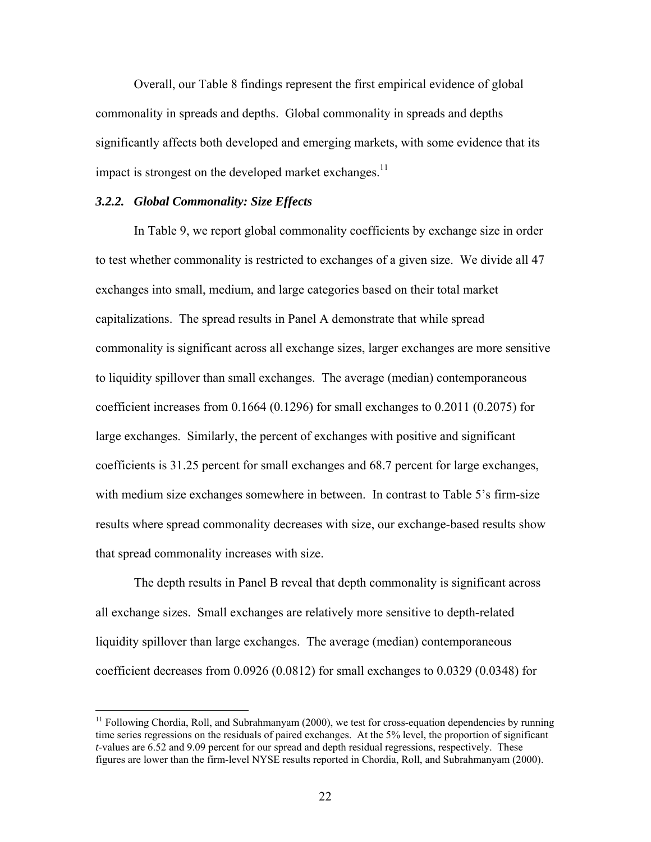Overall, our Table 8 findings represent the first empirical evidence of global commonality in spreads and depths. Global commonality in spreads and depths significantly affects both developed and emerging markets, with some evidence that its impact is strongest on the developed market exchanges.<sup>11</sup>

#### *3.2.2. Global Commonality: Size Effects*

 $\overline{a}$ 

In Table 9, we report global commonality coefficients by exchange size in order to test whether commonality is restricted to exchanges of a given size. We divide all 47 exchanges into small, medium, and large categories based on their total market capitalizations. The spread results in Panel A demonstrate that while spread commonality is significant across all exchange sizes, larger exchanges are more sensitive to liquidity spillover than small exchanges. The average (median) contemporaneous coefficient increases from 0.1664 (0.1296) for small exchanges to 0.2011 (0.2075) for large exchanges. Similarly, the percent of exchanges with positive and significant coefficients is 31.25 percent for small exchanges and 68.7 percent for large exchanges, with medium size exchanges somewhere in between. In contrast to Table 5's firm-size results where spread commonality decreases with size, our exchange-based results show that spread commonality increases with size.

The depth results in Panel B reveal that depth commonality is significant across all exchange sizes. Small exchanges are relatively more sensitive to depth-related liquidity spillover than large exchanges. The average (median) contemporaneous coefficient decreases from 0.0926 (0.0812) for small exchanges to 0.0329 (0.0348) for

 $11$  Following Chordia, Roll, and Subrahmanyam (2000), we test for cross-equation dependencies by running time series regressions on the residuals of paired exchanges. At the 5% level, the proportion of significant *t*-values are 6.52 and 9.09 percent for our spread and depth residual regressions, respectively. These figures are lower than the firm-level NYSE results reported in Chordia, Roll, and Subrahmanyam (2000).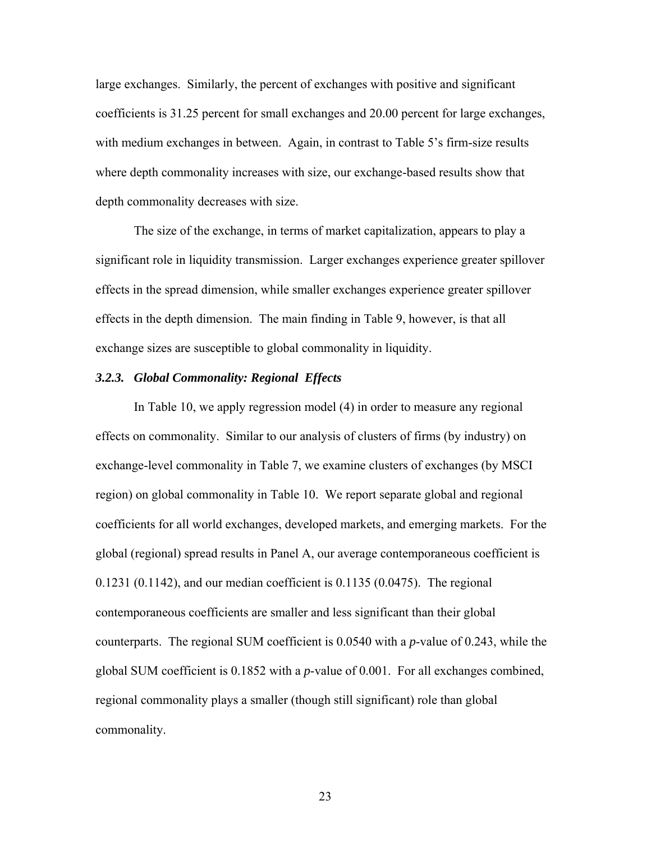large exchanges. Similarly, the percent of exchanges with positive and significant coefficients is 31.25 percent for small exchanges and 20.00 percent for large exchanges, with medium exchanges in between. Again, in contrast to Table 5's firm-size results where depth commonality increases with size, our exchange-based results show that depth commonality decreases with size.

The size of the exchange, in terms of market capitalization, appears to play a significant role in liquidity transmission. Larger exchanges experience greater spillover effects in the spread dimension, while smaller exchanges experience greater spillover effects in the depth dimension. The main finding in Table 9, however, is that all exchange sizes are susceptible to global commonality in liquidity.

#### *3.2.3. Global Commonality: Regional Effects*

In Table 10, we apply regression model (4) in order to measure any regional effects on commonality. Similar to our analysis of clusters of firms (by industry) on exchange-level commonality in Table 7, we examine clusters of exchanges (by MSCI region) on global commonality in Table 10. We report separate global and regional coefficients for all world exchanges, developed markets, and emerging markets. For the global (regional) spread results in Panel A, our average contemporaneous coefficient is 0.1231 (0.1142), and our median coefficient is 0.1135 (0.0475). The regional contemporaneous coefficients are smaller and less significant than their global counterparts. The regional SUM coefficient is 0.0540 with a *p*-value of 0.243, while the global SUM coefficient is 0.1852 with a *p*-value of 0.001. For all exchanges combined, regional commonality plays a smaller (though still significant) role than global commonality.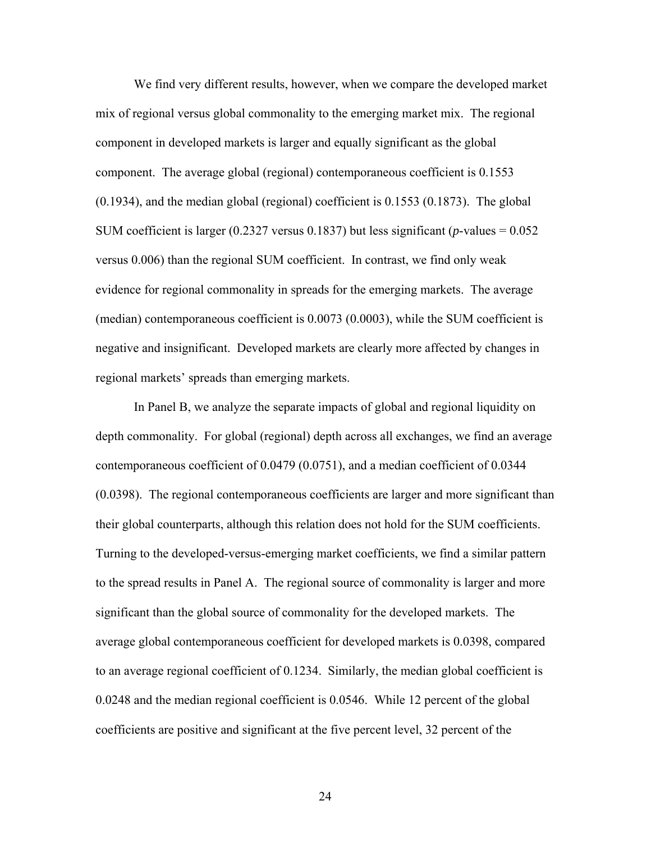We find very different results, however, when we compare the developed market mix of regional versus global commonality to the emerging market mix. The regional component in developed markets is larger and equally significant as the global component. The average global (regional) contemporaneous coefficient is 0.1553 (0.1934), and the median global (regional) coefficient is 0.1553 (0.1873). The global SUM coefficient is larger (0.2327 versus 0.1837) but less significant (*p*-values = 0.052 versus 0.006) than the regional SUM coefficient. In contrast, we find only weak evidence for regional commonality in spreads for the emerging markets. The average (median) contemporaneous coefficient is 0.0073 (0.0003), while the SUM coefficient is negative and insignificant. Developed markets are clearly more affected by changes in regional markets' spreads than emerging markets.

In Panel B, we analyze the separate impacts of global and regional liquidity on depth commonality. For global (regional) depth across all exchanges, we find an average contemporaneous coefficient of 0.0479 (0.0751), and a median coefficient of 0.0344 (0.0398). The regional contemporaneous coefficients are larger and more significant than their global counterparts, although this relation does not hold for the SUM coefficients. Turning to the developed-versus-emerging market coefficients, we find a similar pattern to the spread results in Panel A. The regional source of commonality is larger and more significant than the global source of commonality for the developed markets. The average global contemporaneous coefficient for developed markets is 0.0398, compared to an average regional coefficient of 0.1234. Similarly, the median global coefficient is 0.0248 and the median regional coefficient is 0.0546. While 12 percent of the global coefficients are positive and significant at the five percent level, 32 percent of the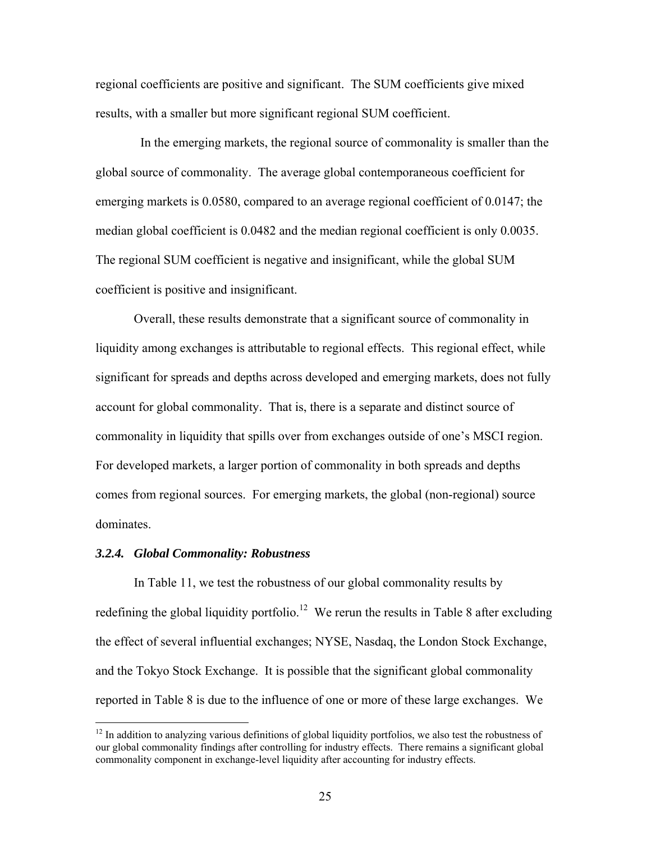regional coefficients are positive and significant. The SUM coefficients give mixed results, with a smaller but more significant regional SUM coefficient.

 In the emerging markets, the regional source of commonality is smaller than the global source of commonality. The average global contemporaneous coefficient for emerging markets is 0.0580, compared to an average regional coefficient of 0.0147; the median global coefficient is 0.0482 and the median regional coefficient is only 0.0035. The regional SUM coefficient is negative and insignificant, while the global SUM coefficient is positive and insignificant.

Overall, these results demonstrate that a significant source of commonality in liquidity among exchanges is attributable to regional effects. This regional effect, while significant for spreads and depths across developed and emerging markets, does not fully account for global commonality. That is, there is a separate and distinct source of commonality in liquidity that spills over from exchanges outside of one's MSCI region. For developed markets, a larger portion of commonality in both spreads and depths comes from regional sources. For emerging markets, the global (non-regional) source dominates.

#### *3.2.4. Global Commonality: Robustness*

 $\overline{a}$ 

In Table 11, we test the robustness of our global commonality results by redefining the global liquidity portfolio.<sup>12</sup> We rerun the results in Table 8 after excluding the effect of several influential exchanges; NYSE, Nasdaq, the London Stock Exchange, and the Tokyo Stock Exchange. It is possible that the significant global commonality reported in Table 8 is due to the influence of one or more of these large exchanges. We

<sup>&</sup>lt;sup>12</sup> In addition to analyzing various definitions of global liquidity portfolios, we also test the robustness of our global commonality findings after controlling for industry effects. There remains a significant global commonality component in exchange-level liquidity after accounting for industry effects.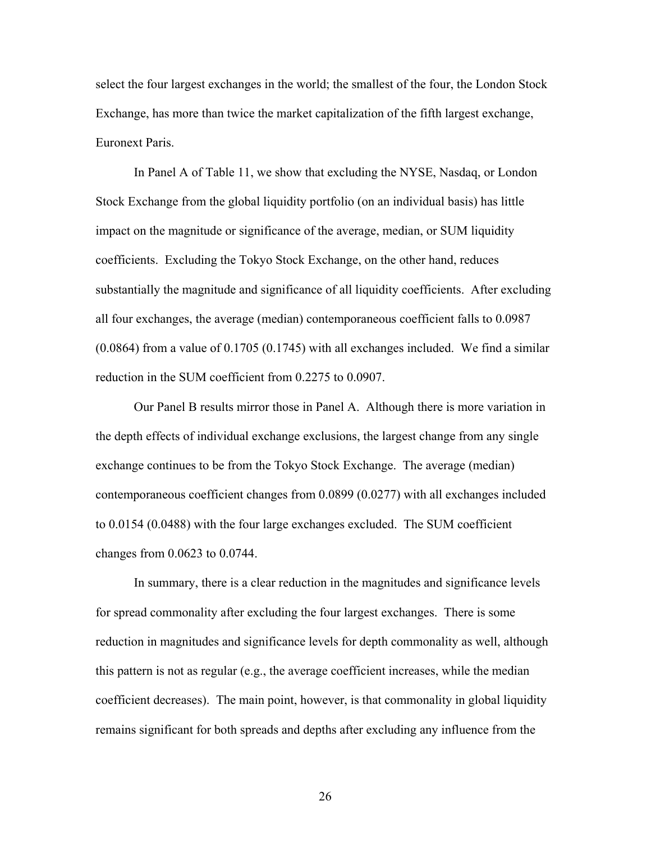select the four largest exchanges in the world; the smallest of the four, the London Stock Exchange, has more than twice the market capitalization of the fifth largest exchange, Euronext Paris.

In Panel A of Table 11, we show that excluding the NYSE, Nasdaq, or London Stock Exchange from the global liquidity portfolio (on an individual basis) has little impact on the magnitude or significance of the average, median, or SUM liquidity coefficients. Excluding the Tokyo Stock Exchange, on the other hand, reduces substantially the magnitude and significance of all liquidity coefficients. After excluding all four exchanges, the average (median) contemporaneous coefficient falls to 0.0987 (0.0864) from a value of 0.1705 (0.1745) with all exchanges included. We find a similar reduction in the SUM coefficient from 0.2275 to 0.0907.

Our Panel B results mirror those in Panel A. Although there is more variation in the depth effects of individual exchange exclusions, the largest change from any single exchange continues to be from the Tokyo Stock Exchange. The average (median) contemporaneous coefficient changes from 0.0899 (0.0277) with all exchanges included to 0.0154 (0.0488) with the four large exchanges excluded. The SUM coefficient changes from 0.0623 to 0.0744.

In summary, there is a clear reduction in the magnitudes and significance levels for spread commonality after excluding the four largest exchanges. There is some reduction in magnitudes and significance levels for depth commonality as well, although this pattern is not as regular (e.g., the average coefficient increases, while the median coefficient decreases). The main point, however, is that commonality in global liquidity remains significant for both spreads and depths after excluding any influence from the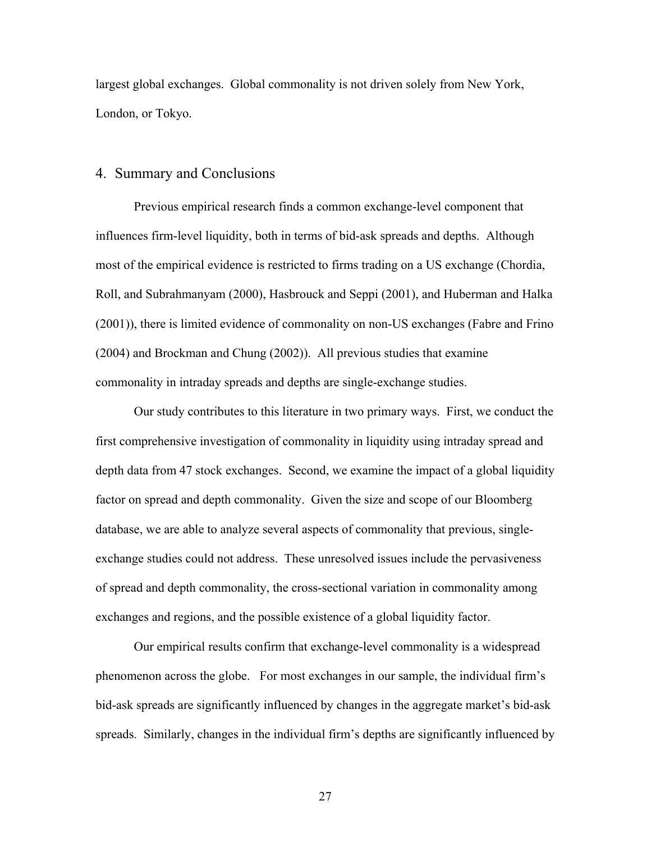largest global exchanges. Global commonality is not driven solely from New York, London, or Tokyo.

# 4. Summary and Conclusions

Previous empirical research finds a common exchange-level component that influences firm-level liquidity, both in terms of bid-ask spreads and depths. Although most of the empirical evidence is restricted to firms trading on a US exchange (Chordia, Roll, and Subrahmanyam (2000), Hasbrouck and Seppi (2001), and Huberman and Halka (2001)), there is limited evidence of commonality on non-US exchanges (Fabre and Frino (2004) and Brockman and Chung (2002)). All previous studies that examine commonality in intraday spreads and depths are single-exchange studies.

Our study contributes to this literature in two primary ways. First, we conduct the first comprehensive investigation of commonality in liquidity using intraday spread and depth data from 47 stock exchanges. Second, we examine the impact of a global liquidity factor on spread and depth commonality. Given the size and scope of our Bloomberg database, we are able to analyze several aspects of commonality that previous, singleexchange studies could not address. These unresolved issues include the pervasiveness of spread and depth commonality, the cross-sectional variation in commonality among exchanges and regions, and the possible existence of a global liquidity factor.

Our empirical results confirm that exchange-level commonality is a widespread phenomenon across the globe. For most exchanges in our sample, the individual firm's bid-ask spreads are significantly influenced by changes in the aggregate market's bid-ask spreads. Similarly, changes in the individual firm's depths are significantly influenced by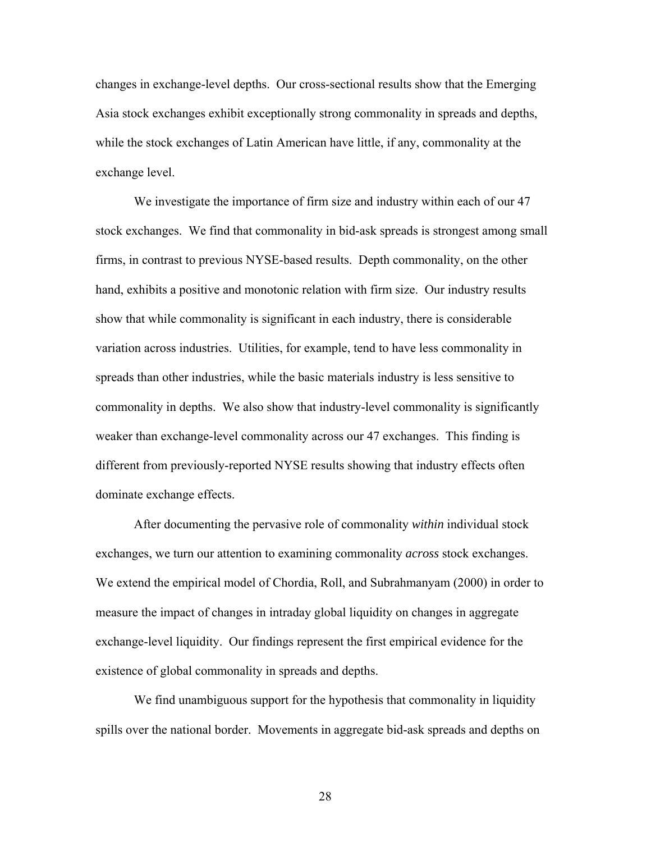changes in exchange-level depths. Our cross-sectional results show that the Emerging Asia stock exchanges exhibit exceptionally strong commonality in spreads and depths, while the stock exchanges of Latin American have little, if any, commonality at the exchange level.

We investigate the importance of firm size and industry within each of our 47 stock exchanges. We find that commonality in bid-ask spreads is strongest among small firms, in contrast to previous NYSE-based results. Depth commonality, on the other hand, exhibits a positive and monotonic relation with firm size. Our industry results show that while commonality is significant in each industry, there is considerable variation across industries. Utilities, for example, tend to have less commonality in spreads than other industries, while the basic materials industry is less sensitive to commonality in depths. We also show that industry-level commonality is significantly weaker than exchange-level commonality across our 47 exchanges. This finding is different from previously-reported NYSE results showing that industry effects often dominate exchange effects.

After documenting the pervasive role of commonality *within* individual stock exchanges, we turn our attention to examining commonality *across* stock exchanges. We extend the empirical model of Chordia, Roll, and Subrahmanyam (2000) in order to measure the impact of changes in intraday global liquidity on changes in aggregate exchange-level liquidity. Our findings represent the first empirical evidence for the existence of global commonality in spreads and depths.

We find unambiguous support for the hypothesis that commonality in liquidity spills over the national border. Movements in aggregate bid-ask spreads and depths on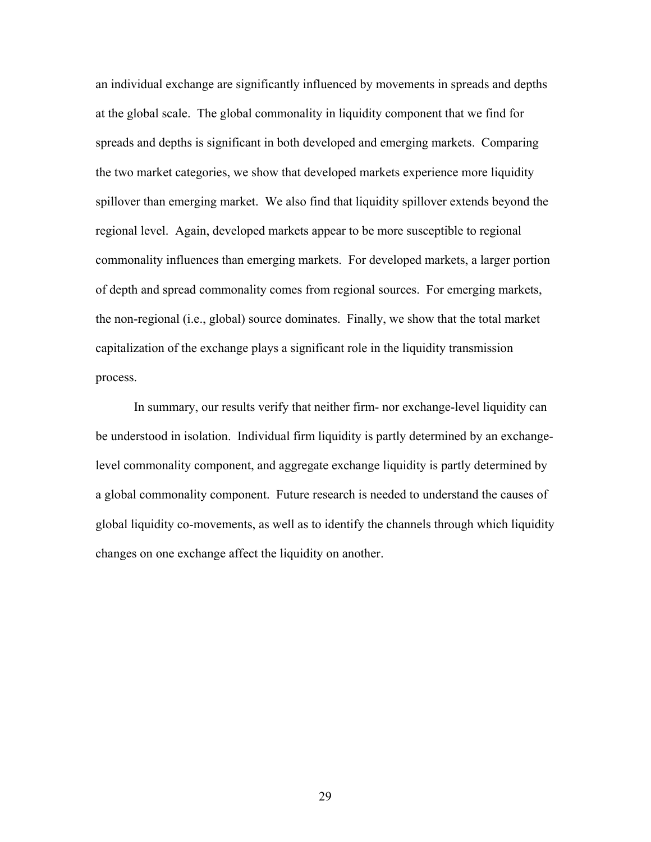an individual exchange are significantly influenced by movements in spreads and depths at the global scale. The global commonality in liquidity component that we find for spreads and depths is significant in both developed and emerging markets. Comparing the two market categories, we show that developed markets experience more liquidity spillover than emerging market. We also find that liquidity spillover extends beyond the regional level. Again, developed markets appear to be more susceptible to regional commonality influences than emerging markets. For developed markets, a larger portion of depth and spread commonality comes from regional sources. For emerging markets, the non-regional (i.e., global) source dominates. Finally, we show that the total market capitalization of the exchange plays a significant role in the liquidity transmission process.

In summary, our results verify that neither firm- nor exchange-level liquidity can be understood in isolation. Individual firm liquidity is partly determined by an exchangelevel commonality component, and aggregate exchange liquidity is partly determined by a global commonality component. Future research is needed to understand the causes of global liquidity co-movements, as well as to identify the channels through which liquidity changes on one exchange affect the liquidity on another.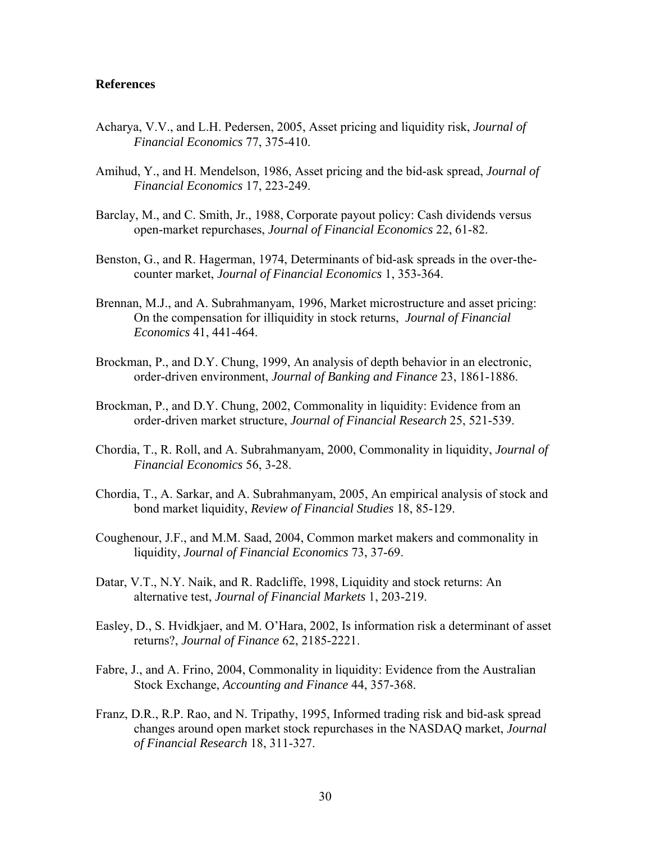#### **References**

- Acharya, V.V., and L.H. Pedersen, 2005, Asset pricing and liquidity risk, *Journal of Financial Economics* 77, 375-410.
- Amihud, Y., and H. Mendelson, 1986, Asset pricing and the bid-ask spread, *Journal of Financial Economics* 17, 223-249.
- Barclay, M., and C. Smith, Jr., 1988, Corporate payout policy: Cash dividends versus open-market repurchases, *Journal of Financial Economics* 22, 61-82.
- Benston, G., and R. Hagerman, 1974, Determinants of bid-ask spreads in the over-thecounter market, *Journal of Financial Economics* 1, 353-364.
- Brennan, M.J., and A. Subrahmanyam, 1996, Market microstructure and asset pricing: On the compensation for illiquidity in stock returns, *Journal of Financial Economics* 41, 441-464.
- Brockman, P., and D.Y. Chung, 1999, An analysis of depth behavior in an electronic, order-driven environment, *Journal of Banking and Finance* 23, 1861-1886.
- Brockman, P., and D.Y. Chung, 2002, Commonality in liquidity: Evidence from an order-driven market structure, *Journal of Financial Research* 25, 521-539.
- Chordia, T., R. Roll, and A. Subrahmanyam, 2000, Commonality in liquidity, *Journal of Financial Economics* 56, 3-28.
- Chordia, T., A. Sarkar, and A. Subrahmanyam, 2005, An empirical analysis of stock and bond market liquidity, *Review of Financial Studies* 18, 85-129.
- Coughenour, J.F., and M.M. Saad, 2004, Common market makers and commonality in liquidity, *Journal of Financial Economics* 73, 37-69.
- Datar, V.T., N.Y. Naik, and R. Radcliffe, 1998, Liquidity and stock returns: An alternative test, *Journal of Financial Markets* 1, 203-219.
- Easley, D., S. Hvidkjaer, and M. O'Hara, 2002, Is information risk a determinant of asset returns?, *Journal of Finance* 62, 2185-2221.
- Fabre, J., and A. Frino, 2004, Commonality in liquidity: Evidence from the Australian Stock Exchange, *Accounting and Finance* 44, 357-368.
- Franz, D.R., R.P. Rao, and N. Tripathy, 1995, Informed trading risk and bid-ask spread changes around open market stock repurchases in the NASDAQ market, *Journal of Financial Research* 18, 311-327.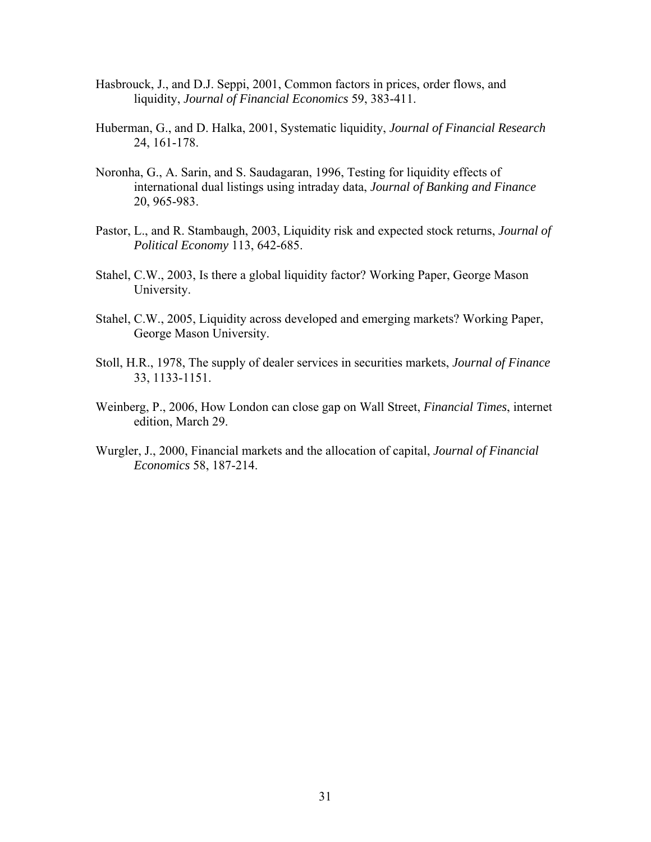- Hasbrouck, J., and D.J. Seppi, 2001, Common factors in prices, order flows, and liquidity, *Journal of Financial Economics* 59, 383-411.
- Huberman, G., and D. Halka, 2001, Systematic liquidity, *Journal of Financial Research* 24, 161-178.
- Noronha, G., A. Sarin, and S. Saudagaran, 1996, Testing for liquidity effects of international dual listings using intraday data, *Journal of Banking and Finance* 20, 965-983.
- Pastor, L., and R. Stambaugh, 2003, Liquidity risk and expected stock returns, *Journal of Political Economy* 113, 642-685.
- Stahel, C.W., 2003, Is there a global liquidity factor? Working Paper, George Mason University.
- Stahel, C.W., 2005, Liquidity across developed and emerging markets? Working Paper, George Mason University.
- Stoll, H.R., 1978, The supply of dealer services in securities markets, *Journal of Finance* 33, 1133-1151.
- Weinberg, P., 2006, How London can close gap on Wall Street, *Financial Times*, internet edition, March 29.
- Wurgler, J., 2000, Financial markets and the allocation of capital, *Journal of Financial Economics* 58, 187-214.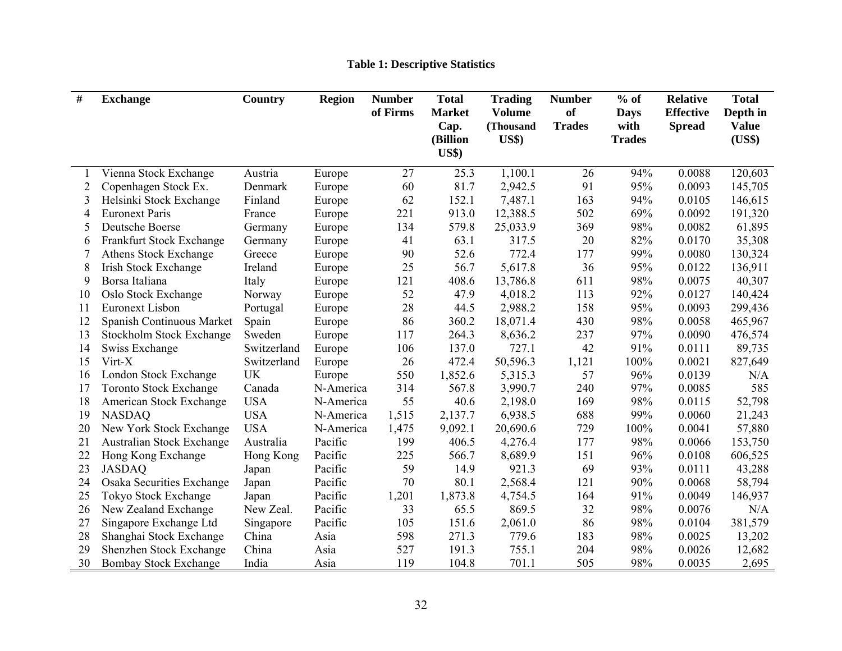| #  | <b>Exchange</b>                  | Country     | <b>Region</b> | <b>Number</b><br>of Firms | <b>Total</b><br><b>Market</b><br>Cap.<br>(Billion<br>$\mathbf{U}\mathbf{S}\mathbf{\$}$ | <b>Trading</b><br><b>Volume</b><br>(Thousand<br><b>US\$)</b> | <b>Number</b><br>of<br><b>Trades</b> | $%$ of<br><b>Days</b><br>with<br><b>Trades</b> | <b>Relative</b><br><b>Effective</b><br><b>Spread</b> | <b>Total</b><br>Depth in<br><b>Value</b><br>(US\$) |
|----|----------------------------------|-------------|---------------|---------------------------|----------------------------------------------------------------------------------------|--------------------------------------------------------------|--------------------------------------|------------------------------------------------|------------------------------------------------------|----------------------------------------------------|
|    | Vienna Stock Exchange            | Austria     | Europe        | 27                        | 25.3                                                                                   | $1,100.\overline{1}$                                         | 26                                   | 94%                                            | 0.0088                                               | 120,603                                            |
| 2  | Copenhagen Stock Ex.             | Denmark     | Europe        | 60                        | 81.7                                                                                   | 2,942.5                                                      | 91                                   | 95%                                            | 0.0093                                               | 145,705                                            |
| 3  | Helsinki Stock Exchange          | Finland     | Europe        | 62                        | 152.1                                                                                  | 7,487.1                                                      | 163                                  | 94%                                            | 0.0105                                               | 146,615                                            |
| 4  | <b>Euronext Paris</b>            | France      | Europe        | 221                       | 913.0                                                                                  | 12,388.5                                                     | 502                                  | 69%                                            | 0.0092                                               | 191,320                                            |
| 5  | Deutsche Boerse                  | Germany     | Europe        | 134                       | 579.8                                                                                  | 25,033.9                                                     | 369                                  | 98%                                            | 0.0082                                               | 61,895                                             |
| 6  | Frankfurt Stock Exchange         | Germany     | Europe        | 41                        | 63.1                                                                                   | 317.5                                                        | 20                                   | 82%                                            | 0.0170                                               | 35,308                                             |
| 7  | Athens Stock Exchange            | Greece      | Europe        | 90                        | 52.6                                                                                   | 772.4                                                        | 177                                  | 99%                                            | 0.0080                                               | 130,324                                            |
| 8  | <b>Irish Stock Exchange</b>      | Ireland     | Europe        | 25                        | 56.7                                                                                   | 5,617.8                                                      | 36                                   | 95%                                            | 0.0122                                               | 136,911                                            |
| 9  | Borsa Italiana                   | Italy       | Europe        | 121                       | 408.6                                                                                  | 13,786.8                                                     | 611                                  | 98%                                            | 0.0075                                               | 40,307                                             |
| 10 | Oslo Stock Exchange              | Norway      | Europe        | 52                        | 47.9                                                                                   | 4,018.2                                                      | 113                                  | 92%                                            | 0.0127                                               | 140,424                                            |
| 11 | <b>Euronext Lisbon</b>           | Portugal    | Europe        | 28                        | 44.5                                                                                   | 2,988.2                                                      | 158                                  | 95%                                            | 0.0093                                               | 299,436                                            |
| 12 | Spanish Continuous Market        | Spain       | Europe        | 86                        | 360.2                                                                                  | 18,071.4                                                     | 430                                  | 98%                                            | 0.0058                                               | 465,967                                            |
| 13 | <b>Stockholm Stock Exchange</b>  | Sweden      | Europe        | 117                       | 264.3                                                                                  | 8,636.2                                                      | 237                                  | 97%                                            | 0.0090                                               | 476,574                                            |
| 14 | Swiss Exchange                   | Switzerland | Europe        | 106                       | 137.0                                                                                  | 727.1                                                        | 42                                   | 91%                                            | 0.0111                                               | 89,735                                             |
| 15 | Virt-X                           | Switzerland | Europe        | 26                        | 472.4                                                                                  | 50,596.3                                                     | 1,121                                | 100%                                           | 0.0021                                               | 827,649                                            |
| 16 | London Stock Exchange            | <b>UK</b>   | Europe        | 550                       | 1,852.6                                                                                | 5,315.3                                                      | 57                                   | 96%                                            | 0.0139                                               | N/A                                                |
| 17 | <b>Toronto Stock Exchange</b>    | Canada      | N-America     | 314                       | 567.8                                                                                  | 3,990.7                                                      | 240                                  | 97%                                            | 0.0085                                               | 585                                                |
| 18 | American Stock Exchange          | <b>USA</b>  | N-America     | 55                        | 40.6                                                                                   | 2,198.0                                                      | 169                                  | 98%                                            | 0.0115                                               | 52,798                                             |
| 19 | <b>NASDAQ</b>                    | <b>USA</b>  | N-America     | 1,515                     | 2,137.7                                                                                | 6,938.5                                                      | 688                                  | 99%                                            | 0.0060                                               | 21,243                                             |
| 20 | New York Stock Exchange          | <b>USA</b>  | N-America     | 1,475                     | 9,092.1                                                                                | 20,690.6                                                     | 729                                  | 100%                                           | 0.0041                                               | 57,880                                             |
| 21 | <b>Australian Stock Exchange</b> | Australia   | Pacific       | 199                       | 406.5                                                                                  | 4,276.4                                                      | 177                                  | 98%                                            | 0.0066                                               | 153,750                                            |
| 22 | Hong Kong Exchange               | Hong Kong   | Pacific       | 225                       | 566.7                                                                                  | 8,689.9                                                      | 151                                  | 96%                                            | 0.0108                                               | 606,525                                            |
| 23 | <b>JASDAQ</b>                    | Japan       | Pacific       | 59                        | 14.9                                                                                   | 921.3                                                        | 69                                   | 93%                                            | 0.0111                                               | 43,288                                             |
| 24 | <b>Osaka Securities Exchange</b> | Japan       | Pacific       | 70                        | 80.1                                                                                   | 2,568.4                                                      | 121                                  | 90%                                            | 0.0068                                               | 58,794                                             |
| 25 | Tokyo Stock Exchange             | Japan       | Pacific       | 1,201                     | 1,873.8                                                                                | 4,754.5                                                      | 164                                  | 91%                                            | 0.0049                                               | 146,937                                            |
| 26 | New Zealand Exchange             | New Zeal.   | Pacific       | 33                        | 65.5                                                                                   | 869.5                                                        | 32                                   | 98%                                            | 0.0076                                               | N/A                                                |
| 27 | Singapore Exchange Ltd           | Singapore   | Pacific       | 105                       | 151.6                                                                                  | 2,061.0                                                      | 86                                   | 98%                                            | 0.0104                                               | 381,579                                            |
| 28 | Shanghai Stock Exchange          | China       | Asia          | 598                       | 271.3                                                                                  | 779.6                                                        | 183                                  | 98%                                            | 0.0025                                               | 13,202                                             |
| 29 | Shenzhen Stock Exchange          | China       | Asia          | 527                       | 191.3                                                                                  | 755.1                                                        | 204                                  | 98%                                            | 0.0026                                               | 12,682                                             |
| 30 | <b>Bombay Stock Exchange</b>     | India       | Asia          | 119                       | 104.8                                                                                  | 701.1                                                        | 505                                  | 98%                                            | 0.0035                                               | 2,695                                              |

# **Table 1: Descriptive Statistics**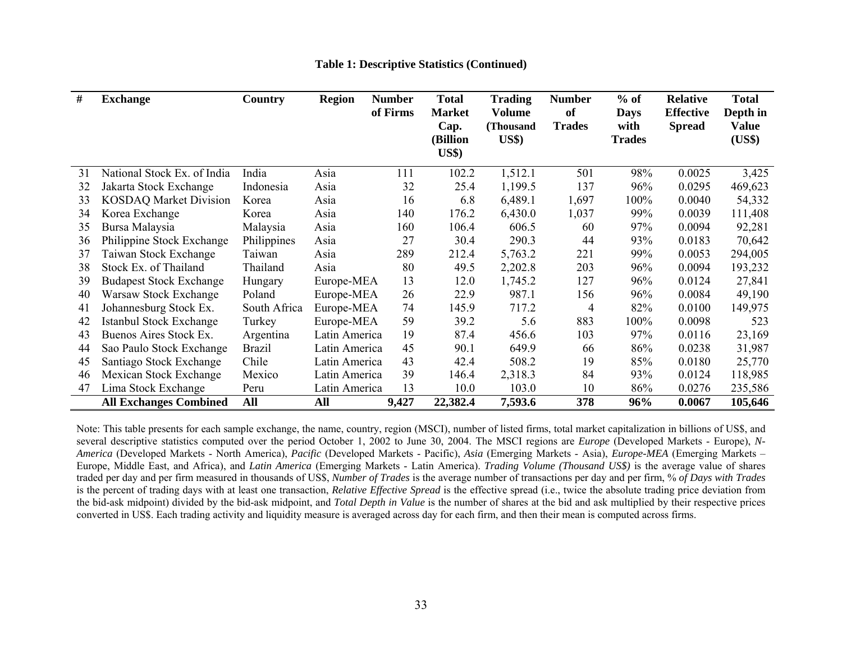| #  | <b>Exchange</b>                | Country       | <b>Region</b> | <b>Number</b> | <b>Total</b>          | <b>Trading</b>                    | <b>Number</b>       | $%$ of              | <b>Relative</b>                   | <b>Total</b>      |
|----|--------------------------------|---------------|---------------|---------------|-----------------------|-----------------------------------|---------------------|---------------------|-----------------------------------|-------------------|
|    |                                |               |               | of Firms      | <b>Market</b><br>Cap. | <b>Volume</b><br>(Thousand        | of<br><b>Trades</b> | <b>Days</b><br>with | <b>Effective</b><br><b>Spread</b> | Depth in<br>Value |
|    |                                |               |               |               | (Billion              | $\mathbf{U}\mathbf{S}\mathbf{\$}$ |                     | <b>Trades</b>       |                                   | (US\$)            |
|    |                                |               |               |               | <b>US\$</b> )         |                                   |                     |                     |                                   |                   |
| 31 | National Stock Ex. of India    | India         | Asia          | 111           | 102.2                 | 1,512.1                           | 501                 | 98%                 | 0.0025                            | 3,425             |
| 32 | Jakarta Stock Exchange         | Indonesia     | Asia          | 32            | 25.4                  | 1,199.5                           | 137                 | 96%                 | 0.0295                            | 469,623           |
| 33 | <b>KOSDAQ Market Division</b>  | Korea         | Asia          | 16            | 6.8                   | 6,489.1                           | 1,697               | 100%                | 0.0040                            | 54,332            |
| 34 | Korea Exchange                 | Korea         | Asia          | 140           | 176.2                 | 6,430.0                           | 1,037               | 99%                 | 0.0039                            | 111,408           |
| 35 | Bursa Malaysia                 | Malaysia      | Asia          | 160           | 106.4                 | 606.5                             | 60                  | 97%                 | 0.0094                            | 92,281            |
| 36 | Philippine Stock Exchange      | Philippines   | Asia          | 27            | 30.4                  | 290.3                             | 44                  | 93%                 | 0.0183                            | 70,642            |
| 37 | Taiwan Stock Exchange          | Taiwan        | Asia          | 289           | 212.4                 | 5,763.2                           | 221                 | 99%                 | 0.0053                            | 294,005           |
| 38 | Stock Ex. of Thailand          | Thailand      | Asia          | 80            | 49.5                  | 2,202.8                           | 203                 | 96%                 | 0.0094                            | 193,232           |
| 39 | <b>Budapest Stock Exchange</b> | Hungary       | Europe-MEA    | 13            | 12.0                  | 1,745.2                           | 127                 | 96%                 | 0.0124                            | 27,841            |
| 40 | Warsaw Stock Exchange          | Poland        | Europe-MEA    | 26            | 22.9                  | 987.1                             | 156                 | 96%                 | 0.0084                            | 49,190            |
| 41 | Johannesburg Stock Ex.         | South Africa  | Europe-MEA    | 74            | 145.9                 | 717.2                             | 4                   | 82%                 | 0.0100                            | 149,975           |
| 42 | <b>Istanbul Stock Exchange</b> | Turkey        | Europe-MEA    | 59            | 39.2                  | 5.6                               | 883                 | 100%                | 0.0098                            | 523               |
| 43 | Buenos Aires Stock Ex.         | Argentina     | Latin America | 19            | 87.4                  | 456.6                             | 103                 | 97%                 | 0.0116                            | 23,169            |
| 44 | Sao Paulo Stock Exchange       | <b>Brazil</b> | Latin America | 45            | 90.1                  | 649.9                             | 66                  | 86%                 | 0.0238                            | 31,987            |
| 45 | Santiago Stock Exchange        | Chile         | Latin America | 43            | 42.4                  | 508.2                             | 19                  | 85%                 | 0.0180                            | 25,770            |
| 46 | Mexican Stock Exchange         | Mexico        | Latin America | 39            | 146.4                 | 2,318.3                           | 84                  | 93%                 | 0.0124                            | 118,985           |
| 47 | Lima Stock Exchange            | Peru          | Latin America | 13            | 10.0                  | 103.0                             | 10                  | 86%                 | 0.0276                            | 235,586           |
|    | <b>All Exchanges Combined</b>  | All           | All           | 9,427         | 22,382.4              | 7,593.6                           | 378                 | 96%                 | 0.0067                            | 105,646           |

**Table 1: Descriptive Statistics (Continued)** 

Note: This table presents for each sample exchange, the name, country, region (MSCI), number of listed firms, total market capitalization in billions of US\$, and several descriptive statistics computed over the period October 1, 2002 to June 30, 2004. The MSCI regions are *Europe* (Developed Markets - Europe), *N-America* (Developed Markets - North America), *Pacific* (Developed Markets - Pacific), *Asia* (Emerging Markets - Asia), *Europe-MEA* (Emerging Markets – Europe, Middle East, and Africa), and *Latin America* (Emerging Markets - Latin America). *Trading Volume (Thousand US\$)* is the average value of shares traded per day and per firm measured in thousands of US\$, *Number of Trades* is the average number of transactions per day and per firm, % *of Days with Trades* is the percent of trading days with at least one transaction, *Relative Effective Spread* is the effective spread (i.e., twice the absolute trading price deviation from the bid-ask midpoint) divided by the bid-ask midpoint, and *Total Depth in Value* is the number of shares at the bid and ask multiplied by their respective prices converted in US\$. Each trading activity and liquidity measure is averaged across day for each firm, and then their mean is computed across firms.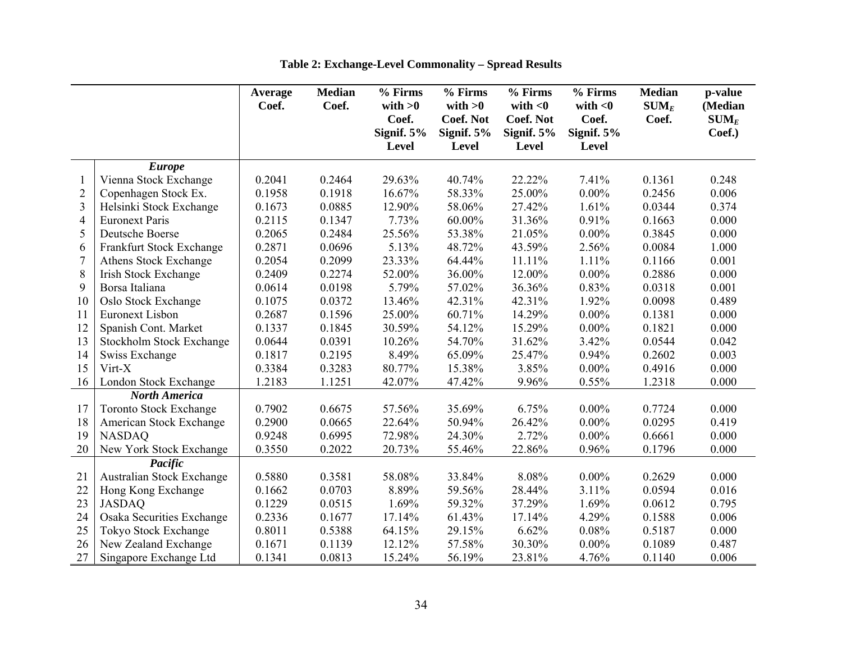|                |                                 | Average | <b>Median</b> | % Firms            | % Firms                       | % Firms                        | % Firms             | <b>Median</b>    | p-value            |
|----------------|---------------------------------|---------|---------------|--------------------|-------------------------------|--------------------------------|---------------------|------------------|--------------------|
|                |                                 | Coef.   | Coef.         | with $>0$<br>Coef. | with $>0$<br><b>Coef. Not</b> | with $<$ 0<br><b>Coef. Not</b> | with $<$ 0<br>Coef. | $SUM_E$<br>Coef. | (Median<br>$SUM_E$ |
|                |                                 |         |               | Signif. $5%$       | Signif. $5%$                  | Signif. $5%$                   | Signif. 5%          |                  | Coef.)             |
|                |                                 |         |               | Level              | Level                         | <b>Level</b>                   | Level               |                  |                    |
|                | <b>Europe</b>                   |         |               |                    |                               |                                |                     |                  |                    |
|                | Vienna Stock Exchange           | 0.2041  | 0.2464        | 29.63%             | 40.74%                        | 22.22%                         | 7.41%               | 0.1361           | 0.248              |
| $\overline{c}$ | Copenhagen Stock Ex.            | 0.1958  | 0.1918        | 16.67%             | 58.33%                        | 25.00%                         | $0.00\%$            | 0.2456           | 0.006              |
| 3              | Helsinki Stock Exchange         | 0.1673  | 0.0885        | 12.90%             | 58.06%                        | 27.42%                         | 1.61%               | 0.0344           | 0.374              |
| 4              | <b>Euronext Paris</b>           | 0.2115  | 0.1347        | 7.73%              | 60.00%                        | 31.36%                         | 0.91%               | 0.1663           | 0.000              |
| 5              | Deutsche Boerse                 | 0.2065  | 0.2484        | 25.56%             | 53.38%                        | 21.05%                         | $0.00\%$            | 0.3845           | 0.000              |
| 6              | Frankfurt Stock Exchange        | 0.2871  | 0.0696        | 5.13%              | 48.72%                        | 43.59%                         | 2.56%               | 0.0084           | 1.000              |
| $\overline{7}$ | Athens Stock Exchange           | 0.2054  | 0.2099        | 23.33%             | 64.44%                        | 11.11%                         | 1.11%               | 0.1166           | 0.001              |
| 8              | <b>Irish Stock Exchange</b>     | 0.2409  | 0.2274        | 52.00%             | 36.00%                        | 12.00%                         | $0.00\%$            | 0.2886           | 0.000              |
| 9              | Borsa Italiana                  | 0.0614  | 0.0198        | 5.79%              | 57.02%                        | 36.36%                         | 0.83%               | 0.0318           | 0.001              |
| 10             | Oslo Stock Exchange             | 0.1075  | 0.0372        | 13.46%             | 42.31%                        | 42.31%                         | 1.92%               | 0.0098           | 0.489              |
| 11             | <b>Euronext Lisbon</b>          | 0.2687  | 0.1596        | 25.00%             | 60.71%                        | 14.29%                         | $0.00\%$            | 0.1381           | 0.000              |
| 12             | Spanish Cont. Market            | 0.1337  | 0.1845        | 30.59%             | 54.12%                        | 15.29%                         | $0.00\%$            | 0.1821           | 0.000              |
| 13             | <b>Stockholm Stock Exchange</b> | 0.0644  | 0.0391        | 10.26%             | 54.70%                        | 31.62%                         | 3.42%               | 0.0544           | 0.042              |
| 14             | Swiss Exchange                  | 0.1817  | 0.2195        | 8.49%              | 65.09%                        | 25.47%                         | 0.94%               | 0.2602           | 0.003              |
| 15             | Virt-X                          | 0.3384  | 0.3283        | 80.77%             | 15.38%                        | 3.85%                          | $0.00\%$            | 0.4916           | 0.000              |
| 16             | London Stock Exchange           | 1.2183  | 1.1251        | 42.07%             | 47.42%                        | 9.96%                          | 0.55%               | 1.2318           | 0.000              |
|                | <b>North America</b>            |         |               |                    |                               |                                |                     |                  |                    |
| 17             | <b>Toronto Stock Exchange</b>   | 0.7902  | 0.6675        | 57.56%             | 35.69%                        | 6.75%                          | $0.00\%$            | 0.7724           | 0.000              |
| 18             | American Stock Exchange         | 0.2900  | 0.0665        | 22.64%             | 50.94%                        | 26.42%                         | $0.00\%$            | 0.0295           | 0.419              |
| 19             | <b>NASDAQ</b>                   | 0.9248  | 0.6995        | 72.98%             | 24.30%                        | 2.72%                          | $0.00\%$            | 0.6661           | 0.000              |
| 20             | New York Stock Exchange         | 0.3550  | 0.2022        | 20.73%             | 55.46%                        | 22.86%                         | 0.96%               | 0.1796           | 0.000              |
|                | Pacific                         |         |               |                    |                               |                                |                     |                  |                    |
| 21             | Australian Stock Exchange       | 0.5880  | 0.3581        | 58.08%             | 33.84%                        | 8.08%                          | $0.00\%$            | 0.2629           | 0.000              |
| 22             | Hong Kong Exchange              | 0.1662  | 0.0703        | 8.89%              | 59.56%                        | 28.44%                         | 3.11%               | 0.0594           | 0.016              |
| 23             | <b>JASDAQ</b>                   | 0.1229  | 0.0515        | 1.69%              | 59.32%                        | 37.29%                         | 1.69%               | 0.0612           | 0.795              |
| 24             | Osaka Securities Exchange       | 0.2336  | 0.1677        | 17.14%             | 61.43%                        | 17.14%                         | 4.29%               | 0.1588           | 0.006              |
| 25             | Tokyo Stock Exchange            | 0.8011  | 0.5388        | 64.15%             | 29.15%                        | 6.62%                          | 0.08%               | 0.5187           | 0.000              |
| 26             | New Zealand Exchange            | 0.1671  | 0.1139        | 12.12%             | 57.58%                        | 30.30%                         | $0.00\%$            | 0.1089           | 0.487              |
| 27             | Singapore Exchange Ltd          | 0.1341  | 0.0813        | 15.24%             | 56.19%                        | 23.81%                         | 4.76%               | 0.1140           | 0.006              |

**Table 2: Exchange-Level Commonality – Spread Results**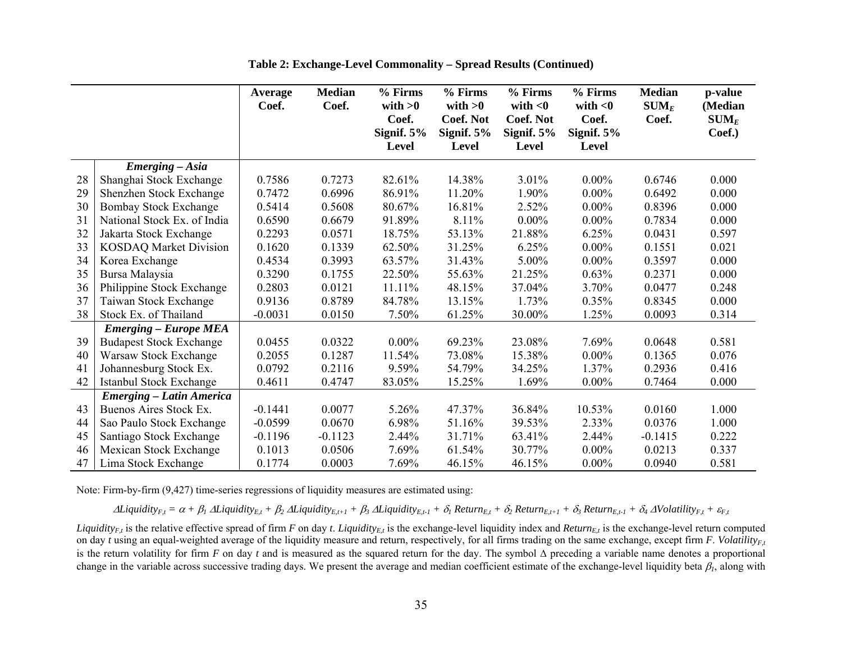|    |                                 | Average<br>Coef. | <b>Median</b><br>Coef. | % Firms<br>with $>0$<br>Coef.<br>Signif. $5%$ | % Firms<br>with $>0$<br><b>Coef. Not</b><br>Signif. $5%$ | % Firms<br>with $<$ 0<br><b>Coef. Not</b><br>Signif. $5%$ | % Firms<br>with $<$ 0<br>Coef.<br>Signif. $5%$ | <b>Median</b><br>$\textbf{SUM}_E$<br>Coef. | p-value<br>(Median<br>$\textbf{SUM}_E$<br>Coef.) |
|----|---------------------------------|------------------|------------------------|-----------------------------------------------|----------------------------------------------------------|-----------------------------------------------------------|------------------------------------------------|--------------------------------------------|--------------------------------------------------|
|    |                                 |                  |                        | <b>Level</b>                                  | Level                                                    | <b>Level</b>                                              | Level                                          |                                            |                                                  |
|    | Emerging - Asia                 |                  |                        |                                               |                                                          |                                                           |                                                |                                            |                                                  |
| 28 | Shanghai Stock Exchange         | 0.7586           | 0.7273                 | 82.61%                                        | 14.38%                                                   | 3.01%                                                     | $0.00\%$                                       | 0.6746                                     | 0.000                                            |
| 29 | Shenzhen Stock Exchange         | 0.7472           | 0.6996                 | 86.91%                                        | 11.20%                                                   | 1.90%                                                     | $0.00\%$                                       | 0.6492                                     | 0.000                                            |
| 30 | <b>Bombay Stock Exchange</b>    | 0.5414           | 0.5608                 | 80.67%                                        | 16.81%                                                   | 2.52%                                                     | $0.00\%$                                       | 0.8396                                     | 0.000                                            |
| 31 | National Stock Ex. of India     | 0.6590           | 0.6679                 | 91.89%                                        | 8.11%                                                    | $0.00\%$                                                  | $0.00\%$                                       | 0.7834                                     | 0.000                                            |
| 32 | Jakarta Stock Exchange          | 0.2293           | 0.0571                 | 18.75%                                        | 53.13%                                                   | 21.88%                                                    | 6.25%                                          | 0.0431                                     | 0.597                                            |
| 33 | <b>KOSDAQ Market Division</b>   | 0.1620           | 0.1339                 | 62.50%                                        | 31.25%                                                   | 6.25%                                                     | $0.00\%$                                       | 0.1551                                     | 0.021                                            |
| 34 | Korea Exchange                  | 0.4534           | 0.3993                 | 63.57%                                        | 31.43%                                                   | 5.00%                                                     | $0.00\%$                                       | 0.3597                                     | 0.000                                            |
| 35 | Bursa Malaysia                  | 0.3290           | 0.1755                 | 22.50%                                        | 55.63%                                                   | 21.25%                                                    | 0.63%                                          | 0.2371                                     | 0.000                                            |
| 36 | Philippine Stock Exchange       | 0.2803           | 0.0121                 | 11.11%                                        | 48.15%                                                   | 37.04%                                                    | 3.70%                                          | 0.0477                                     | 0.248                                            |
| 37 | Taiwan Stock Exchange           | 0.9136           | 0.8789                 | 84.78%                                        | 13.15%                                                   | 1.73%                                                     | 0.35%                                          | 0.8345                                     | 0.000                                            |
| 38 | Stock Ex. of Thailand           | $-0.0031$        | 0.0150                 | 7.50%                                         | 61.25%                                                   | 30.00%                                                    | 1.25%                                          | 0.0093                                     | 0.314                                            |
|    | <b>Emerging – Europe MEA</b>    |                  |                        |                                               |                                                          |                                                           |                                                |                                            |                                                  |
| 39 | <b>Budapest Stock Exchange</b>  | 0.0455           | 0.0322                 | $0.00\%$                                      | 69.23%                                                   | 23.08%                                                    | 7.69%                                          | 0.0648                                     | 0.581                                            |
| 40 | Warsaw Stock Exchange           | 0.2055           | 0.1287                 | 11.54%                                        | 73.08%                                                   | 15.38%                                                    | $0.00\%$                                       | 0.1365                                     | 0.076                                            |
| 41 | Johannesburg Stock Ex.          | 0.0792           | 0.2116                 | 9.59%                                         | 54.79%                                                   | 34.25%                                                    | 1.37%                                          | 0.2936                                     | 0.416                                            |
| 42 | Istanbul Stock Exchange         | 0.4611           | 0.4747                 | 83.05%                                        | 15.25%                                                   | 1.69%                                                     | $0.00\%$                                       | 0.7464                                     | 0.000                                            |
|    | <b>Emerging – Latin America</b> |                  |                        |                                               |                                                          |                                                           |                                                |                                            |                                                  |
| 43 | Buenos Aires Stock Ex.          | $-0.1441$        | 0.0077                 | 5.26%                                         | 47.37%                                                   | 36.84%                                                    | 10.53%                                         | 0.0160                                     | 1.000                                            |
| 44 | Sao Paulo Stock Exchange        | $-0.0599$        | 0.0670                 | 6.98%                                         | 51.16%                                                   | 39.53%                                                    | 2.33%                                          | 0.0376                                     | 1.000                                            |
| 45 | Santiago Stock Exchange         | $-0.1196$        | $-0.1123$              | 2.44%                                         | 31.71%                                                   | 63.41%                                                    | 2.44%                                          | $-0.1415$                                  | 0.222                                            |
| 46 | Mexican Stock Exchange          | 0.1013           | 0.0506                 | 7.69%                                         | 61.54%                                                   | 30.77%                                                    | $0.00\%$                                       | 0.0213                                     | 0.337                                            |
| 47 | Lima Stock Exchange             | 0.1774           | 0.0003                 | 7.69%                                         | 46.15%                                                   | 46.15%                                                    | $0.00\%$                                       | 0.0940                                     | 0.581                                            |

**Table 2: Exchange-Level Commonality – Spread Results (Continued)** 

Note: Firm-by-firm (9,427) time-series regressions of liquidity measures are estimated using:

 $\Delta$ Liquidity<sub>F,t</sub> =  $\alpha + \beta_1 \Delta$ Liquidity<sub>E,t</sub> +  $\beta_2 \Delta$ Liquidity<sub>E,t-1</sub> +  $\beta_3 \Delta$ Liquidity<sub>E,t-1</sub> +  $\delta_1$  Return<sub>E,t</sub> +  $\delta_2$  Return<sub>E,t-1</sub> +  $\delta_3$  Return<sub>E,t-1</sub> +  $\delta_4$   $\Delta$ Volatility<sub>F,t</sub> +  $\varepsilon$ <sub>F,t</sub>

*Liquidity<sub>E,t</sub>* is the relative effective spread of firm *F* on day *t*. *Liquidity<sub>E,t</sub>* is the exchange-level liquidity index and *Return<sub>E,t</sub>* is the exchange-level return computed on day *t* using an equal-weighted average of the liquidity measure and return, respectively, for all firms trading on the same exchange, except firm *F*. *Volatility<sub>Et</sub>* is the return volatility for firm *F* on day *t* and is measured as the squared return for the day. The symbol ∆ preceding a variable name denotes a proportional change in the variable across successive trading days. We present the average and median coefficient estimate of the exchange-level liquidity beta  $\beta_l$ , along with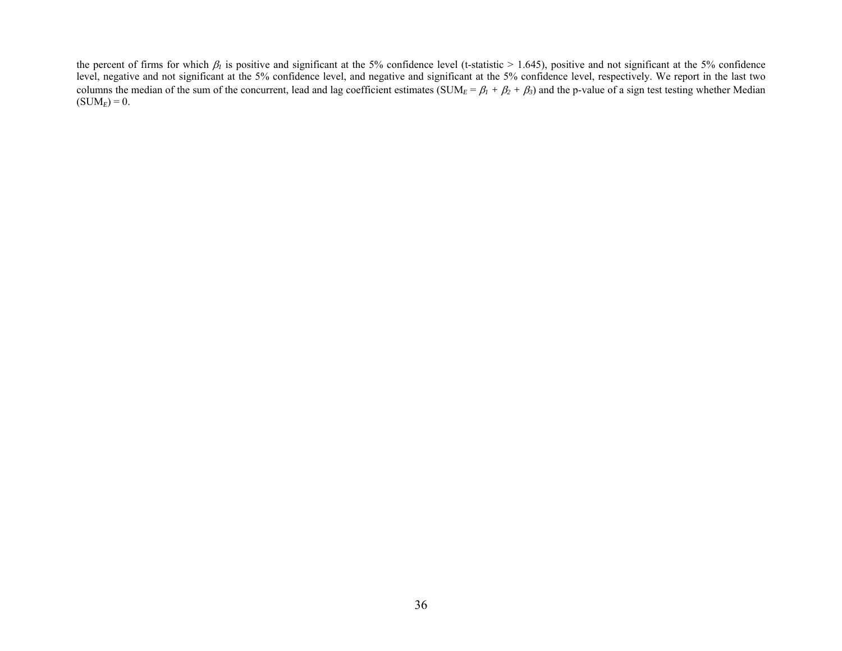the percent of firms for which  $\beta_l$  is positive and significant at the 5% confidence level (t-statistic > 1.645), positive and not significant at the 5% confidence level, negative and not significant at the 5% confidence level, and negative and significant at the 5% confidence level, respectively. We report in the last two columns the median of the sum of the concurrent, lead and lag coefficient estimates (SUM $_E = \beta_1 + \beta_2 + \beta_3$ ) and the p-value of a sign test testing whether Median  $(SUM<sub>E</sub>) = 0.$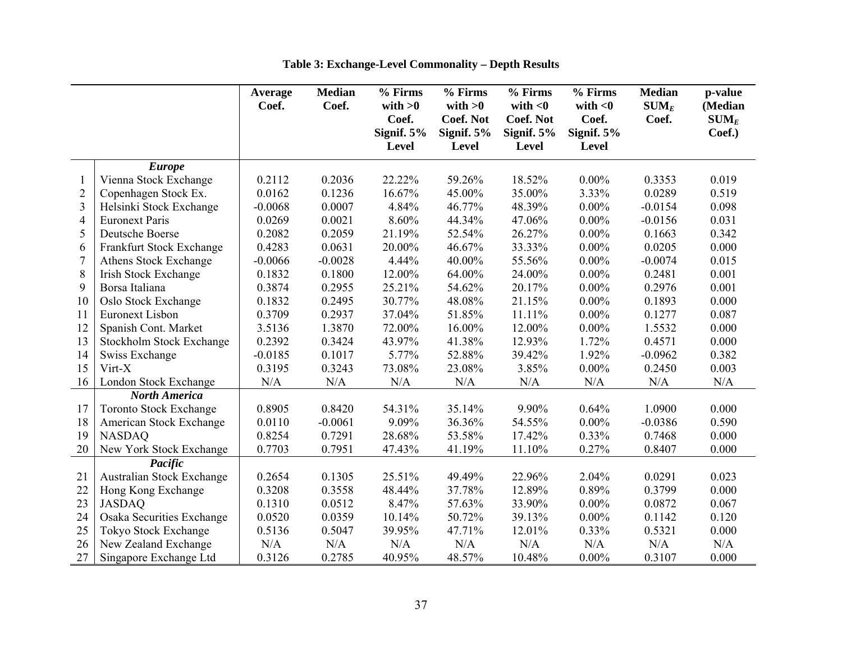|                |                                 | Average<br>Coef. | <b>Median</b><br>Coef. | % Firms<br>with $>0$ | % Firms<br>with $>0$ | % Firms<br>with $<$ 0 | % Firms<br>with $<$ 0 | <b>Median</b><br>$SUM_E$ | p-value<br>(Median |
|----------------|---------------------------------|------------------|------------------------|----------------------|----------------------|-----------------------|-----------------------|--------------------------|--------------------|
|                |                                 |                  |                        | Coef.                | <b>Coef. Not</b>     | <b>Coef. Not</b>      | Coef.                 | Coef.                    | $SUM_E$            |
|                |                                 |                  |                        | Signif. $5%$         | Signif. $5%$         | Signif. $5%$          | Signif. 5%            |                          | Coef.)             |
|                |                                 |                  |                        | <b>Level</b>         | Level                | <b>Level</b>          | <b>Level</b>          |                          |                    |
|                | <b>Europe</b>                   |                  |                        |                      |                      |                       |                       |                          |                    |
|                | Vienna Stock Exchange           | 0.2112           | 0.2036                 | 22.22%               | 59.26%               | 18.52%                | $0.00\%$              | 0.3353                   | 0.019              |
| $\overline{c}$ | Copenhagen Stock Ex.            | 0.0162           | 0.1236                 | 16.67%               | 45.00%               | 35.00%                | 3.33%                 | 0.0289                   | 0.519              |
| $\overline{3}$ | Helsinki Stock Exchange         | $-0.0068$        | 0.0007                 | 4.84%                | 46.77%               | 48.39%                | $0.00\%$              | $-0.0154$                | 0.098              |
| 4              | <b>Euronext Paris</b>           | 0.0269           | 0.0021                 | 8.60%                | 44.34%               | 47.06%                | $0.00\%$              | $-0.0156$                | 0.031              |
| 5              | Deutsche Boerse                 | 0.2082           | 0.2059                 | 21.19%               | 52.54%               | 26.27%                | $0.00\%$              | 0.1663                   | 0.342              |
| 6              | Frankfurt Stock Exchange        | 0.4283           | 0.0631                 | 20.00%               | 46.67%               | 33.33%                | $0.00\%$              | 0.0205                   | 0.000              |
| 7              | Athens Stock Exchange           | $-0.0066$        | $-0.0028$              | 4.44%                | 40.00%               | 55.56%                | $0.00\%$              | $-0.0074$                | 0.015              |
| 8              | <b>Irish Stock Exchange</b>     | 0.1832           | 0.1800                 | 12.00%               | 64.00%               | 24.00%                | $0.00\%$              | 0.2481                   | 0.001              |
| 9              | Borsa Italiana                  | 0.3874           | 0.2955                 | 25.21%               | 54.62%               | 20.17%                | $0.00\%$              | 0.2976                   | 0.001              |
| 10             | Oslo Stock Exchange             | 0.1832           | 0.2495                 | 30.77%               | 48.08%               | 21.15%                | $0.00\%$              | 0.1893                   | 0.000              |
| 11             | <b>Euronext Lisbon</b>          | 0.3709           | 0.2937                 | 37.04%               | 51.85%               | 11.11%                | $0.00\%$              | 0.1277                   | 0.087              |
| 12             | Spanish Cont. Market            | 3.5136           | 1.3870                 | 72.00%               | 16.00%               | 12.00%                | $0.00\%$              | 1.5532                   | 0.000              |
| 13             | <b>Stockholm Stock Exchange</b> | 0.2392           | 0.3424                 | 43.97%               | 41.38%               | 12.93%                | 1.72%                 | 0.4571                   | 0.000              |
| 14             | Swiss Exchange                  | $-0.0185$        | 0.1017                 | 5.77%                | 52.88%               | 39.42%                | 1.92%                 | $-0.0962$                | 0.382              |
| 15             | Virt-X                          | 0.3195           | 0.3243                 | 73.08%               | 23.08%               | 3.85%                 | $0.00\%$              | 0.2450                   | 0.003              |
| 16             | London Stock Exchange           | N/A              | N/A                    | N/A                  | N/A                  | N/A                   | N/A                   | N/A                      | N/A                |
|                | <b>North America</b>            |                  |                        |                      |                      |                       |                       |                          |                    |
| 17             | <b>Toronto Stock Exchange</b>   | 0.8905           | 0.8420                 | 54.31%               | 35.14%               | 9.90%                 | 0.64%                 | 1.0900                   | 0.000              |
| 18             | American Stock Exchange         | 0.0110           | $-0.0061$              | 9.09%                | 36.36%               | 54.55%                | $0.00\%$              | $-0.0386$                | 0.590              |
| 19             | <b>NASDAQ</b>                   | 0.8254           | 0.7291                 | 28.68%               | 53.58%               | 17.42%                | 0.33%                 | 0.7468                   | 0.000              |
| 20             | New York Stock Exchange         | 0.7703           | 0.7951                 | 47.43%               | 41.19%               | 11.10%                | 0.27%                 | 0.8407                   | 0.000              |
|                | Pacific                         |                  |                        |                      |                      |                       |                       |                          |                    |
| 21             | Australian Stock Exchange       | 0.2654           | 0.1305                 | 25.51%               | 49.49%               | 22.96%                | 2.04%                 | 0.0291                   | 0.023              |
| 22             | Hong Kong Exchange              | 0.3208           | 0.3558                 | 48.44%               | 37.78%               | 12.89%                | 0.89%                 | 0.3799                   | 0.000              |
| 23             | <b>JASDAQ</b>                   | 0.1310           | 0.0512                 | 8.47%                | 57.63%               | 33.90%                | $0.00\%$              | 0.0872                   | 0.067              |
| 24             | Osaka Securities Exchange       | 0.0520           | 0.0359                 | 10.14%               | 50.72%               | 39.13%                | $0.00\%$              | 0.1142                   | 0.120              |
| 25             | Tokyo Stock Exchange            | 0.5136           | 0.5047                 | 39.95%               | 47.71%               | 12.01%                | 0.33%                 | 0.5321                   | 0.000              |
| 26             | New Zealand Exchange            | N/A              | N/A                    | N/A                  | N/A                  | N/A                   | N/A                   | N/A                      | N/A                |
| 27             | Singapore Exchange Ltd          | 0.3126           | 0.2785                 | 40.95%               | 48.57%               | 10.48%                | $0.00\%$              | 0.3107                   | 0.000              |

**Table 3: Exchange-Level Commonality – Depth Results**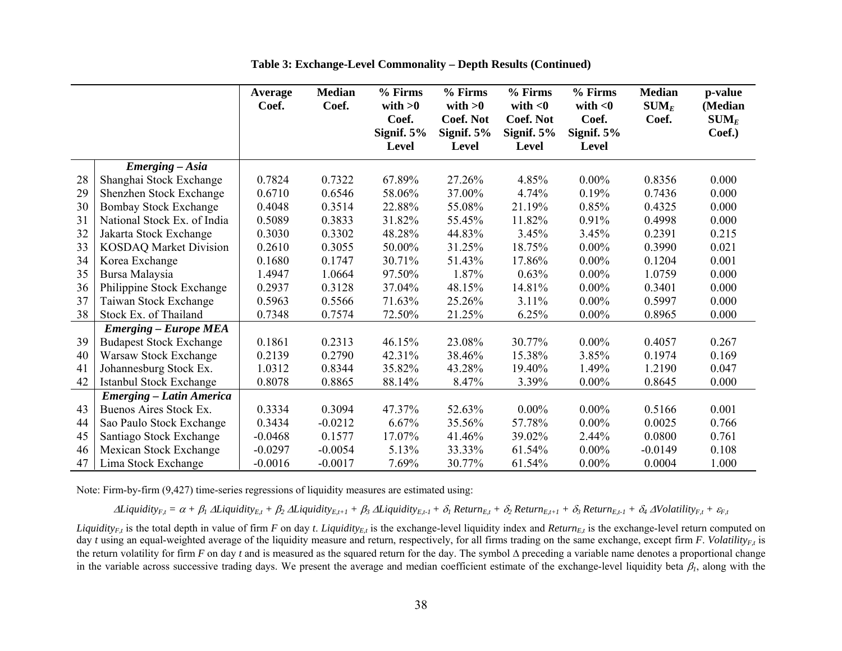|    |                                 | Average<br>Coef. | <b>Median</b><br>Coef. | % Firms<br>with $>0$<br>Coef.<br>Signif. $5%$<br><b>Level</b> | % Firms<br>with $>0$<br><b>Coef. Not</b><br>Signif. $5%$<br>Level | % Firms<br>with $<$ 0<br><b>Coef. Not</b><br>Signif. $5%$<br><b>Level</b> | % Firms<br>with $<$ 0<br>Coef.<br>Signif. 5%<br>Level | <b>Median</b><br>$\mathbf{SUM}_{E}$<br>Coef. | p-value<br>(Median<br>$\textbf{SUM}_E$<br>Coef.) |
|----|---------------------------------|------------------|------------------------|---------------------------------------------------------------|-------------------------------------------------------------------|---------------------------------------------------------------------------|-------------------------------------------------------|----------------------------------------------|--------------------------------------------------|
|    | Emerging - Asia                 |                  |                        |                                                               |                                                                   |                                                                           |                                                       |                                              |                                                  |
| 28 | Shanghai Stock Exchange         | 0.7824           | 0.7322                 | 67.89%                                                        | 27.26%                                                            | 4.85%                                                                     | $0.00\%$                                              | 0.8356                                       | 0.000                                            |
| 29 | Shenzhen Stock Exchange         | 0.6710           | 0.6546                 | 58.06%                                                        | 37.00%                                                            | 4.74%                                                                     | 0.19%                                                 | 0.7436                                       | 0.000                                            |
| 30 | <b>Bombay Stock Exchange</b>    | 0.4048           | 0.3514                 | 22.88%                                                        | 55.08%                                                            | 21.19%                                                                    | 0.85%                                                 | 0.4325                                       | 0.000                                            |
| 31 | National Stock Ex. of India     | 0.5089           | 0.3833                 | 31.82%                                                        | 55.45%                                                            | 11.82%                                                                    | 0.91%                                                 | 0.4998                                       | 0.000                                            |
| 32 | Jakarta Stock Exchange          | 0.3030           | 0.3302                 | 48.28%                                                        | 44.83%                                                            | 3.45%                                                                     | 3.45%                                                 | 0.2391                                       | 0.215                                            |
| 33 | <b>KOSDAQ Market Division</b>   | 0.2610           | 0.3055                 | 50.00%                                                        | 31.25%                                                            | 18.75%                                                                    | $0.00\%$                                              | 0.3990                                       | 0.021                                            |
| 34 | Korea Exchange                  | 0.1680           | 0.1747                 | 30.71%                                                        | 51.43%                                                            | 17.86%                                                                    | $0.00\%$                                              | 0.1204                                       | 0.001                                            |
| 35 | Bursa Malaysia                  | 1.4947           | 1.0664                 | 97.50%                                                        | 1.87%                                                             | 0.63%                                                                     | $0.00\%$                                              | 1.0759                                       | 0.000                                            |
| 36 | Philippine Stock Exchange       | 0.2937           | 0.3128                 | 37.04%                                                        | 48.15%                                                            | 14.81%                                                                    | $0.00\%$                                              | 0.3401                                       | 0.000                                            |
| 37 | Taiwan Stock Exchange           | 0.5963           | 0.5566                 | 71.63%                                                        | 25.26%                                                            | 3.11%                                                                     | $0.00\%$                                              | 0.5997                                       | 0.000                                            |
| 38 | Stock Ex. of Thailand           | 0.7348           | 0.7574                 | 72.50%                                                        | 21.25%                                                            | 6.25%                                                                     | $0.00\%$                                              | 0.8965                                       | 0.000                                            |
|    | <b>Emerging – Europe MEA</b>    |                  |                        |                                                               |                                                                   |                                                                           |                                                       |                                              |                                                  |
| 39 | <b>Budapest Stock Exchange</b>  | 0.1861           | 0.2313                 | 46.15%                                                        | 23.08%                                                            | 30.77%                                                                    | $0.00\%$                                              | 0.4057                                       | 0.267                                            |
| 40 | Warsaw Stock Exchange           | 0.2139           | 0.2790                 | 42.31%                                                        | 38.46%                                                            | 15.38%                                                                    | 3.85%                                                 | 0.1974                                       | 0.169                                            |
| 41 | Johannesburg Stock Ex.          | 1.0312           | 0.8344                 | 35.82%                                                        | 43.28%                                                            | 19.40%                                                                    | 1.49%                                                 | 1.2190                                       | 0.047                                            |
| 42 | Istanbul Stock Exchange         | 0.8078           | 0.8865                 | 88.14%                                                        | 8.47%                                                             | 3.39%                                                                     | $0.00\%$                                              | 0.8645                                       | 0.000                                            |
|    | <b>Emerging - Latin America</b> |                  |                        |                                                               |                                                                   |                                                                           |                                                       |                                              |                                                  |
| 43 | Buenos Aires Stock Ex.          | 0.3334           | 0.3094                 | 47.37%                                                        | 52.63%                                                            | $0.00\%$                                                                  | $0.00\%$                                              | 0.5166                                       | 0.001                                            |
| 44 | Sao Paulo Stock Exchange        | 0.3434           | $-0.0212$              | 6.67%                                                         | 35.56%                                                            | 57.78%                                                                    | $0.00\%$                                              | 0.0025                                       | 0.766                                            |
| 45 | Santiago Stock Exchange         | $-0.0468$        | 0.1577                 | 17.07%                                                        | 41.46%                                                            | 39.02%                                                                    | 2.44%                                                 | 0.0800                                       | 0.761                                            |
| 46 | Mexican Stock Exchange          | $-0.0297$        | $-0.0054$              | 5.13%                                                         | 33.33%                                                            | 61.54%                                                                    | $0.00\%$                                              | $-0.0149$                                    | 0.108                                            |
| 47 | Lima Stock Exchange             | $-0.0016$        | $-0.0017$              | 7.69%                                                         | 30.77%                                                            | 61.54%                                                                    | $0.00\%$                                              | 0.0004                                       | 1.000                                            |

**Table 3: Exchange-Level Commonality – Depth Results (Continued)** 

Note: Firm-by-firm (9,427) time-series regressions of liquidity measures are estimated using:

 $\Delta$ Liquidity<sub>F,t</sub> =  $\alpha + \beta_1 \Delta$ Liquidity<sub>E,t</sub> +  $\beta_2 \Delta$ Liquidity<sub>E,t+1</sub> +  $\beta_3 \Delta$ Liquidity<sub>E,t-1</sub> +  $\delta_1$  Return<sub>E,t</sub> +  $\delta_2$  Return<sub>E,t+1</sub> +  $\delta_3$  Return<sub>E,t-1</sub> +  $\delta_4$  AVolatility<sub>F,t</sub> +  $\varepsilon$ <sub>F,t</sub>

*Liquidity<sub>E,t</sub>* is the total depth in value of firm *F* on day *t*. *Liquidity<sub>E,t</sub>* is the exchange-level liquidity index and *Return<sub>E,t</sub>* is the exchange-level return computed on day *t* using an equal-weighted average of the liquidity measure and return, respectively, for all firms trading on the same exchange, except firm *F*. *Volatility<sub>Et</sub>* is the return volatility for firm *F* on day *t* and is measured as the squared return for the day. The symbol ∆ preceding a variable name denotes a proportional change in the variable across successive trading days. We present the average and median coefficient estimate of the exchange-level liquidity beta  $\beta_l$ , along with the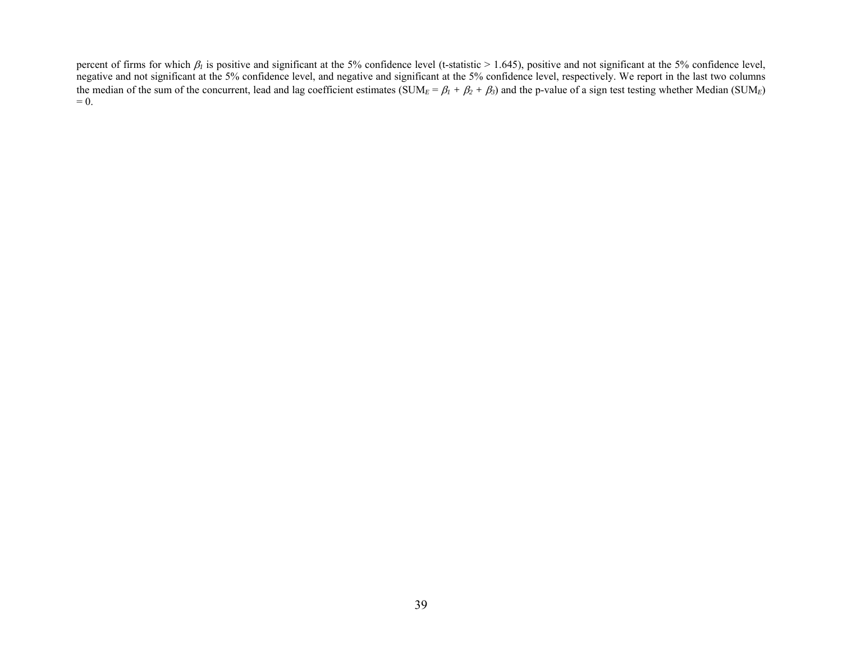percent of firms for which  $\beta_l$  is positive and significant at the 5% confidence level (t-statistic > 1.645), positive and not significant at the 5% confidence level, negative and not significant at the 5% confidence level, and negative and significant at the 5% confidence level, respectively. We report in the last two columns the median of the sum of the concurrent, lead and lag coefficient estimates (SUM<sub>E</sub> =  $\beta_1 + \beta_2 + \beta_3$ ) and the p-value of a sign test testing whether Median (SUM<sub>E</sub>)  $= 0.$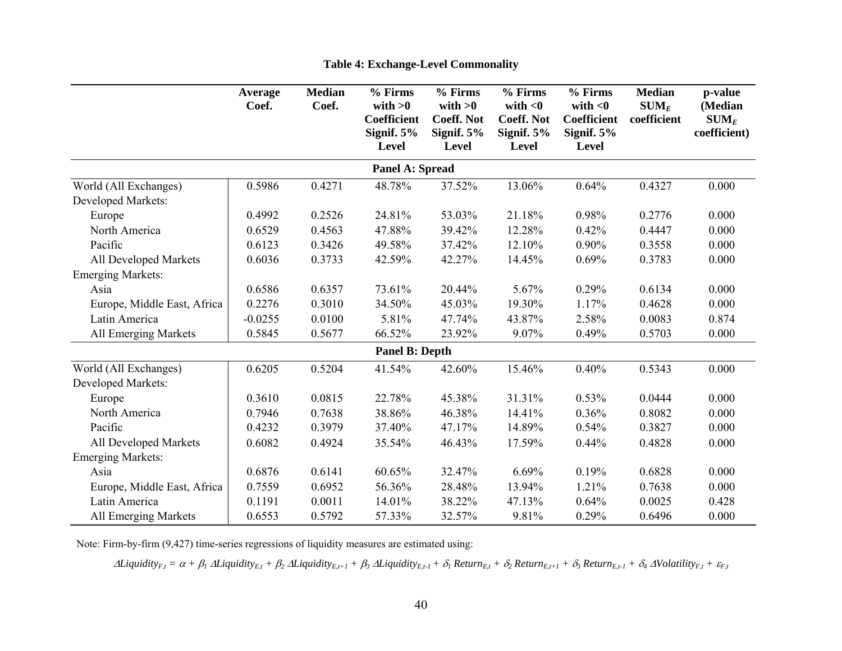|                             | Average<br>Coef. | <b>Median</b><br>Coef. | % Firms<br>with $>0$<br><b>Coefficient</b><br>Signif. 5%<br><b>Level</b> | % Firms<br>with $>0$<br><b>Coeff. Not</b><br>Signif. $5%$<br>Level | % Firms<br>with $<$ 0<br><b>Coeff. Not</b><br>Signif. $5%$<br>Level | % Firms<br>with $<$ 0<br><b>Coefficient</b><br>Signif. $5%$<br><b>Level</b> | <b>Median</b><br>$SUM_E$<br>coefficient | p-value<br>(Median<br>$SUM_E$<br>coefficient) |
|-----------------------------|------------------|------------------------|--------------------------------------------------------------------------|--------------------------------------------------------------------|---------------------------------------------------------------------|-----------------------------------------------------------------------------|-----------------------------------------|-----------------------------------------------|
|                             |                  |                        | <b>Panel A: Spread</b>                                                   |                                                                    |                                                                     |                                                                             |                                         |                                               |
| World (All Exchanges)       | 0.5986           | 0.4271                 | 48.78%                                                                   | 37.52%                                                             | 13.06%                                                              | 0.64%                                                                       | 0.4327                                  | 0.000                                         |
| <b>Developed Markets:</b>   |                  |                        |                                                                          |                                                                    |                                                                     |                                                                             |                                         |                                               |
| Europe                      | 0.4992           | 0.2526                 | 24.81%                                                                   | 53.03%                                                             | 21.18%                                                              | 0.98%                                                                       | 0.2776                                  | 0.000                                         |
| North America               | 0.6529           | 0.4563                 | 47.88%                                                                   | 39.42%                                                             | 12.28%                                                              | 0.42%                                                                       | 0.4447                                  | 0.000                                         |
| Pacific                     | 0.6123           | 0.3426                 | 49.58%                                                                   | 37.42%                                                             | 12.10%                                                              | 0.90%                                                                       | 0.3558                                  | 0.000                                         |
| All Developed Markets       | 0.6036           | 0.3733                 | 42.59%                                                                   | 42.27%                                                             | 14.45%                                                              | 0.69%                                                                       | 0.3783                                  | 0.000                                         |
| <b>Emerging Markets:</b>    |                  |                        |                                                                          |                                                                    |                                                                     |                                                                             |                                         |                                               |
| Asia                        | 0.6586           | 0.6357                 | 73.61%                                                                   | 20.44%                                                             | 5.67%                                                               | 0.29%                                                                       | 0.6134                                  | 0.000                                         |
| Europe, Middle East, Africa | 0.2276           | 0.3010                 | 34.50%                                                                   | 45.03%                                                             | 19.30%                                                              | 1.17%                                                                       | 0.4628                                  | 0.000                                         |
| Latin America               | $-0.0255$        | 0.0100                 | 5.81%                                                                    | 47.74%                                                             | 43.87%                                                              | 2.58%                                                                       | 0.0083                                  | 0.874                                         |
| All Emerging Markets        | 0.5845           | 0.5677                 | 66.52%                                                                   | 23.92%                                                             | 9.07%                                                               | 0.49%                                                                       | 0.5703                                  | 0.000                                         |
|                             |                  |                        | <b>Panel B: Depth</b>                                                    |                                                                    |                                                                     |                                                                             |                                         |                                               |
| World (All Exchanges)       | 0.6205           | 0.5204                 | 41.54%                                                                   | 42.60%                                                             | 15.46%                                                              | 0.40%                                                                       | 0.5343                                  | 0.000                                         |
| Developed Markets:          |                  |                        |                                                                          |                                                                    |                                                                     |                                                                             |                                         |                                               |
| Europe                      | 0.3610           | 0.0815                 | 22.78%                                                                   | 45.38%                                                             | 31.31%                                                              | 0.53%                                                                       | 0.0444                                  | 0.000                                         |
| North America               | 0.7946           | 0.7638                 | 38.86%                                                                   | 46.38%                                                             | 14.41%                                                              | 0.36%                                                                       | 0.8082                                  | 0.000                                         |
| Pacific                     | 0.4232           | 0.3979                 | 37.40%                                                                   | 47.17%                                                             | 14.89%                                                              | 0.54%                                                                       | 0.3827                                  | 0.000                                         |
| All Developed Markets       | 0.6082           | 0.4924                 | 35.54%                                                                   | 46.43%                                                             | 17.59%                                                              | 0.44%                                                                       | 0.4828                                  | 0.000                                         |
| <b>Emerging Markets:</b>    |                  |                        |                                                                          |                                                                    |                                                                     |                                                                             |                                         |                                               |
| Asia                        | 0.6876           | 0.6141                 | 60.65%                                                                   | 32.47%                                                             | 6.69%                                                               | 0.19%                                                                       | 0.6828                                  | 0.000                                         |
| Europe, Middle East, Africa | 0.7559           | 0.6952                 | 56.36%                                                                   | 28.48%                                                             | 13.94%                                                              | 1.21%                                                                       | 0.7638                                  | 0.000                                         |
| Latin America               | 0.1191           | 0.0011                 | 14.01%                                                                   | 38.22%                                                             | 47.13%                                                              | 0.64%                                                                       | 0.0025                                  | 0.428                                         |
| All Emerging Markets        | 0.6553           | 0.5792                 | 57.33%                                                                   | 32.57%                                                             | 9.81%                                                               | 0.29%                                                                       | 0.6496                                  | 0.000                                         |

**Table 4: Exchange-Level Commonality** 

Note: Firm-by-firm (9,427) time-series regressions of liquidity measures are estimated using:

 $\Delta$ Liquidity<sub>F,t</sub> =  $\alpha + \beta_1 \Delta$ Liquidity<sub>E,t</sub> +  $\beta_2 \Delta$ Liquidity<sub>E,t+1</sub> +  $\beta_3 \Delta$ Liquidity<sub>E,t-1</sub> +  $\delta_1$  Return<sub>E,t</sub> +  $\delta_2$  Return<sub>E,t+1</sub> +  $\delta_3$  Return<sub>E,t-1</sub> +  $\delta_4$  AVolatility<sub>F,t</sub> +  $\varepsilon$ <sub>F,t</sub>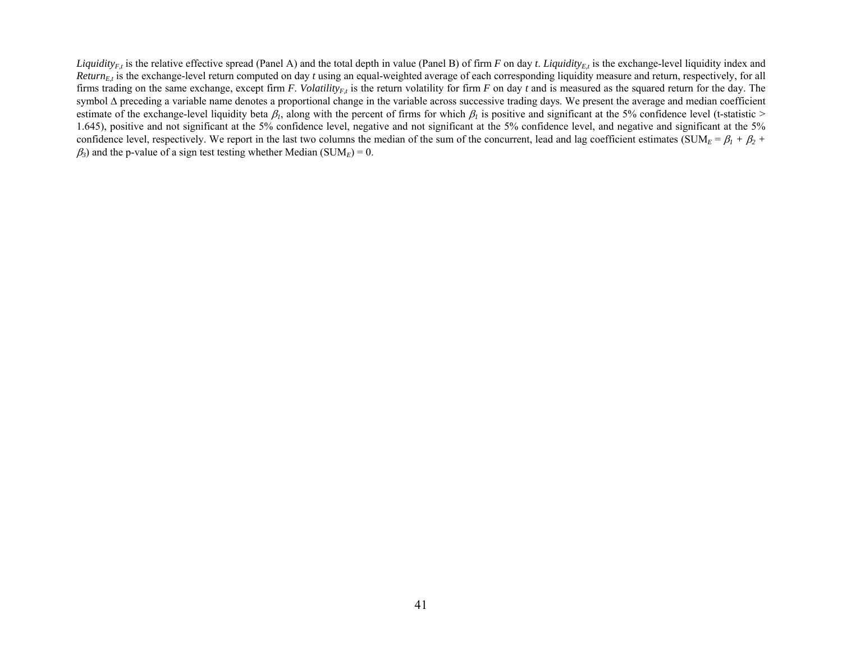*Liquidity<sub>E,t</sub>* is the relative effective spread (Panel A) and the total depth in value (Panel B) of firm *F* on day *t*. *Liquidity<sub>E,t</sub>* is the exchange-level liquidity index and *Return<sub>E,t</sub>* is the exchange-level return computed on day *t* using an equal-weighted average of each corresponding liquidity measure and return, respectively, for all firms trading on the same exchange, except firm *F*. *Volatility<sub>F,t</sub>* is the return volatility for firm *F* on day *t* and is measured as the squared return for the day. The symbol ∆ preceding a variable name denotes a proportional change in the variable across successive trading days. We present the average and median coefficient estimate of the exchange-level liquidity beta  $\beta_l$ , along with the percent of firms for which  $\beta_l$  is positive and significant at the 5% confidence level (t-statistic > 1.645), positive and not significant at the 5% confidence level, negative and not significant at the 5% confidence level, and negative and significant at the 5% confidence level, respectively. We report in the last two columns the median of the sum of the concurrent, lead and lag coefficient estimates (SUM<sub>*E*</sub> =  $\beta_1 + \beta_2 + \beta_3$  $\beta_3$ ) and the p-value of a sign test testing whether Median (SUM<sub>E</sub>) = 0.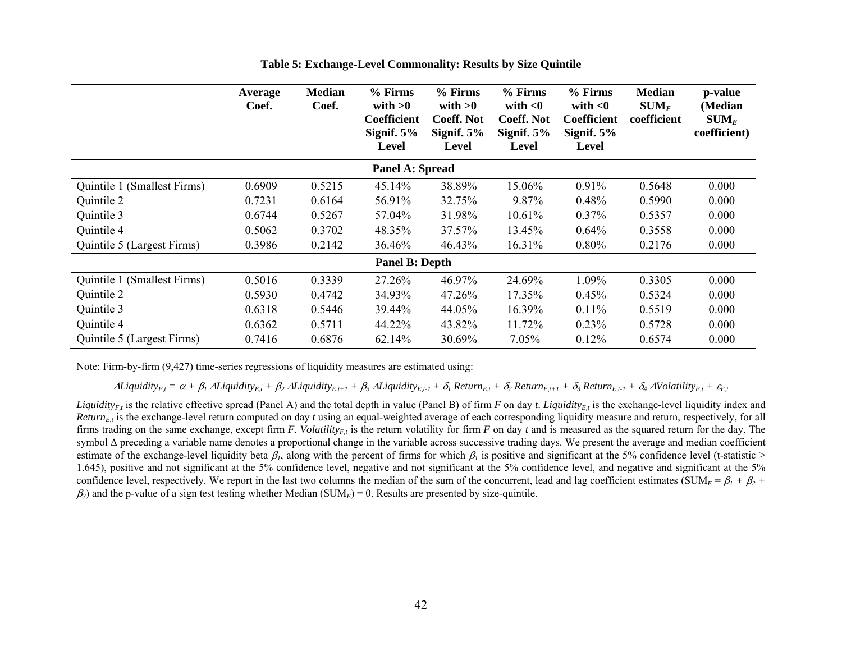|                             | <b>Average</b><br>Coef. | <b>Median</b><br>Coef. | % Firms<br>with $>0$<br><b>Coefficient</b><br>Signif. $5%$<br>Level | % Firms<br>with $>0$<br><b>Coeff. Not</b><br>Signif. $5%$<br>Level | % Firms<br>with $<$ 0<br><b>Coeff. Not</b><br>Signif. $5%$<br>Level | % Firms<br>with $<$ 0<br><b>Coefficient</b><br>Signif. $5\%$<br>Level | <b>Median</b><br>$SUM_E$<br>coefficient | p-value<br>(Median<br>$\textbf{SUM}_E$<br>coefficient) |
|-----------------------------|-------------------------|------------------------|---------------------------------------------------------------------|--------------------------------------------------------------------|---------------------------------------------------------------------|-----------------------------------------------------------------------|-----------------------------------------|--------------------------------------------------------|
|                             |                         |                        | Panel A: Spread                                                     |                                                                    |                                                                     |                                                                       |                                         |                                                        |
| Quintile 1 (Smallest Firms) | 0.6909                  | 0.5215                 | 45.14%                                                              | 38.89%                                                             | 15.06%                                                              | 0.91%                                                                 | 0.5648                                  | 0.000                                                  |
| Quintile 2                  | 0.7231                  | 0.6164                 | 56.91%                                                              | 32.75%                                                             | 9.87%                                                               | 0.48%                                                                 | 0.5990                                  | 0.000                                                  |
| Quintile 3                  | 0.6744                  | 0.5267                 | 57.04%                                                              | 31.98%                                                             | 10.61%                                                              | $0.37\%$                                                              | 0.5357                                  | 0.000                                                  |
| Quintile 4                  | 0.5062                  | 0.3702                 | 48.35%                                                              | 37.57%                                                             | 13.45%                                                              | 0.64%                                                                 | 0.3558                                  | 0.000                                                  |
| Quintile 5 (Largest Firms)  | 0.3986                  | 0.2142                 | 36.46%                                                              | 46.43%                                                             | 16.31%                                                              | $0.80\%$                                                              | 0.2176                                  | 0.000                                                  |
|                             |                         |                        | <b>Panel B: Depth</b>                                               |                                                                    |                                                                     |                                                                       |                                         |                                                        |
| Quintile 1 (Smallest Firms) | 0.5016                  | 0.3339                 | 27.26%                                                              | 46.97%                                                             | 24.69%                                                              | 1.09%                                                                 | 0.3305                                  | 0.000                                                  |
| Quintile 2                  | 0.5930                  | 0.4742                 | 34.93%                                                              | 47.26%                                                             | 17.35%                                                              | 0.45%                                                                 | 0.5324                                  | 0.000                                                  |
| Quintile 3                  | 0.6318                  | 0.5446                 | 39.44%                                                              | 44.05%                                                             | 16.39%                                                              | $0.11\%$                                                              | 0.5519                                  | 0.000                                                  |
| Quintile 4                  | 0.6362                  | 0.5711                 | 44.22%                                                              | 43.82%                                                             | 11.72%                                                              | 0.23%                                                                 | 0.5728                                  | 0.000                                                  |
| Quintile 5 (Largest Firms)  | 0.7416                  | 0.6876                 | 62.14%                                                              | 30.69%                                                             | 7.05%                                                               | 0.12%                                                                 | 0.6574                                  | 0.000                                                  |

**Table 5: Exchange-Level Commonality: Results by Size Quintile** 

Note: Firm-by-firm (9,427) time-series regressions of liquidity measures are estimated using:

 $\Delta$ Liquidity<sub>F.t</sub> =  $\alpha + \beta_1 \Delta$ Liquidity<sub>E.t</sub> +  $\beta_2 \Delta$ Liquidity<sub>E.t+1</sub> +  $\beta_3 \Delta$ Liquidity<sub>E.t-1</sub> +  $\delta_1$  Return<sub>E.t</sub> +  $\delta_2$  Return<sub>E.t+1</sub> +  $\delta_3$  Return<sub>E.t-1</sub> +  $\delta_4$  AVolatility<sub>F.t</sub> +  $\varepsilon$ <sub>F.t</sub>

*Liquidity<sub>F</sub>*, is the relative effective spread (Panel A) and the total depth in value (Panel B) of firm *F* on day *t*. *Liquidity<sub>F<sub>I</sub></sub>*, is the exchange-level liquidity index and *Return<sub>Et</sub>* is the exchange-level return computed on day *t* using an equal-weighted average of each corresponding liquidity measure and return, respectively, for all firms trading on the same exchange, except firm  $F$ . *Volatility<sub>F,t</sub>* is the return volatility for firm  $F$  on day  $t$  and is measured as the squared return for the day. The symbol ∆ preceding a variable name denotes a proportional change in the variable across successive trading days. We present the average and median coefficient estimate of the exchange-level liquidity beta  $\beta_l$ , along with the percent of firms for which  $\beta_l$  is positive and significant at the 5% confidence level (t-statistic > 1.645), positive and not significant at the 5% confidence level, negative and not significant at the 5% confidence level, and negative and significant at the 5% confidence level, respectively. We report in the last two columns the median of the sum of the concurrent, lead and lag coefficient estimates (SUM $_E = \beta_I + \beta_2 + \beta_3$  $\beta_3$ ) and the p-value of a sign test testing whether Median (SUM<sub>E</sub>) = 0. Results are presented by size-quintile.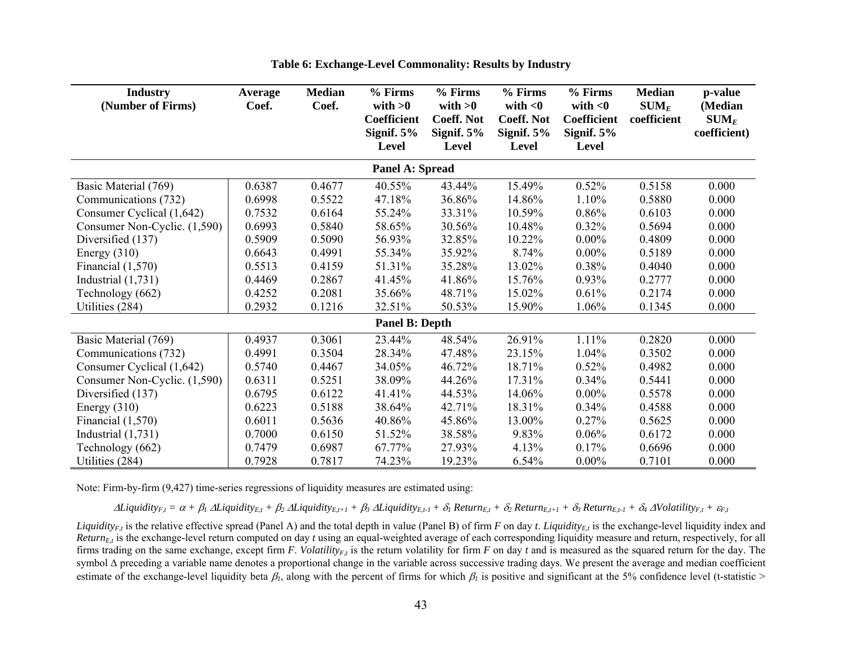| <b>Industry</b><br>(Number of Firms) | Average<br>Coef. | <b>Median</b><br>Coef. | % Firms<br>with $>0$<br>Coefficient<br>Signif. $5%$<br><b>Level</b> | % Firms<br>with $>0$<br><b>Coeff. Not</b><br>Signif. $5%$<br><b>Level</b> | % Firms<br>with $<$ 0<br><b>Coeff. Not</b><br>Signif. $5%$<br><b>Level</b> | % Firms<br>with $<$ 0<br>Coefficient<br>Signif. $5%$<br><b>Level</b> | <b>Median</b><br>$\textbf{SUM}_E$<br>coefficient | p-value<br>(Median<br>$\textbf{SUM}_E$<br>coefficient) |
|--------------------------------------|------------------|------------------------|---------------------------------------------------------------------|---------------------------------------------------------------------------|----------------------------------------------------------------------------|----------------------------------------------------------------------|--------------------------------------------------|--------------------------------------------------------|
|                                      |                  |                        | Panel A: Spread                                                     |                                                                           |                                                                            |                                                                      |                                                  |                                                        |
| Basic Material (769)                 | 0.6387           | 0.4677                 | 40.55%                                                              | 43.44%                                                                    | 15.49%                                                                     | 0.52%                                                                | 0.5158                                           | 0.000                                                  |
| Communications (732)                 | 0.6998           | 0.5522                 | 47.18%                                                              | 36.86%                                                                    | 14.86%                                                                     | 1.10%                                                                | 0.5880                                           | 0.000                                                  |
| Consumer Cyclical (1,642)            | 0.7532           | 0.6164                 | 55.24%                                                              | 33.31%                                                                    | 10.59%                                                                     | 0.86%                                                                | 0.6103                                           | 0.000                                                  |
| Consumer Non-Cyclic. (1,590)         | 0.6993           | 0.5840                 | 58.65%                                                              | 30.56%                                                                    | 10.48%                                                                     | 0.32%                                                                | 0.5694                                           | 0.000                                                  |
| Diversified (137)                    | 0.5909           | 0.5090                 | 56.93%                                                              | 32.85%                                                                    | 10.22%                                                                     | $0.00\%$                                                             | 0.4809                                           | 0.000                                                  |
| Energy $(310)$                       | 0.6643           | 0.4991                 | 55.34%                                                              | 35.92%                                                                    | 8.74%                                                                      | $0.00\%$                                                             | 0.5189                                           | 0.000                                                  |
| Financial $(1,570)$                  | 0.5513           | 0.4159                 | 51.31%                                                              | 35.28%                                                                    | 13.02%                                                                     | 0.38%                                                                | 0.4040                                           | 0.000                                                  |
| Industrial $(1,731)$                 | 0.4469           | 0.2867                 | 41.45%                                                              | 41.86%                                                                    | 15.76%                                                                     | 0.93%                                                                | 0.2777                                           | 0.000                                                  |
| Technology (662)                     | 0.4252           | 0.2081                 | 35.66%                                                              | 48.71%                                                                    | 15.02%                                                                     | 0.61%                                                                | 0.2174                                           | 0.000                                                  |
| Utilities (284)                      | 0.2932           | 0.1216                 | 32.51%                                                              | 50.53%                                                                    | 15.90%                                                                     | 1.06%                                                                | 0.1345                                           | 0.000                                                  |
|                                      |                  |                        | <b>Panel B: Depth</b>                                               |                                                                           |                                                                            |                                                                      |                                                  |                                                        |
| Basic Material (769)                 | 0.4937           | 0.3061                 | 23.44%                                                              | 48.54%                                                                    | 26.91%                                                                     | 1.11%                                                                | 0.2820                                           | 0.000                                                  |
| Communications (732)                 | 0.4991           | 0.3504                 | 28.34%                                                              | 47.48%                                                                    | 23.15%                                                                     | 1.04%                                                                | 0.3502                                           | 0.000                                                  |
| Consumer Cyclical (1,642)            | 0.5740           | 0.4467                 | 34.05%                                                              | 46.72%                                                                    | 18.71%                                                                     | 0.52%                                                                | 0.4982                                           | 0.000                                                  |
| Consumer Non-Cyclic. (1,590)         | 0.6311           | 0.5251                 | 38.09%                                                              | 44.26%                                                                    | 17.31%                                                                     | 0.34%                                                                | 0.5441                                           | 0.000                                                  |
| Diversified (137)                    | 0.6795           | 0.6122                 | 41.41%                                                              | 44.53%                                                                    | 14.06%                                                                     | $0.00\%$                                                             | 0.5578                                           | 0.000                                                  |
| Energy $(310)$                       | 0.6223           | 0.5188                 | 38.64%                                                              | 42.71%                                                                    | 18.31%                                                                     | 0.34%                                                                | 0.4588                                           | 0.000                                                  |
| Financial $(1,570)$                  | 0.6011           | 0.5636                 | 40.86%                                                              | 45.86%                                                                    | 13.00%                                                                     | 0.27%                                                                | 0.5625                                           | 0.000                                                  |
| Industrial $(1,731)$                 | 0.7000           | 0.6150                 | 51.52%                                                              | 38.58%                                                                    | 9.83%                                                                      | 0.06%                                                                | 0.6172                                           | 0.000                                                  |
| Technology (662)                     | 0.7479           | 0.6987                 | 67.77%                                                              | 27.93%                                                                    | 4.13%                                                                      | 0.17%                                                                | 0.6696                                           | 0.000                                                  |
| Utilities (284)                      | 0.7928           | 0.7817                 | 74.23%                                                              | 19.23%                                                                    | 6.54%                                                                      | $0.00\%$                                                             | 0.7101                                           | 0.000                                                  |

**Table 6: Exchange-Level Commonality: Results by Industry** 

Note: Firm-by-firm (9,427) time-series regressions of liquidity measures are estimated using:

 $\Delta$ Liquidity<sub>F.t</sub> =  $\alpha + \beta_1 \Delta$ Liquidity<sub>E.t</sub> +  $\beta_2 \Delta$ Liquidity<sub>E.t-1</sub> +  $\beta_3 \Delta$ Liquidity<sub>E.t-1</sub> +  $\delta_1$  Return<sub>E.t</sub> +  $\delta_2$  Return<sub>E.t-1</sub> +  $\delta_3$  Return<sub>E.t-1</sub> +  $\delta_4$  AVolatility<sub>F.t</sub> +  $\varepsilon$ <sub>F.t</sub>

*Liquidity<sub>F</sub>*, is the relative effective spread (Panel A) and the total depth in value (Panel B) of firm *F* on day *t*. *Liquidity<sub>F<sub>1</sub></sub>*, is the exchange-level liquidity index and *Return<sub>E,t</sub>* is the exchange-level return computed on day *t* using an equal-weighted average of each corresponding liquidity measure and return, respectively, for all firms trading on the same exchange, except firm *F*. *Volatility<sub>F,t</sub>* is the return volatility for firm *F* on day *t* and is measured as the squared return for the day. The symbol ∆ preceding a variable name denotes a proportional change in the variable across successive trading days. We present the average and median coefficient estimate of the exchange-level liquidity beta  $\beta_l$ , along with the percent of firms for which  $\beta_l$  is positive and significant at the 5% confidence level (t-statistic >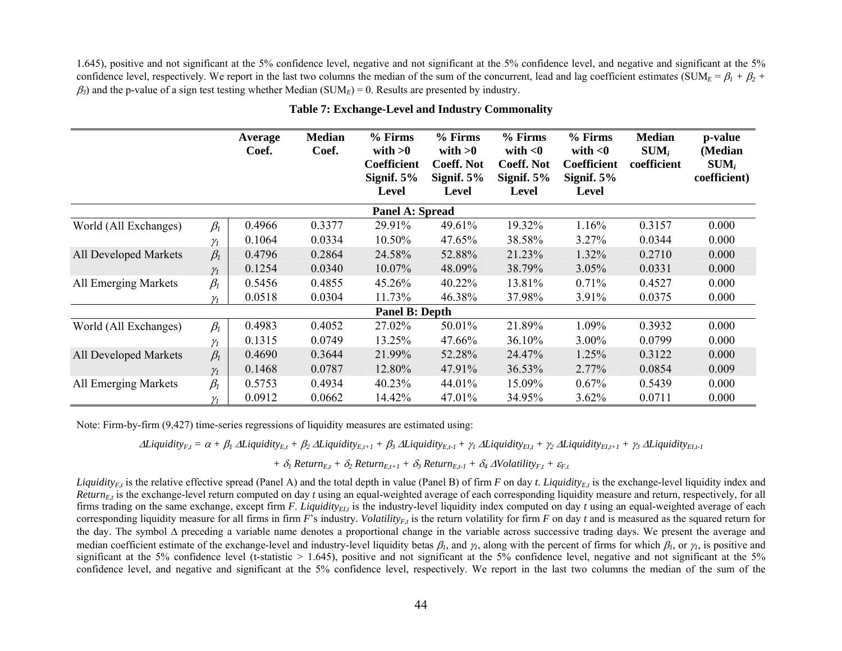1.645), positive and not significant at the 5% confidence level, negative and not significant at the 5% confidence level, and negative and significant at the 5% confidence level, respectively. We report in the last two columns the median of the sum of the concurrent, lead and lag coefficient estimates (SUM<sub>E</sub> =  $\beta_l$  +  $\beta_2$  +  $β_3$ ) and the p-value of a sign test testing whether Median (SUM<sub>*E*</sub>) = 0. Results are presented by industry.

|                       |            | Average<br>Coef. | <b>Median</b><br>Coef. | % Firms<br>with $>0$<br><b>Coefficient</b><br>Signif. $5%$<br>Level | % Firms<br>with $>0$<br><b>Coeff. Not</b><br>Signif. $5%$<br>Level | % Firms<br>with $<$ 0<br><b>Coeff. Not</b><br>Signif. $5%$<br>Level | % Firms<br>with $<$ 0<br><b>Coefficient</b><br>Signif. $5%$<br>Level | <b>Median</b><br>$SUM_i$<br>coefficient | p-value<br>(Median<br>$SUM_i$<br>coefficient) |
|-----------------------|------------|------------------|------------------------|---------------------------------------------------------------------|--------------------------------------------------------------------|---------------------------------------------------------------------|----------------------------------------------------------------------|-----------------------------------------|-----------------------------------------------|
|                       |            |                  |                        | <b>Panel A: Spread</b>                                              |                                                                    |                                                                     |                                                                      |                                         |                                               |
| World (All Exchanges) | $\beta_I$  | 0.4966           | 0.3377                 | 29.91%                                                              | 49.61%                                                             | 19.32%                                                              | 1.16%                                                                | 0.3157                                  | 0.000                                         |
|                       | $\gamma_I$ | 0.1064           | 0.0334                 | 10.50%                                                              | 47.65%                                                             | 38.58%                                                              | 3.27%                                                                | 0.0344                                  | 0.000                                         |
| All Developed Markets | $\beta_I$  | 0.4796           | 0.2864                 | 24.58%                                                              | 52.88%                                                             | 21.23%                                                              | 1.32%                                                                | 0.2710                                  | 0.000                                         |
|                       | $\gamma_1$ | 0.1254           | 0.0340                 | 10.07%                                                              | 48.09%                                                             | 38.79%                                                              | 3.05%                                                                | 0.0331                                  | 0.000                                         |
| All Emerging Markets  | $\beta_I$  | 0.5456           | 0.4855                 | 45.26%                                                              | 40.22%                                                             | 13.81%                                                              | 0.71%                                                                | 0.4527                                  | 0.000                                         |
|                       | $\gamma_1$ | 0.0518           | 0.0304                 | 11.73%                                                              | 46.38%                                                             | 37.98%                                                              | 3.91%                                                                | 0.0375                                  | 0.000                                         |
|                       |            |                  |                        | <b>Panel B: Depth</b>                                               |                                                                    |                                                                     |                                                                      |                                         |                                               |
| World (All Exchanges) | $\beta_I$  | 0.4983           | 0.4052                 | 27.02%                                                              | 50.01%                                                             | 21.89%                                                              | 1.09%                                                                | 0.3932                                  | 0.000                                         |
|                       | $\gamma$   | 0.1315           | 0.0749                 | 13.25%                                                              | 47.66%                                                             | 36.10%                                                              | 3.00%                                                                | 0.0799                                  | 0.000                                         |
| All Developed Markets | $\beta_l$  | 0.4690           | 0.3644                 | 21.99%                                                              | 52.28%                                                             | 24.47%                                                              | 1.25%                                                                | 0.3122                                  | 0.000                                         |
|                       | $\gamma_I$ | 0.1468           | 0.0787                 | 12.80%                                                              | 47.91%                                                             | 36.53%                                                              | $2.77\%$                                                             | 0.0854                                  | 0.009                                         |
| All Emerging Markets  | $\beta_I$  | 0.5753           | 0.4934                 | 40.23%                                                              | 44.01%                                                             | 15.09%                                                              | 0.67%                                                                | 0.5439                                  | 0.000                                         |
|                       | $\gamma$   | 0.0912           | 0.0662                 | 14.42%                                                              | 47.01%                                                             | 34.95%                                                              | 3.62%                                                                | 0.0711                                  | 0.000                                         |

**Table 7: Exchange-Level and Industry Commonality** 

Note: Firm-by-firm (9,427) time-series regressions of liquidity measures are estimated using:

 $\Delta$ Liquidity<sub>Ett</sub> =  $\alpha + \beta_1 \Delta$ Liquidity<sub>Ett</sub> +  $\beta_2 \Delta$ Liquidity<sub>Ett</sub> +  $\beta_3 \Delta$ Liquidity<sub>Ett</sub> +  $\gamma_1 \Delta$ Liquidity<sub>Ett</sub> +  $\gamma_2 \Delta$ Liquidity<sub>Ett+1</sub> +  $\gamma_3 \Delta$ Liquidity<sub>Ett+1</sub>

 $+ \delta_1$  Return<sub>Et</sub> +  $\delta_2$  Return<sub>Et+1</sub> +  $\delta_3$  Return<sub>Et-1</sub> +  $\delta_4$  ∆*Volatility<sub>Et</sub>* +  $\varepsilon$ <sub>*Ft*</sub>

*Liquidity<sub>F</sub>*, is the relative effective spread (Panel A) and the total depth in value (Panel B) of firm *F* on day *t*. *Liquidity<sub>F<sub>1</sub></sub>*, is the exchange-level liquidity index and *Return<sub>Et</sub>* is the exchange-level return computed on day *t* using an equal-weighted average of each corresponding liquidity measure and return, respectively, for all firms trading on the same exchange, except firm  $F$ . *Liquidity<sub>EII</sub>* is the industry-level liquidity index computed on day  $t$  using an equal-weighted average of each corresponding liquidity measure for all firms in firm  $F<sup>3</sup>$  industry. *Volatility<sub>Ft</sub>* is the return volatility for firm *F* on day *t* and is measured as the squared return for the day. The symbol ∆ preceding a variable name denotes a proportional change in the variable across successive trading days. We present the average and median coefficient estimate of the exchange-level and industry-level liquidity betas  $\beta_1$ , and  $\gamma_2$ , along with the percent of firms for which  $\beta_1$ , or  $\gamma_1$ , is positive and significant at the 5% confidence level (t-statistic  $> 1.645$ ), positive and not significant at the 5% confidence level, negative and not significant at the 5% confidence level, and negative and significant at the 5% confidence level, respectively. We report in the last two columns the median of the sum of the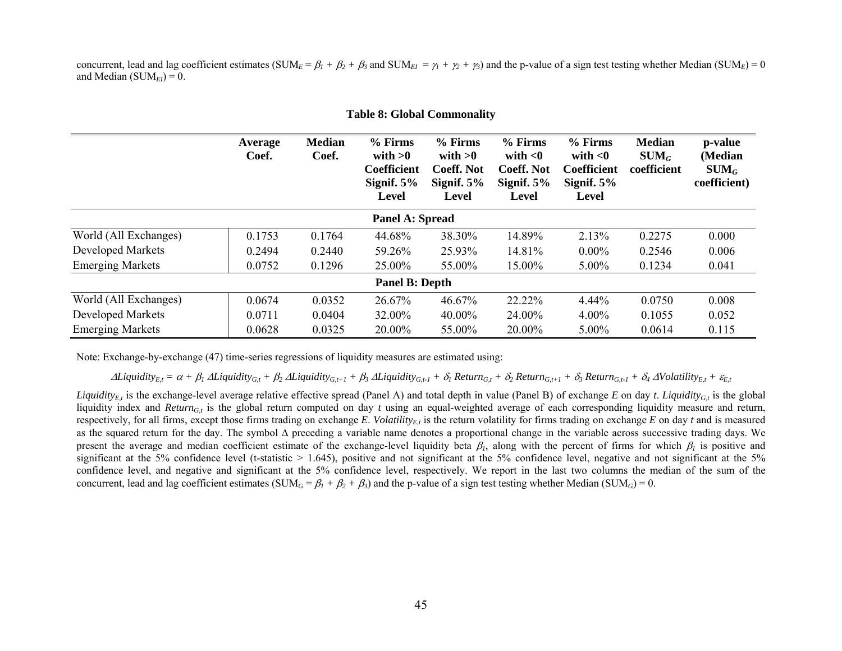concurrent, lead and lag coefficient estimates (SUM<sub>E</sub> =  $\beta_1 + \beta_2 + \beta_3$  and SUM<sub>EI</sub> =  $\gamma_1 + \gamma_2 + \gamma_3$ ) and the p-value of a sign test testing whether Median (SUM<sub>E</sub>) = 0 and Median  $(SUM_{EI}) = 0$ .

|                          | Average<br>Coef. | <b>Median</b><br>Coef. | $%$ Firms<br>with $>0$<br><b>Coefficient</b><br>Signif. $5\%$<br>Level | $%$ Firms<br>with $>0$<br><b>Coeff. Not</b><br>Signif. $5%$<br>Level | % Firms<br>with $<$ 0<br><b>Coeff. Not</b><br>Signif. $5%$<br>Level | % Firms<br>with $<$ 0<br><b>Coefficient</b><br>Signif. $5%$<br>Level | <b>Median</b><br>$SUM_G$<br>coefficient | p-value<br>(Median<br>$\mathbf{SUM}_G$<br>coefficient) |
|--------------------------|------------------|------------------------|------------------------------------------------------------------------|----------------------------------------------------------------------|---------------------------------------------------------------------|----------------------------------------------------------------------|-----------------------------------------|--------------------------------------------------------|
|                          |                  |                        | Panel A: Spread                                                        |                                                                      |                                                                     |                                                                      |                                         |                                                        |
| World (All Exchanges)    | 0.1753           | 0.1764                 | 44.68%                                                                 | 38.30%                                                               | 14.89%                                                              | 2.13%                                                                | 0.2275                                  | 0.000                                                  |
| <b>Developed Markets</b> | 0.2494           | 0.2440                 | 59.26%                                                                 | 25.93%                                                               | 14.81%                                                              | $0.00\%$                                                             | 0.2546                                  | 0.006                                                  |
| <b>Emerging Markets</b>  | 0.0752           | 0.1296                 | 25.00%                                                                 | 55.00%                                                               | 15.00%                                                              | $5.00\%$                                                             | 0.1234                                  | 0.041                                                  |
|                          |                  |                        | <b>Panel B: Depth</b>                                                  |                                                                      |                                                                     |                                                                      |                                         |                                                        |
| World (All Exchanges)    | 0.0674           | 0.0352                 | 26.67%                                                                 | 46.67%                                                               | 22.22%                                                              | 4.44%                                                                | 0.0750                                  | 0.008                                                  |
| <b>Developed Markets</b> | 0.0711           | 0.0404                 | 32.00%                                                                 | 40.00%                                                               | 24.00%                                                              | $4.00\%$                                                             | 0.1055                                  | 0.052                                                  |
| <b>Emerging Markets</b>  | 0.0628           | 0.0325                 | 20.00%                                                                 | 55.00%                                                               | 20.00%                                                              | 5.00%                                                                | 0.0614                                  | 0.115                                                  |

#### **Table 8: Global Commonality**

Note: Exchange-by-exchange (47) time-series regressions of liquidity measures are estimated using:

 $\Delta$ Liquidity<sub>Et</sub> =  $\alpha + \beta_1 \Delta$ Liquidity<sub>Gt</sub> +  $\beta_2 \Delta$ Liquidity<sub>Gt+1</sub> +  $\beta_3 \Delta$ Liquidity<sub>Gt+1</sub> +  $\delta_1$  Return<sub>Gt</sub> +  $\delta_2$  Return<sub>Gt+1</sub> +  $\delta_3$  Return<sub>Gt+1</sub> +  $\delta_4 \Delta$ Volatility<sub>Et</sub> +  $\varepsilon$ <sub>Et</sub>

*Liquidity<sub>E</sub>*, is the exchange-level average relative effective spread (Panel A) and total depth in value (Panel B) of exchange *E* on day *t*. *Liquidity<sub>Gt</sub>* is the global liquidity index and *Return<sub>G,t</sub>* is the global return computed on day *t* using an equal-weighted average of each corresponding liquidity measure and return, respectively, for all firms, except those firms trading on exchange  $E$ . *Volatility<sub>Et</sub>* is the return volatility for firms trading on exchange  $E$  on day  $t$  and is measured as the squared return for the day. The symbol ∆ preceding a variable name denotes a proportional change in the variable across successive trading days. We present the average and median coefficient estimate of the exchange-level liquidity beta  $\beta_1$ , along with the percent of firms for which  $\beta_1$  is positive and significant at the 5% confidence level (t-statistic  $> 1.645$ ), positive and not significant at the 5% confidence level, negative and not significant at the 5% confidence level, and negative and significant at the 5% confidence level, respectively. We report in the last two columns the median of the sum of the concurrent, lead and lag coefficient estimates (SUM<sub>G</sub> =  $\beta_1 + \beta_2 + \beta_3$ ) and the p-value of a sign test testing whether Median (SUM<sub>G</sub>) = 0.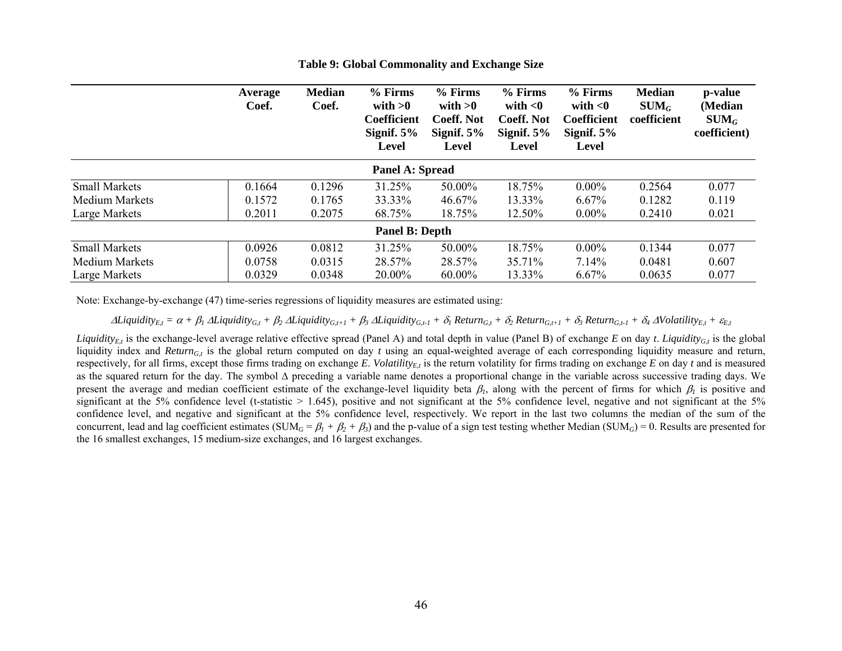|                        | Average<br>Coef. | <b>Median</b><br>Coef. | % Firms<br>with $>0$<br>Coefficient<br>Signif. $5%$<br>Level | % Firms<br>with $>0$<br><b>Coeff. Not</b><br>Signif. $5%$<br>Level | % Firms<br>with $<$ 0<br><b>Coeff. Not</b><br>Signif. $5%$<br>Level | % Firms<br>with $<$ 0<br><b>Coefficient</b><br>Signif. $5%$<br>Level | <b>Median</b><br>$SUM_G$<br>coefficient | p-value<br>(Median<br>$SUM_G$<br>coefficient) |  |  |  |
|------------------------|------------------|------------------------|--------------------------------------------------------------|--------------------------------------------------------------------|---------------------------------------------------------------------|----------------------------------------------------------------------|-----------------------------------------|-----------------------------------------------|--|--|--|
| <b>Panel A: Spread</b> |                  |                        |                                                              |                                                                    |                                                                     |                                                                      |                                         |                                               |  |  |  |
| <b>Small Markets</b>   | 0.1664           | 0.1296                 | 31.25%                                                       | 50.00%                                                             | 18.75%                                                              | $0.00\%$                                                             | 0.2564                                  | 0.077                                         |  |  |  |
| Medium Markets         | 0.1572           | 0.1765                 | 33.33%                                                       | 46.67%                                                             | 13.33%                                                              | 6.67%                                                                | 0.1282                                  | 0.119                                         |  |  |  |
| Large Markets          | 0.2011           | 0.2075                 | 68.75%                                                       | 18.75%                                                             | 12.50%                                                              | $0.00\%$                                                             | 0.2410                                  | 0.021                                         |  |  |  |
|                        |                  |                        | <b>Panel B: Depth</b>                                        |                                                                    |                                                                     |                                                                      |                                         |                                               |  |  |  |
| <b>Small Markets</b>   | 0.0926           | 0.0812                 | 31.25%                                                       | 50.00%                                                             | 18.75%                                                              | $0.00\%$                                                             | 0.1344                                  | 0.077                                         |  |  |  |
| <b>Medium Markets</b>  | 0.0758           | 0.0315                 | 28.57%                                                       | 28.57%                                                             | 35.71%                                                              | 7.14%                                                                | 0.0481                                  | 0.607                                         |  |  |  |
| Large Markets          | 0.0329           | 0.0348                 | 20.00%                                                       | 60.00%                                                             | 13.33%                                                              | $6.67\%$                                                             | 0.0635                                  | 0.077                                         |  |  |  |

**Table 9: Global Commonality and Exchange Size** 

Note: Exchange-by-exchange (47) time-series regressions of liquidity measures are estimated using:

 $\Delta$ Liquidity<sub>Et</sub> =  $\alpha + \beta_1 \Delta$ Liquidity<sub>Gt</sub> +  $\beta_2 \Delta$ Liquidity<sub>Gt+1</sub> +  $\beta_3 \Delta$ Liquidity<sub>Gt+1</sub> +  $\delta_1$  Return<sub>Gt</sub> +  $\delta_2$  Return<sub>Gt+1</sub> +  $\delta_3$  Return<sub>Gt+1</sub> +  $\delta_4 \Delta$ Volatility<sub>Et</sub> +  $\varepsilon$ <sub>Et</sub>

*Liquidity<sub>E,t</sub>* is the exchange-level average relative effective spread (Panel A) and total depth in value (Panel B) of exchange *E* on day *t*. *Liquidity<sub>G,t</sub>* is the global liquidity index and *Return<sub>Gt</sub>* is the global return computed on day *t* using an equal-weighted average of each corresponding liquidity measure and return, respectively, for all firms, except those firms trading on exchange  $E$ . *Volatility<sub>E,t</sub>* is the return volatility for firms trading on exchange  $E$  on day  $t$  and is measured as the squared return for the day. The symbol ∆ preceding a variable name denotes a proportional change in the variable across successive trading days. We present the average and median coefficient estimate of the exchange-level liquidity beta  $\beta_1$ , along with the percent of firms for which  $\beta_1$  is positive and significant at the 5% confidence level (t-statistic  $> 1.645$ ), positive and not significant at the 5% confidence level, negative and not significant at the 5% confidence level, and negative and significant at the 5% confidence level, respectively. We report in the last two columns the median of the sum of the concurrent, lead and lag coefficient estimates (SUM<sub>G</sub> =  $\beta_1 + \beta_2 + \beta_3$ ) and the p-value of a sign test testing whether Median (SUM<sub>G</sub>) = 0. Results are presented for the 16 smallest exchanges, 15 medium-size exchanges, and 16 largest exchanges.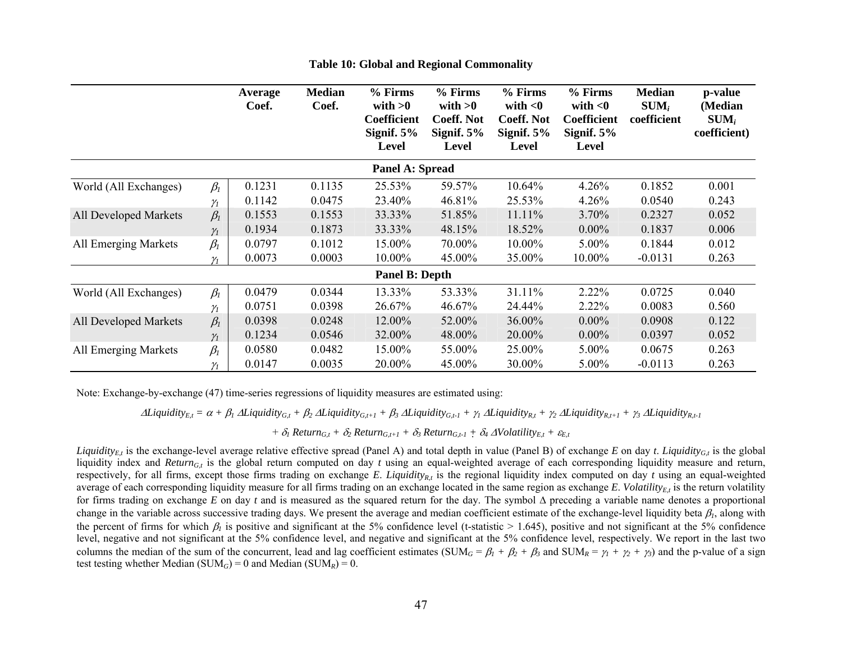|                        |            | <b>Average</b><br>Coef. | <b>Median</b><br>Coef. | % Firms<br>with $>0$<br>Coefficient<br>Signif. $5%$<br>Level | % Firms<br>with $>0$<br><b>Coeff. Not</b><br>Signif. $5%$<br><b>Level</b> | $%$ Firms<br>with $<$ 0<br><b>Coeff. Not</b><br>Signif. $5%$<br><b>Level</b> | % Firms<br>with $<$ 0<br><b>Coefficient</b><br>Signif. $5%$<br><b>Level</b> | <b>Median</b><br>$SUM_i$<br>coefficient | p-value<br>(Median<br>$SUM_i$<br>coefficient) |  |  |
|------------------------|------------|-------------------------|------------------------|--------------------------------------------------------------|---------------------------------------------------------------------------|------------------------------------------------------------------------------|-----------------------------------------------------------------------------|-----------------------------------------|-----------------------------------------------|--|--|
| <b>Panel A: Spread</b> |            |                         |                        |                                                              |                                                                           |                                                                              |                                                                             |                                         |                                               |  |  |
| World (All Exchanges)  | $\beta_I$  | 0.1231                  | 0.1135                 | 25.53%                                                       | 59.57%                                                                    | 10.64%                                                                       | 4.26%                                                                       | 0.1852                                  | 0.001                                         |  |  |
|                        | $\gamma_1$ | 0.1142                  | 0.0475                 | 23.40%                                                       | 46.81%                                                                    | 25.53%                                                                       | 4.26%                                                                       | 0.0540                                  | 0.243                                         |  |  |
| All Developed Markets  | $\beta_I$  | 0.1553                  | 0.1553                 | 33.33%                                                       | 51.85%                                                                    | 11.11%                                                                       | 3.70%                                                                       | 0.2327                                  | 0.052                                         |  |  |
|                        | $\gamma$   | 0.1934                  | 0.1873                 | 33.33%                                                       | 48.15%                                                                    | 18.52%                                                                       | $0.00\%$                                                                    | 0.1837                                  | 0.006                                         |  |  |
| All Emerging Markets   | $\beta_I$  | 0.0797                  | 0.1012                 | 15.00%                                                       | 70.00%                                                                    | 10.00%                                                                       | 5.00%                                                                       | 0.1844                                  | 0.012                                         |  |  |
|                        | $\gamma_1$ | 0.0073                  | 0.0003                 | 10.00%                                                       | 45.00%                                                                    | 35.00%                                                                       | 10.00%                                                                      | $-0.0131$                               | 0.263                                         |  |  |
|                        |            |                         |                        | <b>Panel B: Depth</b>                                        |                                                                           |                                                                              |                                                                             |                                         |                                               |  |  |
| World (All Exchanges)  | $\beta_I$  | 0.0479                  | 0.0344                 | 13.33%                                                       | 53.33%                                                                    | 31.11%                                                                       | 2.22%                                                                       | 0.0725                                  | 0.040                                         |  |  |
|                        | $\gamma$   | 0.0751                  | 0.0398                 | 26.67%                                                       | 46.67%                                                                    | 24.44%                                                                       | 2.22%                                                                       | 0.0083                                  | 0.560                                         |  |  |
| All Developed Markets  | $\beta_I$  | 0.0398                  | 0.0248                 | 12.00%                                                       | 52.00%                                                                    | 36.00%                                                                       | $0.00\%$                                                                    | 0.0908                                  | 0.122                                         |  |  |
|                        | $\gamma_1$ | 0.1234                  | 0.0546                 | 32.00%                                                       | 48.00%                                                                    | 20.00%                                                                       | $0.00\%$                                                                    | 0.0397                                  | 0.052                                         |  |  |
| All Emerging Markets   | $\beta_I$  | 0.0580                  | 0.0482                 | 15.00%                                                       | 55.00%                                                                    | 25.00%                                                                       | 5.00%                                                                       | 0.0675                                  | 0.263                                         |  |  |
|                        | $\gamma_1$ | 0.0147                  | 0.0035                 | 20.00%                                                       | 45.00%                                                                    | 30.00%                                                                       | 5.00%                                                                       | $-0.0113$                               | 0.263                                         |  |  |

**Table 10: Global and Regional Commonality** 

Note: Exchange-by-exchange (47) time-series regressions of liquidity measures are estimated using:

 $\Delta$ Liquidity<sub>Et</sub> =  $\alpha + \beta_1 \Delta$ Liquidity<sub>Gt</sub> +  $\beta_2 \Delta$ Liquidity<sub>Gt+1</sub> +  $\beta_3 \Delta$ Liquidity<sub>Gt+1</sub> +  $\gamma_1 \Delta$ Liquidity<sub>Rt</sub> +  $\gamma_2 \Delta$ Liquidity<sub>Rt+1</sub> +  $\gamma_3 \Delta$ Liquidity<sub>Rt+1</sub>

 $+ \delta_1$  Return<sub>G,t</sub> +  $\delta_2$  Return<sub>G,t+1</sub> +  $\delta_3$  Return<sub>G,t-1</sub> +  $\delta_4$   $\Delta$ Volatility<sub>E,t</sub> +  $\varepsilon$ <sub>E,t</sub>

*Liquidity<sub>Et</sub>* is the exchange-level average relative effective spread (Panel A) and total depth in value (Panel B) of exchange *E* on day *t*. *Liquidity<sub>Gt</sub>* is the global liquidity index and *Return<sub>Gt</sub>* is the global return computed on day *t* using an equal-weighted average of each corresponding liquidity measure and return, respectively, for all firms, except those firms trading on exchange  $E$ . *Liquidity<sub>R,t</sub>* is the regional liquidity index computed on day  $t$  using an equal-weighted average of each corresponding liquidity measure for all firms trading on an exchange located in the same region as exchange  $E$ . Volatility $E_t$  is the return volatility for firms trading on exchange *E* on day *t* and is measured as the squared return for the day. The symbol ∆ preceding a variable name denotes a proportional change in the variable across successive trading days. We present the average and median coefficient estimate of the exchange-level liquidity beta  $\beta_l$ , along with the percent of firms for which  $\beta_l$  is positive and significant at the 5% confidence level (t-statistic > 1.645), positive and not significant at the 5% confidence level, negative and not significant at the 5% confidence level, and negative and significant at the 5% confidence level, respectively. We report in the last two columns the median of the sum of the concurrent, lead and lag coefficient estimates (SUM<sub>G</sub> =  $\beta_1 + \beta_2 + \beta_3$  and SUM<sub>R</sub> =  $\gamma_1 + \gamma_2 + \gamma_3$ ) and the p-value of a sign test testing whether Median (SUM<sub>*G*</sub>) = 0 and Median (SUM<sub>*R*</sub>) = 0.